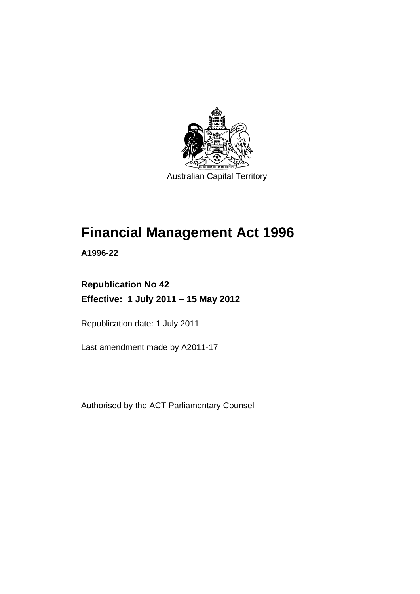

Australian Capital Territory

# **Financial Management Act 1996**

**A1996-22** 

## **Republication No 42 Effective: 1 July 2011 – 15 May 2012**

Republication date: 1 July 2011

Last amendment made by A2011-17

Authorised by the ACT Parliamentary Counsel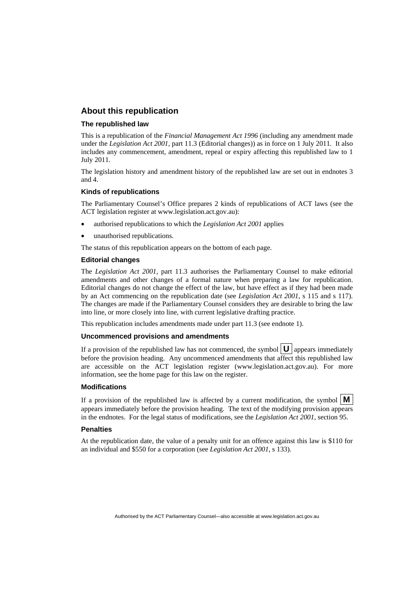#### **About this republication**

#### **The republished law**

This is a republication of the *Financial Management Act 1996* (including any amendment made under the *Legislation Act 2001*, part 11.3 (Editorial changes)) as in force on 1 July 2011*.* It also includes any commencement, amendment, repeal or expiry affecting this republished law to 1 July 2011.

The legislation history and amendment history of the republished law are set out in endnotes 3 and 4.

#### **Kinds of republications**

The Parliamentary Counsel's Office prepares 2 kinds of republications of ACT laws (see the ACT legislation register at www.legislation.act.gov.au):

- authorised republications to which the *Legislation Act 2001* applies
- unauthorised republications.

The status of this republication appears on the bottom of each page.

#### **Editorial changes**

The *Legislation Act 2001*, part 11.3 authorises the Parliamentary Counsel to make editorial amendments and other changes of a formal nature when preparing a law for republication. Editorial changes do not change the effect of the law, but have effect as if they had been made by an Act commencing on the republication date (see *Legislation Act 2001*, s 115 and s 117). The changes are made if the Parliamentary Counsel considers they are desirable to bring the law into line, or more closely into line, with current legislative drafting practice.

This republication includes amendments made under part 11.3 (see endnote 1).

#### **Uncommenced provisions and amendments**

If a provision of the republished law has not commenced, the symbol  $\mathbf{U}$  appears immediately before the provision heading. Any uncommenced amendments that affect this republished law are accessible on the ACT legislation register (www.legislation.act.gov.au). For more information, see the home page for this law on the register.

#### **Modifications**

If a provision of the republished law is affected by a current modification, the symbol  $\mathbf{M}$ appears immediately before the provision heading. The text of the modifying provision appears in the endnotes. For the legal status of modifications, see the *Legislation Act 2001*, section 95.

#### **Penalties**

At the republication date, the value of a penalty unit for an offence against this law is \$110 for an individual and \$550 for a corporation (see *Legislation Act 2001*, s 133).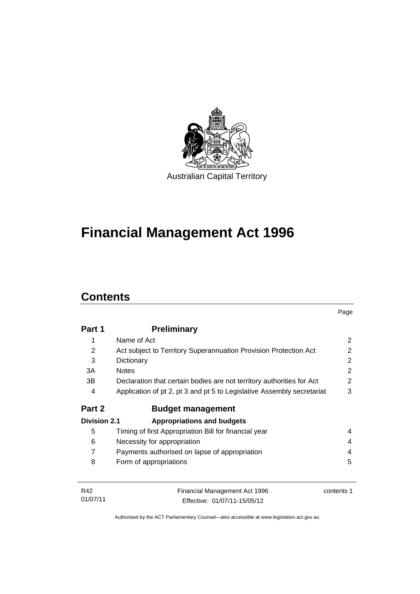

# **Financial Management Act 1996**

# **Contents**

|                     |                                                                        | Page       |
|---------------------|------------------------------------------------------------------------|------------|
| Part 1              | <b>Preliminary</b>                                                     |            |
| 1                   | Name of Act                                                            | 2          |
| 2                   | Act subject to Territory Superannuation Provision Protection Act       | 2          |
| 3                   | Dictionary                                                             | 2          |
| 3A                  | <b>Notes</b>                                                           | 2          |
| 3B                  | Declaration that certain bodies are not territory authorities for Act  | 2          |
| 4                   | Application of pt 2, pt 3 and pt 5 to Legislative Assembly secretariat | 3          |
| Part 2              | <b>Budget management</b>                                               |            |
| <b>Division 2.1</b> | <b>Appropriations and budgets</b>                                      |            |
| 5                   | Timing of first Appropriation Bill for financial year                  | 4          |
| 6                   | Necessity for appropriation                                            | 4          |
| 7                   | Payments authorised on lapse of appropriation                          | 4          |
| 8                   | Form of appropriations                                                 | 5          |
|                     |                                                                        |            |
| R42                 | Financial Management Act 1996                                          | contents 1 |
| 01/07/11            | Effective: 01/07/11-15/05/12                                           |            |

Authorised by the ACT Parliamentary Counsel—also accessible at www.legislation.act.gov.au

Effective: 01/07/11-15/05/12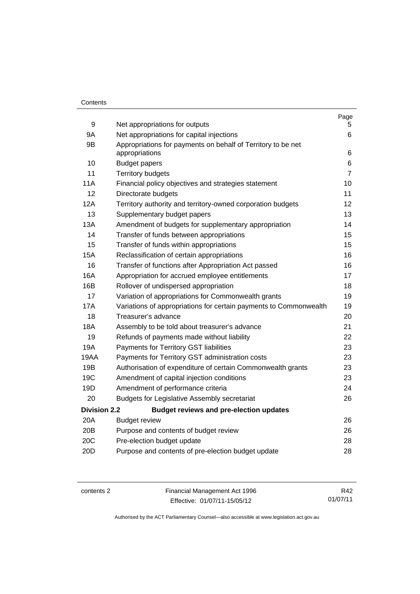#### **Contents**

| 9                   |                                                                                | Page           |
|---------------------|--------------------------------------------------------------------------------|----------------|
| <b>9A</b>           | Net appropriations for outputs                                                 | 5.<br>6        |
| 9B                  | Net appropriations for capital injections                                      |                |
|                     | Appropriations for payments on behalf of Territory to be net<br>appropriations | 6              |
| 10                  | <b>Budget papers</b>                                                           | 6              |
| 11                  | <b>Territory budgets</b>                                                       | $\overline{7}$ |
| 11A                 | Financial policy objectives and strategies statement                           | 10             |
| 12 <sup>2</sup>     | Directorate budgets                                                            | 11             |
| 12A                 | Territory authority and territory-owned corporation budgets                    | 12             |
| 13                  | Supplementary budget papers                                                    | 13             |
| 13A                 | Amendment of budgets for supplementary appropriation                           | 14             |
| 14                  | Transfer of funds between appropriations                                       | 15             |
| 15                  | Transfer of funds within appropriations                                        | 15             |
| <b>15A</b>          | Reclassification of certain appropriations                                     | 16             |
| 16                  | Transfer of functions after Appropriation Act passed                           | 16             |
| 16A                 | Appropriation for accrued employee entitlements                                | 17             |
| 16B                 | Rollover of undispersed appropriation                                          | 18             |
| 17                  | Variation of appropriations for Commonwealth grants                            | 19             |
| 17A                 | Variations of appropriations for certain payments to Commonwealth              | 19             |
| 18                  | Treasurer's advance                                                            | 20             |
| <b>18A</b>          | Assembly to be told about treasurer's advance                                  | 21             |
| 19                  | Refunds of payments made without liability                                     | 22             |
| 19A                 | Payments for Territory GST liabilities                                         | 23             |
| 19AA                | Payments for Territory GST administration costs                                | 23             |
| 19B                 | Authorisation of expenditure of certain Commonwealth grants                    | 23             |
| 19 <sub>C</sub>     | Amendment of capital injection conditions                                      | 23             |
| 19D                 | Amendment of performance criteria                                              | 24             |
| 20                  | <b>Budgets for Legislative Assembly secretariat</b>                            | 26             |
| <b>Division 2.2</b> | <b>Budget reviews and pre-election updates</b>                                 |                |
| 20A                 | <b>Budget review</b>                                                           | 26             |
| 20B                 | Purpose and contents of budget review                                          | 26             |
| 20C                 | Pre-election budget update<br>28                                               |                |
| 20 <sub>D</sub>     | Purpose and contents of pre-election budget update                             | 28             |
|                     |                                                                                |                |

contents 2 Financial Management Act 1996 Effective: 01/07/11-15/05/12

R42 01/07/11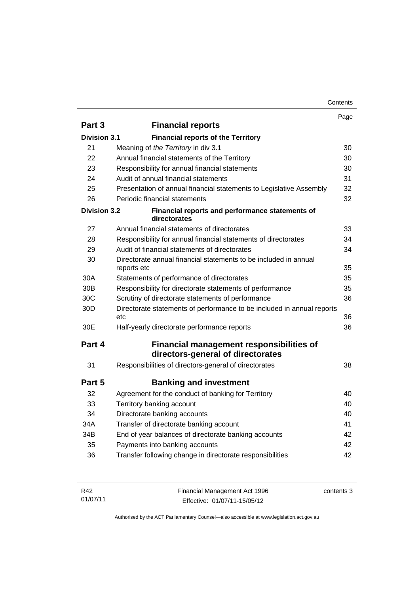|                     |                                                                                      | Page |
|---------------------|--------------------------------------------------------------------------------------|------|
| Part 3              | <b>Financial reports</b>                                                             |      |
| <b>Division 3.1</b> | <b>Financial reports of the Territory</b>                                            |      |
| 21                  | Meaning of the Territory in div 3.1                                                  | 30   |
| 22                  | Annual financial statements of the Territory                                         | 30   |
| 23                  | Responsibility for annual financial statements                                       | 30   |
| 24                  | Audit of annual financial statements                                                 | 31   |
| 25                  | Presentation of annual financial statements to Legislative Assembly                  | 32   |
| 26                  | Periodic financial statements                                                        | 32   |
| <b>Division 3.2</b> | Financial reports and performance statements of<br>directorates                      |      |
| 27                  | Annual financial statements of directorates                                          | 33   |
| 28                  | Responsibility for annual financial statements of directorates                       | 34   |
| 29                  | Audit of financial statements of directorates                                        | 34   |
| 30                  | Directorate annual financial statements to be included in annual<br>reports etc      | 35   |
| 30A                 | Statements of performance of directorates                                            | 35   |
| 30B                 | Responsibility for directorate statements of performance                             | 35   |
| 30C                 | Scrutiny of directorate statements of performance                                    | 36   |
| 30D                 | Directorate statements of performance to be included in annual reports<br>etc        | 36   |
| 30E                 | Half-yearly directorate performance reports                                          | 36   |
| Part 4              | <b>Financial management responsibilities of</b><br>directors-general of directorates |      |
| 31                  | Responsibilities of directors-general of directorates                                | 38   |
| Part 5              | <b>Banking and investment</b>                                                        |      |
| 32                  | Agreement for the conduct of banking for Territory                                   | 40   |
| 33                  | Territory banking account                                                            | 40   |
| 34                  | Directorate banking accounts                                                         | 40   |
| 34A                 | Transfer of directorate banking account                                              | 41   |
| 34B                 | End of year balances of directorate banking accounts                                 | 42   |
| 35                  | Payments into banking accounts                                                       | 42   |
| 36                  | Transfer following change in directorate responsibilities                            | 42   |
|                     |                                                                                      |      |

| R42      | Financial Management Act 1996 | contents 3 |
|----------|-------------------------------|------------|
| 01/07/11 | Effective: 01/07/11-15/05/12  |            |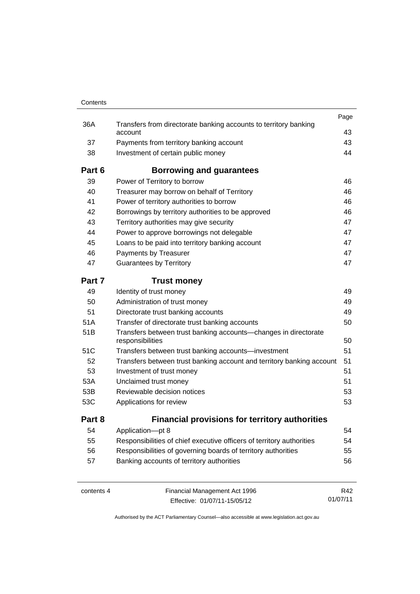| Contents |                                                                                     |      |
|----------|-------------------------------------------------------------------------------------|------|
|          |                                                                                     | Page |
| 36A      | Transfers from directorate banking accounts to territory banking<br>account         | 43   |
| 37       | Payments from territory banking account                                             | 43   |
| 38       | Investment of certain public money                                                  | 44   |
| Part 6   | Borrowing and guarantees                                                            |      |
| 39       | Power of Territory to borrow                                                        | 46   |
| 40       | Treasurer may borrow on behalf of Territory                                         | 46   |
| 41       | Power of territory authorities to borrow                                            | 46   |
| 42       | Borrowings by territory authorities to be approved                                  | 46   |
| 43       | Territory authorities may give security                                             | 47   |
| 44       | Power to approve borrowings not delegable                                           | 47   |
| 45       | Loans to be paid into territory banking account                                     | 47   |
| 46       | Payments by Treasurer                                                               | 47   |
| 47       | <b>Guarantees by Territory</b>                                                      | 47   |
| Part 7   | <b>Trust money</b>                                                                  |      |
| 49       | Identity of trust money                                                             | 49   |
| 50       | Administration of trust money                                                       | 49   |
| 51       | Directorate trust banking accounts                                                  | 49   |
| 51A      | Transfer of directorate trust banking accounts                                      | 50   |
| 51B      | Transfers between trust banking accounts—changes in directorate<br>responsibilities | 50   |
| 51C      | Transfers between trust banking accounts-investment                                 | 51   |
| 52       | Transfers between trust banking account and territory banking account               | 51   |
| 53       | Investment of trust money                                                           | 51   |
| 53A      | Unclaimed trust money                                                               | 51   |
| 53B      | Reviewable decision notices                                                         | 53   |
| 53C      | Applications for review                                                             | 53   |
| Part 8   | <b>Financial provisions for territory authorities</b>                               |      |
| 54       | Application-pt 8                                                                    | 54   |
| 55       | Responsibilities of chief executive officers of territory authorities               | 54   |
| 56       | Responsibilities of governing boards of territory authorities                       | 55   |
| 57       | Banking accounts of territory authorities                                           | 56   |
|          |                                                                                     |      |

contents 4 Financial Management Act 1996 Effective: 01/07/11-15/05/12

R42 01/07/11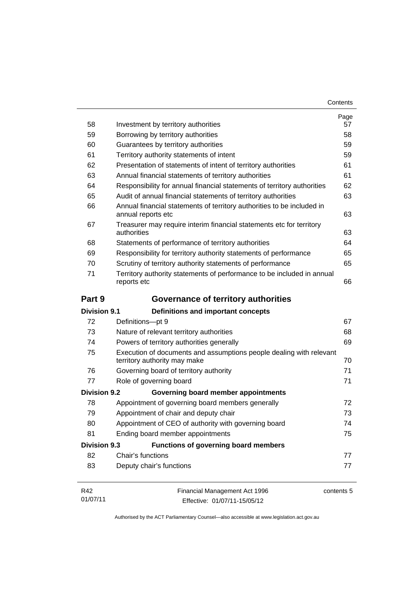| Contents |
|----------|
|----------|

| 58                  | Investment by territory authorities                                                                 | Page<br>57 |
|---------------------|-----------------------------------------------------------------------------------------------------|------------|
| 59                  | Borrowing by territory authorities                                                                  | 58         |
| 60                  | Guarantees by territory authorities                                                                 | 59         |
| 61                  | Territory authority statements of intent                                                            | 59         |
| 62                  | Presentation of statements of intent of territory authorities                                       | 61         |
| 63                  | Annual financial statements of territory authorities                                                | 61         |
| 64                  | Responsibility for annual financial statements of territory authorities                             | 62         |
| 65                  | Audit of annual financial statements of territory authorities                                       | 63         |
| 66                  | Annual financial statements of territory authorities to be included in<br>annual reports etc        | 63         |
| 67                  | Treasurer may require interim financial statements etc for territory<br>authorities                 | 63         |
| 68                  | Statements of performance of territory authorities                                                  | 64         |
| 69                  | Responsibility for territory authority statements of performance                                    | 65         |
| 70                  | Scrutiny of territory authority statements of performance                                           | 65         |
| 71                  | Territory authority statements of performance to be included in annual<br>reports etc               | 66         |
| Part 9              | Governance of territory authorities                                                                 |            |
| <b>Division 9.1</b> | Definitions and important concepts                                                                  |            |
| 72                  | Definitions-pt 9                                                                                    | 67         |
| 73                  | Nature of relevant territory authorities                                                            | 68         |
| 74                  | Powers of territory authorities generally                                                           | 69         |
| 75                  | Execution of documents and assumptions people dealing with relevant<br>territory authority may make | 70         |
| 76                  | Governing board of territory authority                                                              | 71         |
| 77                  | Role of governing board                                                                             | 71         |
| <b>Division 9.2</b> | Governing board member appointments                                                                 |            |
| 78                  | Appointment of governing board members generally                                                    | 72         |
| 79                  | Appointment of chair and deputy chair                                                               | 73         |
| 80                  | Appointment of CEO of authority with governing board                                                | 74         |
| 81                  | Ending board member appointments                                                                    | 75         |
| <b>Division 9.3</b> | Functions of governing board members                                                                |            |
| 82                  | Chair's functions                                                                                   | 77         |
| 83                  | Deputy chair's functions                                                                            | 77         |
| R42<br>01/07/11     | Financial Management Act 1996<br>Effective: 01/07/11-15/05/12                                       | contents 5 |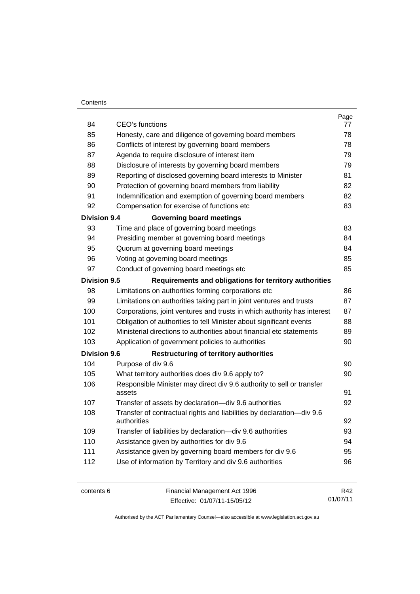#### **Contents**

| 84                  | CEO's functions                                                                 | Page<br>77 |
|---------------------|---------------------------------------------------------------------------------|------------|
| 85                  | Honesty, care and diligence of governing board members                          | 78         |
| 86                  | Conflicts of interest by governing board members                                |            |
| 87                  | Agenda to require disclosure of interest item                                   |            |
| 88                  | Disclosure of interests by governing board members                              | 79<br>79   |
| 89                  | Reporting of disclosed governing board interests to Minister                    | 81         |
| 90                  | Protection of governing board members from liability                            | 82         |
| 91                  | Indemnification and exemption of governing board members                        | 82         |
| 92                  | Compensation for exercise of functions etc                                      | 83         |
| <b>Division 9.4</b> | <b>Governing board meetings</b>                                                 |            |
| 93                  | Time and place of governing board meetings                                      | 83         |
| 94                  | Presiding member at governing board meetings                                    | 84         |
| 95                  | Quorum at governing board meetings                                              | 84         |
| 96                  | Voting at governing board meetings                                              | 85         |
| 97                  | Conduct of governing board meetings etc                                         | 85         |
| <b>Division 9.5</b> | Requirements and obligations for territory authorities                          |            |
| 98                  | Limitations on authorities forming corporations etc                             | 86         |
| 99                  | Limitations on authorities taking part in joint ventures and trusts             | 87         |
| 100                 | Corporations, joint ventures and trusts in which authority has interest         | 87         |
| 101                 | Obligation of authorities to tell Minister about significant events             | 88         |
| 102                 | Ministerial directions to authorities about financial etc statements            | 89         |
| 103                 | Application of government policies to authorities                               | 90         |
| <b>Division 9.6</b> | <b>Restructuring of territory authorities</b>                                   |            |
| 104                 | Purpose of div 9.6                                                              | 90         |
| 105                 | What territory authorities does div 9.6 apply to?                               | 90         |
| 106                 | Responsible Minister may direct div 9.6 authority to sell or transfer<br>assets | 91         |
| 107                 | Transfer of assets by declaration-div 9.6 authorities                           | 92         |
| 108                 | Transfer of contractual rights and liabilities by declaration-div 9.6           |            |
|                     | authorities                                                                     | 92         |
| 109                 | Transfer of liabilities by declaration-div 9.6 authorities                      | 93         |
| 110                 | Assistance given by authorities for div 9.6                                     | 94         |
| 111                 | Assistance given by governing board members for div 9.6                         | 95         |
| 112                 | Use of information by Territory and div 9.6 authorities                         | 96         |
|                     |                                                                                 |            |
| contents 6          | Financial Management Act 1996                                                   | R42        |

Effective: 01/07/11-15/05/12 01/07/11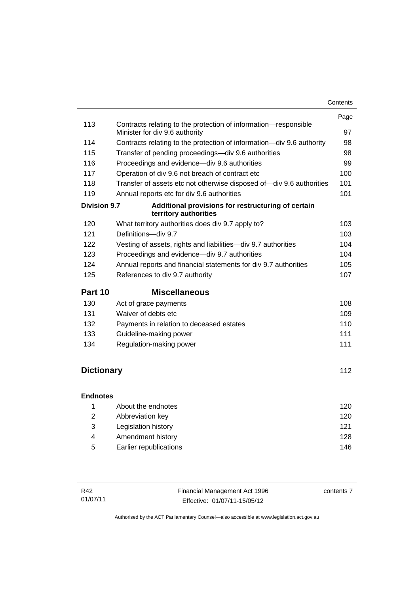|                     |                                                                                                   | Page |
|---------------------|---------------------------------------------------------------------------------------------------|------|
| 113                 | Contracts relating to the protection of information-responsible<br>Minister for div 9.6 authority | 97   |
| 114                 | Contracts relating to the protection of information—div 9.6 authority                             | 98   |
| 115                 | Transfer of pending proceedings-div 9.6 authorities                                               | 98   |
| 116                 | Proceedings and evidence-div 9.6 authorities                                                      | 99   |
| 117                 | Operation of div 9.6 not breach of contract etc                                                   | 100  |
| 118                 | Transfer of assets etc not otherwise disposed of-div 9.6 authorities                              | 101  |
| 119                 | Annual reports etc for div 9.6 authorities                                                        | 101  |
| <b>Division 9.7</b> | Additional provisions for restructuring of certain<br>territory authorities                       |      |
| 120                 | What territory authorities does div 9.7 apply to?                                                 | 103  |
| 121                 | Definitions-div 9.7                                                                               | 103  |
| 122                 | Vesting of assets, rights and liabilities-div 9.7 authorities                                     | 104  |
| 123                 | Proceedings and evidence-div 9.7 authorities                                                      | 104  |
| 124                 | Annual reports and financial statements for div 9.7 authorities                                   | 105  |
| 125                 | References to div 9.7 authority                                                                   | 107  |
| Part 10             | <b>Miscellaneous</b>                                                                              |      |
| 130                 | Act of grace payments                                                                             | 108  |
| 131                 | Waiver of debts etc                                                                               | 109  |
| 132                 | Payments in relation to deceased estates                                                          | 110  |
| 133                 | Guideline-making power                                                                            | 111  |
| 134                 | Regulation-making power                                                                           | 111  |
|                     |                                                                                                   |      |
| <b>Dictionary</b>   |                                                                                                   | 112  |
| <b>Endnotes</b>     |                                                                                                   |      |
| 1                   | About the endnotes                                                                                | 120  |
| $\overline{2}$      | Abbreviation key                                                                                  | 120  |
| 3                   | Legislation history                                                                               | 121  |
| 4                   | Amendment history                                                                                 | 128  |
| 5                   | Earlier republications                                                                            | 146  |

| R42      | Financial Management Act 1996 | contents 7 |
|----------|-------------------------------|------------|
| 01/07/11 | Effective: 01/07/11-15/05/12  |            |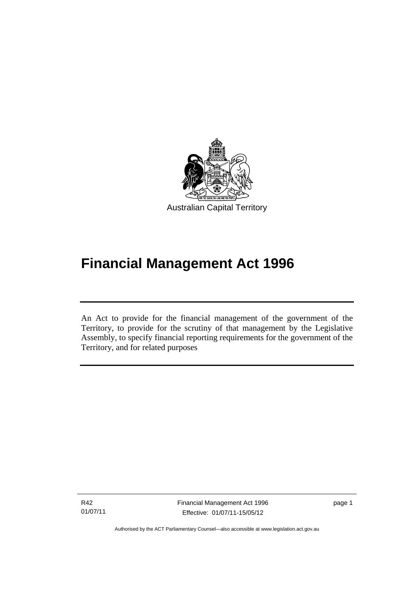

# **Financial Management Act 1996**

An Act to provide for the financial management of the government of the Territory, to provide for the scrutiny of that management by the Legislative Assembly, to specify financial reporting requirements for the government of the Territory, and for related purposes

R42 01/07/11

l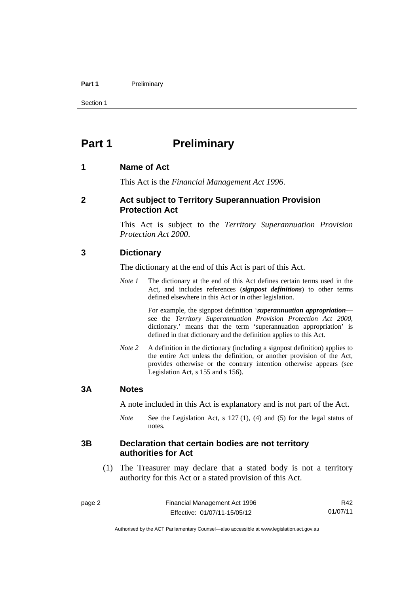#### Part 1 **Preliminary**

Section 1

### <span id="page-11-0"></span>**Part 1** Preliminary

#### <span id="page-11-1"></span>**1 Name of Act**

This Act is the *Financial Management Act 1996*.

#### <span id="page-11-2"></span>**2 Act subject to Territory Superannuation Provision Protection Act**

This Act is subject to the *Territory Superannuation Provision Protection Act 2000*.

#### <span id="page-11-3"></span>**3 Dictionary**

The dictionary at the end of this Act is part of this Act.

*Note 1* The dictionary at the end of this Act defines certain terms used in the Act, and includes references (*signpost definitions*) to other terms defined elsewhere in this Act or in other legislation.

> For example, the signpost definition '*superannuation appropriation* see the *Territory Superannuation Provision Protection Act 2000*, dictionary.' means that the term 'superannuation appropriation' is defined in that dictionary and the definition applies to this Act.

*Note 2* A definition in the dictionary (including a signpost definition) applies to the entire Act unless the definition, or another provision of the Act, provides otherwise or the contrary intention otherwise appears (see Legislation Act, s 155 and s 156).

#### <span id="page-11-4"></span>**3A Notes**

A note included in this Act is explanatory and is not part of the Act.

*Note* See the Legislation Act, s 127 (1), (4) and (5) for the legal status of notes.

#### <span id="page-11-5"></span>**3B Declaration that certain bodies are not territory authorities for Act**

 (1) The Treasurer may declare that a stated body is not a territory authority for this Act or a stated provision of this Act.

R42 01/07/11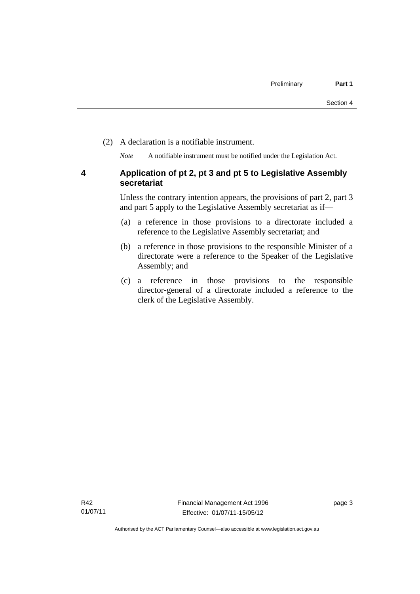(2) A declaration is a notifiable instrument.

*Note* A notifiable instrument must be notified under the Legislation Act.

#### <span id="page-12-0"></span>**4 Application of pt 2, pt 3 and pt 5 to Legislative Assembly secretariat**

Unless the contrary intention appears, the provisions of part 2, part 3 and part 5 apply to the Legislative Assembly secretariat as if—

- (a) a reference in those provisions to a directorate included a reference to the Legislative Assembly secretariat; and
- (b) a reference in those provisions to the responsible Minister of a directorate were a reference to the Speaker of the Legislative Assembly; and
- (c) a reference in those provisions to the responsible director-general of a directorate included a reference to the clerk of the Legislative Assembly.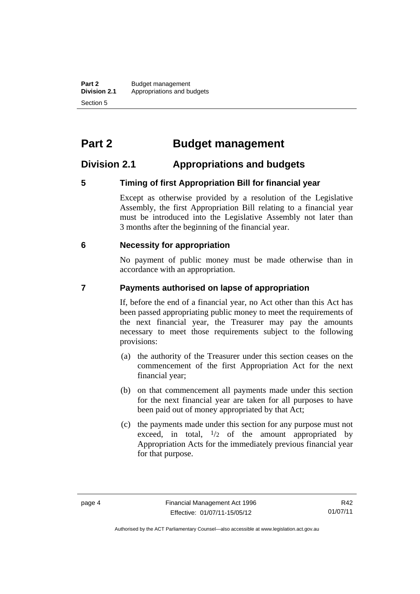### <span id="page-13-0"></span>**Part 2 Budget management**

### <span id="page-13-1"></span>**Division 2.1 Appropriations and budgets**

#### <span id="page-13-2"></span>**5 Timing of first Appropriation Bill for financial year**

Except as otherwise provided by a resolution of the Legislative Assembly, the first Appropriation Bill relating to a financial year must be introduced into the Legislative Assembly not later than 3 months after the beginning of the financial year.

#### <span id="page-13-3"></span> **6 Necessity for appropriation**

No payment of public money must be made otherwise than in accordance with an appropriation.

#### <span id="page-13-4"></span>**7 Payments authorised on lapse of appropriation**

If, before the end of a financial year, no Act other than this Act has been passed appropriating public money to meet the requirements of the next financial year, the Treasurer may pay the amounts necessary to meet those requirements subject to the following provisions:

- (a) the authority of the Treasurer under this section ceases on the commencement of the first Appropriation Act for the next financial year;
- (b) on that commencement all payments made under this section for the next financial year are taken for all purposes to have been paid out of money appropriated by that Act;
- (c) the payments made under this section for any purpose must not exceed, in total,  $\frac{1}{2}$  of the amount appropriated by Appropriation Acts for the immediately previous financial year for that purpose.

R42 01/07/11

Authorised by the ACT Parliamentary Counsel—also accessible at www.legislation.act.gov.au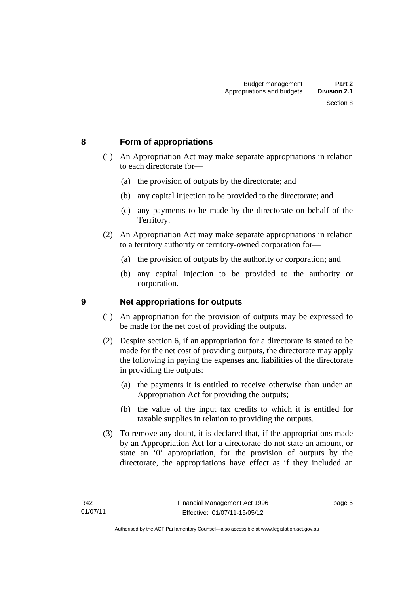#### <span id="page-14-0"></span>**8 Form of appropriations**

- (1) An Appropriation Act may make separate appropriations in relation to each directorate for—
	- (a) the provision of outputs by the directorate; and
	- (b) any capital injection to be provided to the directorate; and
	- (c) any payments to be made by the directorate on behalf of the Territory.
- (2) An Appropriation Act may make separate appropriations in relation to a territory authority or territory-owned corporation for—
	- (a) the provision of outputs by the authority or corporation; and
	- (b) any capital injection to be provided to the authority or corporation.

#### <span id="page-14-1"></span>**9 Net appropriations for outputs**

- (1) An appropriation for the provision of outputs may be expressed to be made for the net cost of providing the outputs.
- (2) Despite section 6, if an appropriation for a directorate is stated to be made for the net cost of providing outputs, the directorate may apply the following in paying the expenses and liabilities of the directorate in providing the outputs:
	- (a) the payments it is entitled to receive otherwise than under an Appropriation Act for providing the outputs;
	- (b) the value of the input tax credits to which it is entitled for taxable supplies in relation to providing the outputs.
- (3) To remove any doubt, it is declared that, if the appropriations made by an Appropriation Act for a directorate do not state an amount, or state an '0' appropriation, for the provision of outputs by the directorate, the appropriations have effect as if they included an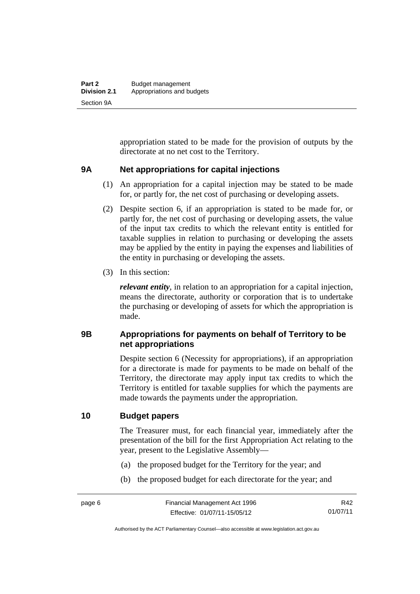appropriation stated to be made for the provision of outputs by the directorate at no net cost to the Territory.

#### <span id="page-15-0"></span>**9A Net appropriations for capital injections**

- (1) An appropriation for a capital injection may be stated to be made for, or partly for, the net cost of purchasing or developing assets.
- (2) Despite section 6, if an appropriation is stated to be made for, or partly for, the net cost of purchasing or developing assets, the value of the input tax credits to which the relevant entity is entitled for taxable supplies in relation to purchasing or developing the assets may be applied by the entity in paying the expenses and liabilities of the entity in purchasing or developing the assets.
- (3) In this section:

*relevant entity*, in relation to an appropriation for a capital injection, means the directorate, authority or corporation that is to undertake the purchasing or developing of assets for which the appropriation is made.

#### <span id="page-15-1"></span>**9B Appropriations for payments on behalf of Territory to be net appropriations**

Despite section 6 (Necessity for appropriations), if an appropriation for a directorate is made for payments to be made on behalf of the Territory, the directorate may apply input tax credits to which the Territory is entitled for taxable supplies for which the payments are made towards the payments under the appropriation.

#### <span id="page-15-2"></span>**10 Budget papers**

The Treasurer must, for each financial year, immediately after the presentation of the bill for the first Appropriation Act relating to the year, present to the Legislative Assembly—

- (a) the proposed budget for the Territory for the year; and
- (b) the proposed budget for each directorate for the year; and

R42 01/07/11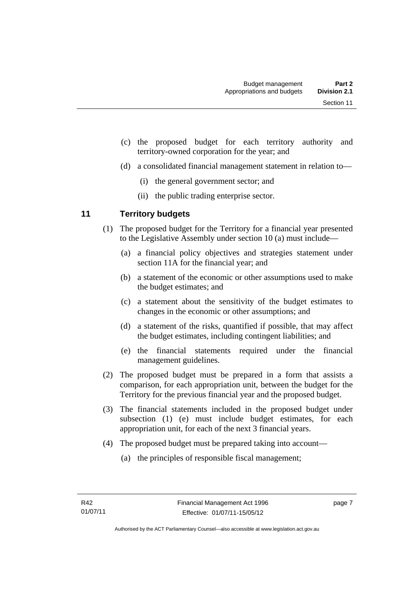- (c) the proposed budget for each territory authority and territory-owned corporation for the year; and
- (d) a consolidated financial management statement in relation to—
	- (i) the general government sector; and
	- (ii) the public trading enterprise sector.

#### <span id="page-16-0"></span>**11 Territory budgets**

- (1) The proposed budget for the Territory for a financial year presented to the Legislative Assembly under section 10 (a) must include—
	- (a) a financial policy objectives and strategies statement under section 11A for the financial year; and
	- (b) a statement of the economic or other assumptions used to make the budget estimates; and
	- (c) a statement about the sensitivity of the budget estimates to changes in the economic or other assumptions; and
	- (d) a statement of the risks, quantified if possible, that may affect the budget estimates, including contingent liabilities; and
	- (e) the financial statements required under the financial management guidelines.
- (2) The proposed budget must be prepared in a form that assists a comparison, for each appropriation unit, between the budget for the Territory for the previous financial year and the proposed budget.
- (3) The financial statements included in the proposed budget under subsection (1) (e) must include budget estimates, for each appropriation unit, for each of the next 3 financial years.
- (4) The proposed budget must be prepared taking into account—
	- (a) the principles of responsible fiscal management;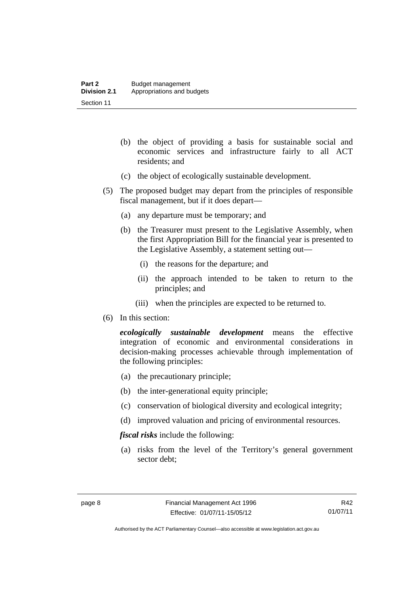- (b) the object of providing a basis for sustainable social and economic services and infrastructure fairly to all ACT residents; and
- (c) the object of ecologically sustainable development.
- (5) The proposed budget may depart from the principles of responsible fiscal management, but if it does depart—
	- (a) any departure must be temporary; and
	- (b) the Treasurer must present to the Legislative Assembly, when the first Appropriation Bill for the financial year is presented to the Legislative Assembly, a statement setting out—
		- (i) the reasons for the departure; and
		- (ii) the approach intended to be taken to return to the principles; and
		- (iii) when the principles are expected to be returned to.
- (6) In this section:

*ecologically sustainable development* means the effective integration of economic and environmental considerations in decision-making processes achievable through implementation of the following principles:

- (a) the precautionary principle;
- (b) the inter-generational equity principle;
- (c) conservation of biological diversity and ecological integrity;
- (d) improved valuation and pricing of environmental resources.

*fiscal risks* include the following:

 (a) risks from the level of the Territory's general government sector debt;

R42 01/07/11

Authorised by the ACT Parliamentary Counsel—also accessible at www.legislation.act.gov.au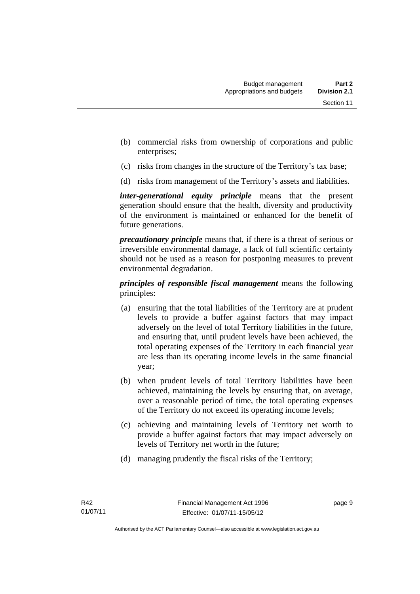- (b) commercial risks from ownership of corporations and public enterprises;
- (c) risks from changes in the structure of the Territory's tax base;
- (d) risks from management of the Territory's assets and liabilities.

*inter-generational equity principle* means that the present generation should ensure that the health, diversity and productivity of the environment is maintained or enhanced for the benefit of future generations.

*precautionary principle* means that, if there is a threat of serious or irreversible environmental damage, a lack of full scientific certainty should not be used as a reason for postponing measures to prevent environmental degradation.

*principles of responsible fiscal management* means the following principles:

- (a) ensuring that the total liabilities of the Territory are at prudent levels to provide a buffer against factors that may impact adversely on the level of total Territory liabilities in the future, and ensuring that, until prudent levels have been achieved, the total operating expenses of the Territory in each financial year are less than its operating income levels in the same financial year;
- (b) when prudent levels of total Territory liabilities have been achieved, maintaining the levels by ensuring that, on average, over a reasonable period of time, the total operating expenses of the Territory do not exceed its operating income levels;
- (c) achieving and maintaining levels of Territory net worth to provide a buffer against factors that may impact adversely on levels of Territory net worth in the future;
- (d) managing prudently the fiscal risks of the Territory;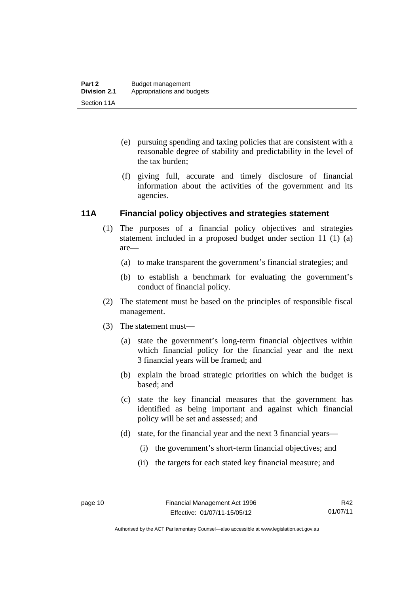- (e) pursuing spending and taxing policies that are consistent with a reasonable degree of stability and predictability in the level of the tax burden;
- (f) giving full, accurate and timely disclosure of financial information about the activities of the government and its agencies.

#### <span id="page-19-0"></span>**11A Financial policy objectives and strategies statement**

- (1) The purposes of a financial policy objectives and strategies statement included in a proposed budget under section 11 (1) (a) are—
	- (a) to make transparent the government's financial strategies; and
	- (b) to establish a benchmark for evaluating the government's conduct of financial policy.
- (2) The statement must be based on the principles of responsible fiscal management.
- (3) The statement must—
	- (a) state the government's long-term financial objectives within which financial policy for the financial year and the next 3 financial years will be framed; and
	- (b) explain the broad strategic priorities on which the budget is based; and
	- (c) state the key financial measures that the government has identified as being important and against which financial policy will be set and assessed; and
	- (d) state, for the financial year and the next 3 financial years—
		- (i) the government's short-term financial objectives; and
		- (ii) the targets for each stated key financial measure; and

Authorised by the ACT Parliamentary Counsel—also accessible at www.legislation.act.gov.au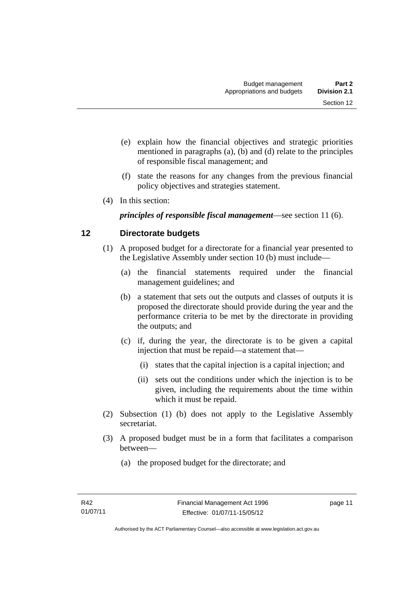- (e) explain how the financial objectives and strategic priorities mentioned in paragraphs (a), (b) and (d) relate to the principles of responsible fiscal management; and
- (f) state the reasons for any changes from the previous financial policy objectives and strategies statement.
- (4) In this section:

*principles of responsible fiscal management*—see section 11 (6).

#### <span id="page-20-0"></span>**12 Directorate budgets**

- (1) A proposed budget for a directorate for a financial year presented to the Legislative Assembly under section 10 (b) must include—
	- (a) the financial statements required under the financial management guidelines; and
	- (b) a statement that sets out the outputs and classes of outputs it is proposed the directorate should provide during the year and the performance criteria to be met by the directorate in providing the outputs; and
	- (c) if, during the year, the directorate is to be given a capital injection that must be repaid—a statement that—
		- (i) states that the capital injection is a capital injection; and
		- (ii) sets out the conditions under which the injection is to be given, including the requirements about the time within which it must be repaid.
- (2) Subsection (1) (b) does not apply to the Legislative Assembly secretariat.
- (3) A proposed budget must be in a form that facilitates a comparison between—
	- (a) the proposed budget for the directorate; and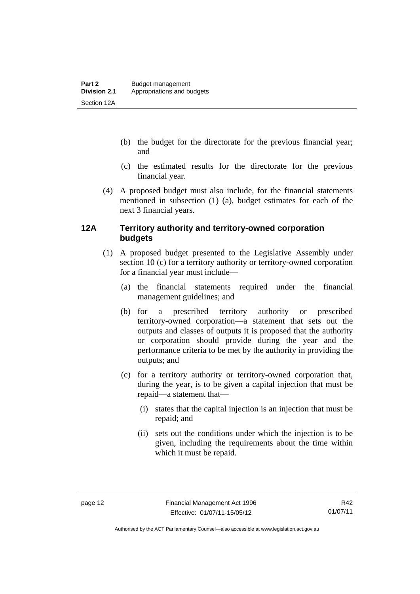- (b) the budget for the directorate for the previous financial year; and
- (c) the estimated results for the directorate for the previous financial year.
- (4) A proposed budget must also include, for the financial statements mentioned in subsection (1) (a), budget estimates for each of the next 3 financial years.

#### <span id="page-21-0"></span>**12A Territory authority and territory-owned corporation budgets**

- (1) A proposed budget presented to the Legislative Assembly under section 10 (c) for a territory authority or territory-owned corporation for a financial year must include—
	- (a) the financial statements required under the financial management guidelines; and
	- (b) for a prescribed territory authority or prescribed territory-owned corporation—a statement that sets out the outputs and classes of outputs it is proposed that the authority or corporation should provide during the year and the performance criteria to be met by the authority in providing the outputs; and
	- (c) for a territory authority or territory-owned corporation that, during the year, is to be given a capital injection that must be repaid—a statement that—
		- (i) states that the capital injection is an injection that must be repaid; and
		- (ii) sets out the conditions under which the injection is to be given, including the requirements about the time within which it must be repaid.

Authorised by the ACT Parliamentary Counsel—also accessible at www.legislation.act.gov.au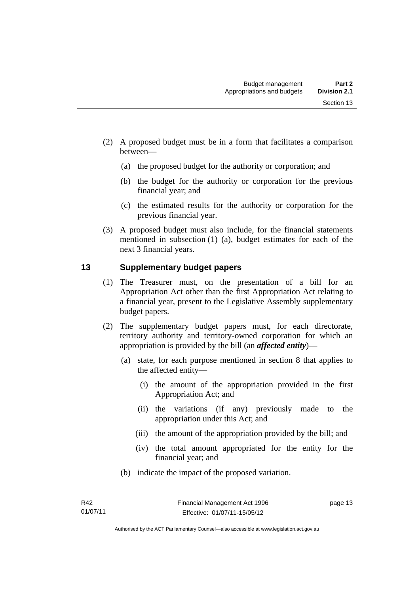- (2) A proposed budget must be in a form that facilitates a comparison between—
	- (a) the proposed budget for the authority or corporation; and
	- (b) the budget for the authority or corporation for the previous financial year; and
	- (c) the estimated results for the authority or corporation for the previous financial year.
- (3) A proposed budget must also include, for the financial statements mentioned in subsection (1) (a), budget estimates for each of the next 3 financial years.

#### <span id="page-22-0"></span>**13 Supplementary budget papers**

- (1) The Treasurer must, on the presentation of a bill for an Appropriation Act other than the first Appropriation Act relating to a financial year, present to the Legislative Assembly supplementary budget papers.
- (2) The supplementary budget papers must, for each directorate, territory authority and territory-owned corporation for which an appropriation is provided by the bill (an *affected entity*)—
	- (a) state, for each purpose mentioned in section 8 that applies to the affected entity—
		- (i) the amount of the appropriation provided in the first Appropriation Act; and
		- (ii) the variations (if any) previously made to the appropriation under this Act; and
		- (iii) the amount of the appropriation provided by the bill; and
		- (iv) the total amount appropriated for the entity for the financial year; and
	- (b) indicate the impact of the proposed variation.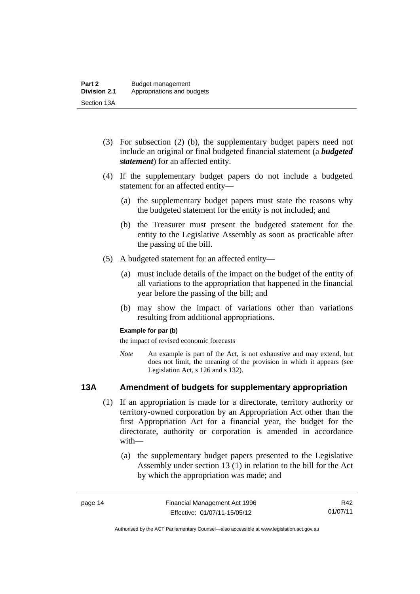- (3) For subsection (2) (b), the supplementary budget papers need not include an original or final budgeted financial statement (a *budgeted statement*) for an affected entity.
- (4) If the supplementary budget papers do not include a budgeted statement for an affected entity—
	- (a) the supplementary budget papers must state the reasons why the budgeted statement for the entity is not included; and
	- (b) the Treasurer must present the budgeted statement for the entity to the Legislative Assembly as soon as practicable after the passing of the bill.
- (5) A budgeted statement for an affected entity—
	- (a) must include details of the impact on the budget of the entity of all variations to the appropriation that happened in the financial year before the passing of the bill; and
	- (b) may show the impact of variations other than variations resulting from additional appropriations.

#### **Example for par (b)**

the impact of revised economic forecasts

*Note* An example is part of the Act, is not exhaustive and may extend, but does not limit, the meaning of the provision in which it appears (see Legislation Act, s 126 and s 132).

#### <span id="page-23-0"></span>**13A Amendment of budgets for supplementary appropriation**

- (1) If an appropriation is made for a directorate, territory authority or territory-owned corporation by an Appropriation Act other than the first Appropriation Act for a financial year, the budget for the directorate, authority or corporation is amended in accordance with—
	- (a) the supplementary budget papers presented to the Legislative Assembly under section 13 (1) in relation to the bill for the Act by which the appropriation was made; and

R42 01/07/11

Authorised by the ACT Parliamentary Counsel—also accessible at www.legislation.act.gov.au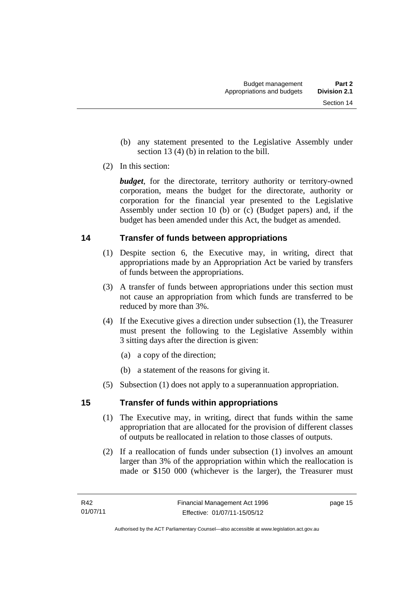- (b) any statement presented to the Legislative Assembly under section 13 (4) (b) in relation to the bill.
- (2) In this section:

*budget*, for the directorate, territory authority or territory-owned corporation, means the budget for the directorate, authority or corporation for the financial year presented to the Legislative Assembly under section 10 (b) or (c) (Budget papers) and, if the budget has been amended under this Act, the budget as amended.

#### <span id="page-24-0"></span>**14 Transfer of funds between appropriations**

- (1) Despite section 6, the Executive may, in writing, direct that appropriations made by an Appropriation Act be varied by transfers of funds between the appropriations.
- (3) A transfer of funds between appropriations under this section must not cause an appropriation from which funds are transferred to be reduced by more than 3%.
- (4) If the Executive gives a direction under subsection (1), the Treasurer must present the following to the Legislative Assembly within 3 sitting days after the direction is given:
	- (a) a copy of the direction;
	- (b) a statement of the reasons for giving it.
- (5) Subsection (1) does not apply to a superannuation appropriation.

#### <span id="page-24-1"></span>**15 Transfer of funds within appropriations**

- (1) The Executive may, in writing, direct that funds within the same appropriation that are allocated for the provision of different classes of outputs be reallocated in relation to those classes of outputs.
- (2) If a reallocation of funds under subsection (1) involves an amount larger than 3% of the appropriation within which the reallocation is made or \$150 000 (whichever is the larger), the Treasurer must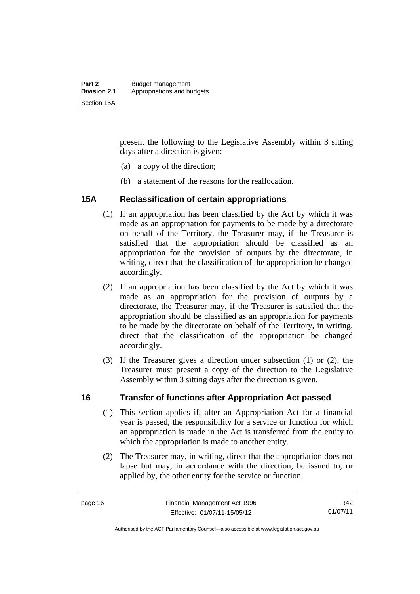present the following to the Legislative Assembly within 3 sitting days after a direction is given:

- (a) a copy of the direction;
- (b) a statement of the reasons for the reallocation.

#### <span id="page-25-0"></span>**15A Reclassification of certain appropriations**

- (1) If an appropriation has been classified by the Act by which it was made as an appropriation for payments to be made by a directorate on behalf of the Territory, the Treasurer may, if the Treasurer is satisfied that the appropriation should be classified as an appropriation for the provision of outputs by the directorate, in writing, direct that the classification of the appropriation be changed accordingly.
- (2) If an appropriation has been classified by the Act by which it was made as an appropriation for the provision of outputs by a directorate, the Treasurer may, if the Treasurer is satisfied that the appropriation should be classified as an appropriation for payments to be made by the directorate on behalf of the Territory, in writing, direct that the classification of the appropriation be changed accordingly.
- (3) If the Treasurer gives a direction under subsection (1) or (2), the Treasurer must present a copy of the direction to the Legislative Assembly within 3 sitting days after the direction is given.

#### <span id="page-25-1"></span>**16 Transfer of functions after Appropriation Act passed**

- (1) This section applies if, after an Appropriation Act for a financial year is passed, the responsibility for a service or function for which an appropriation is made in the Act is transferred from the entity to which the appropriation is made to another entity.
- (2) The Treasurer may, in writing, direct that the appropriation does not lapse but may, in accordance with the direction, be issued to, or applied by, the other entity for the service or function.

R42 01/07/11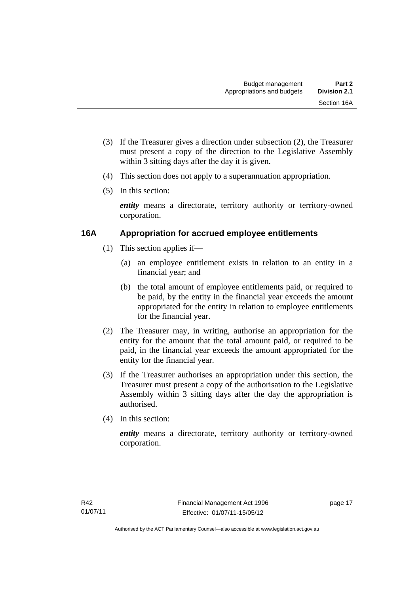- (3) If the Treasurer gives a direction under subsection (2), the Treasurer must present a copy of the direction to the Legislative Assembly within 3 sitting days after the day it is given.
- (4) This section does not apply to a superannuation appropriation.
- (5) In this section:

*entity* means a directorate, territory authority or territory-owned corporation.

#### <span id="page-26-0"></span>**16A Appropriation for accrued employee entitlements**

- (1) This section applies if—
	- (a) an employee entitlement exists in relation to an entity in a financial year; and
	- (b) the total amount of employee entitlements paid, or required to be paid, by the entity in the financial year exceeds the amount appropriated for the entity in relation to employee entitlements for the financial year.
- (2) The Treasurer may, in writing, authorise an appropriation for the entity for the amount that the total amount paid, or required to be paid, in the financial year exceeds the amount appropriated for the entity for the financial year.
- (3) If the Treasurer authorises an appropriation under this section, the Treasurer must present a copy of the authorisation to the Legislative Assembly within 3 sitting days after the day the appropriation is authorised.
- (4) In this section:

*entity* means a directorate, territory authority or territory-owned corporation.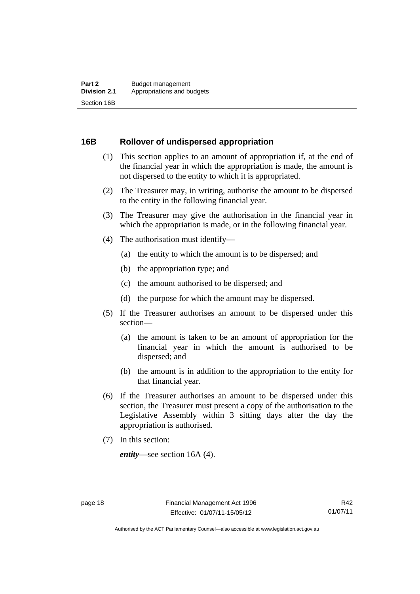#### <span id="page-27-0"></span>**16B Rollover of undispersed appropriation**

- (1) This section applies to an amount of appropriation if, at the end of the financial year in which the appropriation is made, the amount is not dispersed to the entity to which it is appropriated.
- (2) The Treasurer may, in writing, authorise the amount to be dispersed to the entity in the following financial year.
- (3) The Treasurer may give the authorisation in the financial year in which the appropriation is made, or in the following financial year.
- (4) The authorisation must identify—
	- (a) the entity to which the amount is to be dispersed; and
	- (b) the appropriation type; and
	- (c) the amount authorised to be dispersed; and
	- (d) the purpose for which the amount may be dispersed.
- (5) If the Treasurer authorises an amount to be dispersed under this section—
	- (a) the amount is taken to be an amount of appropriation for the financial year in which the amount is authorised to be dispersed; and
	- (b) the amount is in addition to the appropriation to the entity for that financial year.
- (6) If the Treasurer authorises an amount to be dispersed under this section, the Treasurer must present a copy of the authorisation to the Legislative Assembly within 3 sitting days after the day the appropriation is authorised.
- (7) In this section:

*entity*—see section 16A (4).

Authorised by the ACT Parliamentary Counsel—also accessible at www.legislation.act.gov.au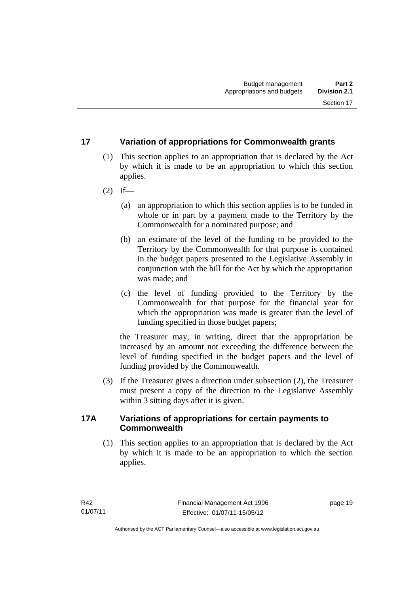#### <span id="page-28-0"></span>**17 Variation of appropriations for Commonwealth grants**

- (1) This section applies to an appropriation that is declared by the Act by which it is made to be an appropriation to which this section applies.
- $(2)$  If—
	- (a) an appropriation to which this section applies is to be funded in whole or in part by a payment made to the Territory by the Commonwealth for a nominated purpose; and
	- (b) an estimate of the level of the funding to be provided to the Territory by the Commonwealth for that purpose is contained in the budget papers presented to the Legislative Assembly in conjunction with the bill for the Act by which the appropriation was made; and
	- (c) the level of funding provided to the Territory by the Commonwealth for that purpose for the financial year for which the appropriation was made is greater than the level of funding specified in those budget papers;

the Treasurer may, in writing, direct that the appropriation be increased by an amount not exceeding the difference between the level of funding specified in the budget papers and the level of funding provided by the Commonwealth.

 (3) If the Treasurer gives a direction under subsection (2), the Treasurer must present a copy of the direction to the Legislative Assembly within 3 sitting days after it is given.

#### <span id="page-28-1"></span>**17A Variations of appropriations for certain payments to Commonwealth**

 (1) This section applies to an appropriation that is declared by the Act by which it is made to be an appropriation to which the section applies.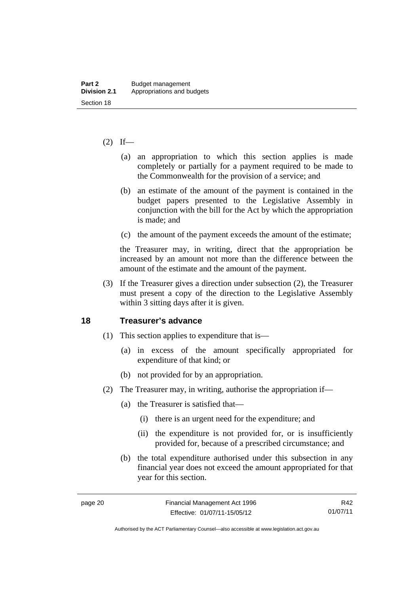#### $(2)$  If—

- (a) an appropriation to which this section applies is made completely or partially for a payment required to be made to the Commonwealth for the provision of a service; and
- (b) an estimate of the amount of the payment is contained in the budget papers presented to the Legislative Assembly in conjunction with the bill for the Act by which the appropriation is made; and
- (c) the amount of the payment exceeds the amount of the estimate;

the Treasurer may, in writing, direct that the appropriation be increased by an amount not more than the difference between the amount of the estimate and the amount of the payment.

 (3) If the Treasurer gives a direction under subsection (2), the Treasurer must present a copy of the direction to the Legislative Assembly within 3 sitting days after it is given.

#### <span id="page-29-0"></span>**18 Treasurer's advance**

- (1) This section applies to expenditure that is—
	- (a) in excess of the amount specifically appropriated for expenditure of that kind; or
	- (b) not provided for by an appropriation.
- (2) The Treasurer may, in writing, authorise the appropriation if—
	- (a) the Treasurer is satisfied that—
		- (i) there is an urgent need for the expenditure; and
		- (ii) the expenditure is not provided for, or is insufficiently provided for, because of a prescribed circumstance; and
	- (b) the total expenditure authorised under this subsection in any financial year does not exceed the amount appropriated for that year for this section.

R42 01/07/11

Authorised by the ACT Parliamentary Counsel—also accessible at www.legislation.act.gov.au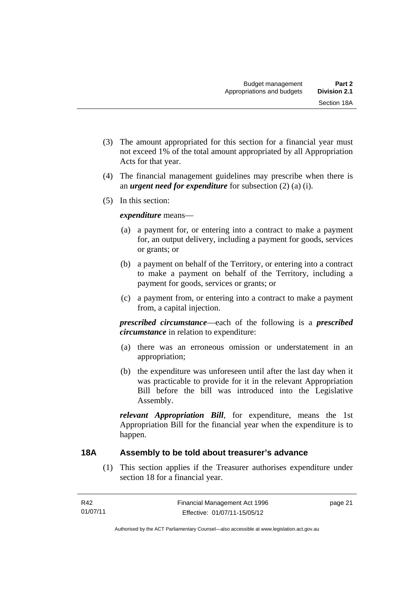- (3) The amount appropriated for this section for a financial year must not exceed 1% of the total amount appropriated by all Appropriation Acts for that year.
- (4) The financial management guidelines may prescribe when there is an *urgent need for expenditure* for subsection (2) (a) (i).
- (5) In this section:

#### *expenditure* means—

- (a) a payment for, or entering into a contract to make a payment for, an output delivery, including a payment for goods, services or grants; or
- (b) a payment on behalf of the Territory, or entering into a contract to make a payment on behalf of the Territory, including a payment for goods, services or grants; or
- (c) a payment from, or entering into a contract to make a payment from, a capital injection.

*prescribed circumstance*—each of the following is a *prescribed circumstance* in relation to expenditure:

- (a) there was an erroneous omission or understatement in an appropriation;
- (b) the expenditure was unforeseen until after the last day when it was practicable to provide for it in the relevant Appropriation Bill before the bill was introduced into the Legislative Assembly.

*relevant Appropriation Bill*, for expenditure, means the 1st Appropriation Bill for the financial year when the expenditure is to happen.

#### <span id="page-30-0"></span>**18A Assembly to be told about treasurer's advance**

(1) This section applies if the Treasurer authorises expenditure under section 18 for a financial year.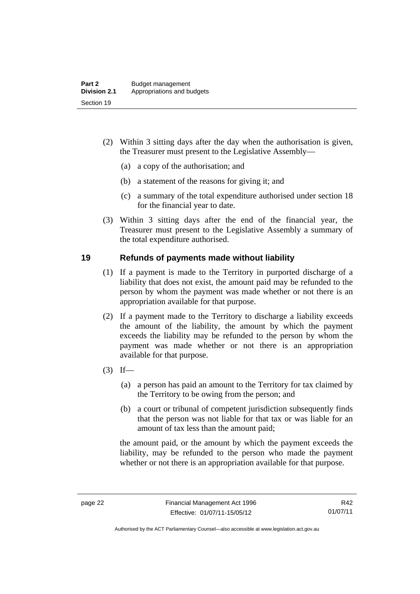- (2) Within 3 sitting days after the day when the authorisation is given, the Treasurer must present to the Legislative Assembly—
	- (a) a copy of the authorisation; and
	- (b) a statement of the reasons for giving it; and
	- (c) a summary of the total expenditure authorised under section 18 for the financial year to date.
- (3) Within 3 sitting days after the end of the financial year, the Treasurer must present to the Legislative Assembly a summary of the total expenditure authorised.

#### <span id="page-31-0"></span>**19 Refunds of payments made without liability**

- (1) If a payment is made to the Territory in purported discharge of a liability that does not exist, the amount paid may be refunded to the person by whom the payment was made whether or not there is an appropriation available for that purpose.
- (2) If a payment made to the Territory to discharge a liability exceeds the amount of the liability, the amount by which the payment exceeds the liability may be refunded to the person by whom the payment was made whether or not there is an appropriation available for that purpose.
- $(3)$  If—
	- (a) a person has paid an amount to the Territory for tax claimed by the Territory to be owing from the person; and
	- (b) a court or tribunal of competent jurisdiction subsequently finds that the person was not liable for that tax or was liable for an amount of tax less than the amount paid;

the amount paid, or the amount by which the payment exceeds the liability, may be refunded to the person who made the payment whether or not there is an appropriation available for that purpose.

Authorised by the ACT Parliamentary Counsel—also accessible at www.legislation.act.gov.au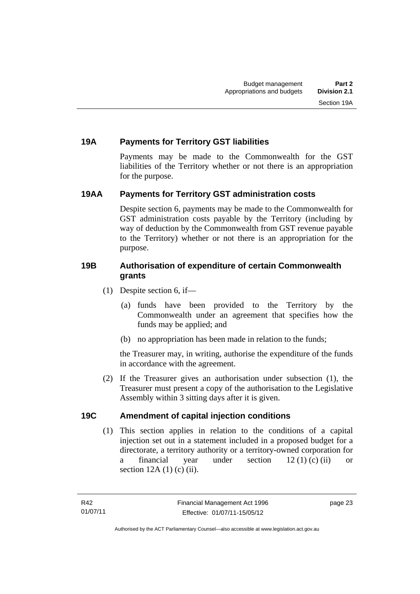#### <span id="page-32-0"></span>**19A Payments for Territory GST liabilities**

Payments may be made to the Commonwealth for the GST liabilities of the Territory whether or not there is an appropriation for the purpose.

#### <span id="page-32-1"></span>**19AA Payments for Territory GST administration costs**

Despite section 6, payments may be made to the Commonwealth for GST administration costs payable by the Territory (including by way of deduction by the Commonwealth from GST revenue payable to the Territory) whether or not there is an appropriation for the purpose.

#### <span id="page-32-2"></span>**19B Authorisation of expenditure of certain Commonwealth grants**

- (1) Despite section 6, if—
	- (a) funds have been provided to the Territory by the Commonwealth under an agreement that specifies how the funds may be applied; and
	- (b) no appropriation has been made in relation to the funds;

the Treasurer may, in writing, authorise the expenditure of the funds in accordance with the agreement.

 (2) If the Treasurer gives an authorisation under subsection (1), the Treasurer must present a copy of the authorisation to the Legislative Assembly within 3 sitting days after it is given.

#### <span id="page-32-3"></span>**19C Amendment of capital injection conditions**

(1) This section applies in relation to the conditions of a capital injection set out in a statement included in a proposed budget for a directorate, a territory authority or a territory-owned corporation for a financial year under section  $12 (1) (c) (ii)$  or section  $12A(1)$  (c) (ii).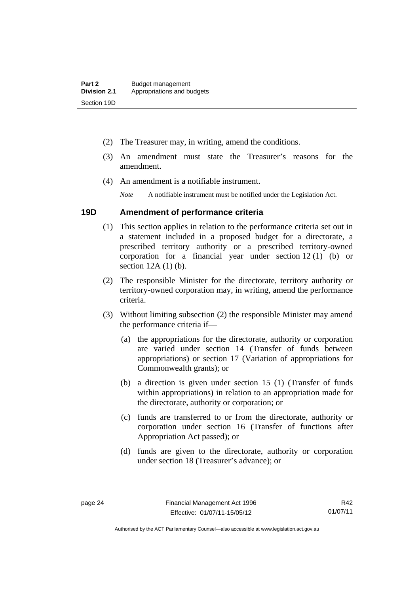- (2) The Treasurer may, in writing, amend the conditions.
- (3) An amendment must state the Treasurer's reasons for the amendment.
- (4) An amendment is a notifiable instrument.

*Note* A notifiable instrument must be notified under the Legislation Act.

#### <span id="page-33-0"></span>**19D Amendment of performance criteria**

- (1) This section applies in relation to the performance criteria set out in a statement included in a proposed budget for a directorate, a prescribed territory authority or a prescribed territory-owned corporation for a financial year under section 12 (1) (b) or section 12A (1) (b).
- (2) The responsible Minister for the directorate, territory authority or territory-owned corporation may, in writing, amend the performance criteria.
- (3) Without limiting subsection (2) the responsible Minister may amend the performance criteria if—
	- (a) the appropriations for the directorate, authority or corporation are varied under section 14 (Transfer of funds between appropriations) or section 17 (Variation of appropriations for Commonwealth grants); or
	- (b) a direction is given under section 15 (1) (Transfer of funds within appropriations) in relation to an appropriation made for the directorate, authority or corporation; or
	- (c) funds are transferred to or from the directorate, authority or corporation under section 16 (Transfer of functions after Appropriation Act passed); or
	- (d) funds are given to the directorate, authority or corporation under section 18 (Treasurer's advance); or

R42 01/07/11

Authorised by the ACT Parliamentary Counsel—also accessible at www.legislation.act.gov.au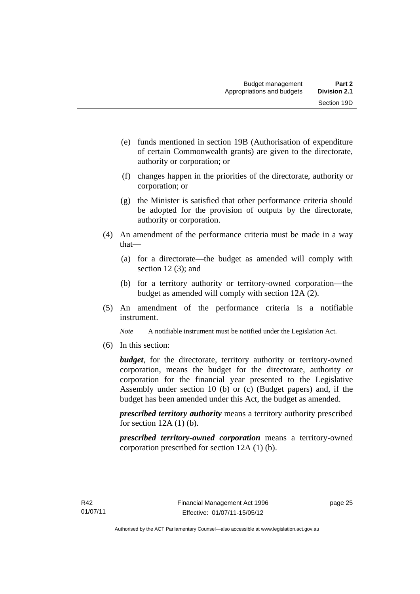- (e) funds mentioned in section 19B (Authorisation of expenditure of certain Commonwealth grants) are given to the directorate, authority or corporation; or
- (f) changes happen in the priorities of the directorate, authority or corporation; or
- (g) the Minister is satisfied that other performance criteria should be adopted for the provision of outputs by the directorate, authority or corporation.
- (4) An amendment of the performance criteria must be made in a way that—
	- (a) for a directorate—the budget as amended will comply with section 12(3); and
	- (b) for a territory authority or territory-owned corporation—the budget as amended will comply with section 12A (2).
- (5) An amendment of the performance criteria is a notifiable instrument.

*Note* A notifiable instrument must be notified under the Legislation Act.

(6) In this section:

*budget*, for the directorate, territory authority or territory-owned corporation, means the budget for the directorate, authority or corporation for the financial year presented to the Legislative Assembly under section 10 (b) or (c) (Budget papers) and, if the budget has been amended under this Act, the budget as amended.

*prescribed territory authority* means a territory authority prescribed for section  $12A(1)$  (b).

*prescribed territory-owned corporation* means a territory-owned corporation prescribed for section 12A (1) (b).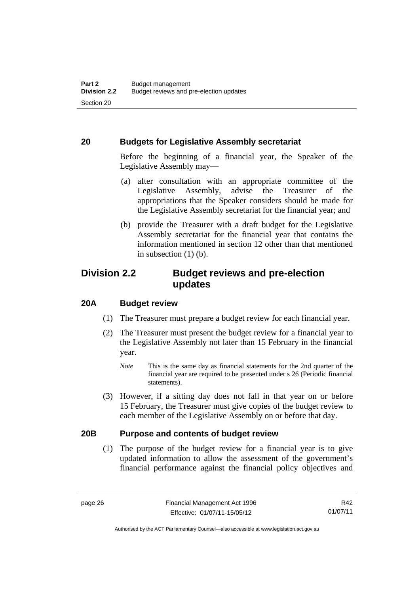#### <span id="page-35-0"></span>**20 Budgets for Legislative Assembly secretariat**

Before the beginning of a financial year, the Speaker of the Legislative Assembly may—

- (a) after consultation with an appropriate committee of the Legislative Assembly, advise the Treasurer of the appropriations that the Speaker considers should be made for the Legislative Assembly secretariat for the financial year; and
- (b) provide the Treasurer with a draft budget for the Legislative Assembly secretariat for the financial year that contains the information mentioned in section 12 other than that mentioned in subsection  $(1)$  (b).

#### <span id="page-35-1"></span>**Division 2.2 Budget reviews and pre-election updates**

#### <span id="page-35-2"></span>**20A Budget review**

- (1) The Treasurer must prepare a budget review for each financial year.
- (2) The Treasurer must present the budget review for a financial year to the Legislative Assembly not later than 15 February in the financial year.
	- *Note* This is the same day as financial statements for the 2nd quarter of the financial year are required to be presented under s 26 (Periodic financial statements).
- (3) However, if a sitting day does not fall in that year on or before 15 February, the Treasurer must give copies of the budget review to each member of the Legislative Assembly on or before that day.

#### <span id="page-35-3"></span>**20B Purpose and contents of budget review**

(1) The purpose of the budget review for a financial year is to give updated information to allow the assessment of the government's financial performance against the financial policy objectives and

R42 01/07/11

Authorised by the ACT Parliamentary Counsel—also accessible at www.legislation.act.gov.au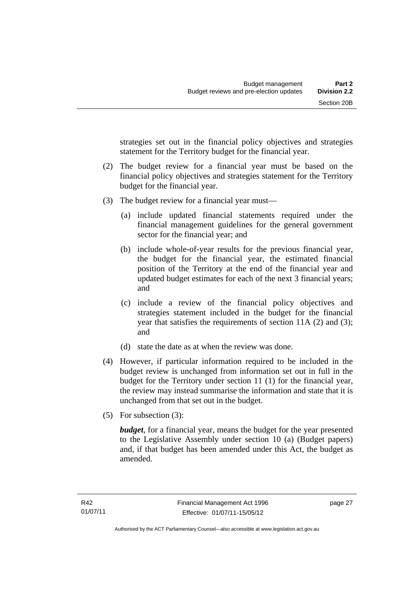strategies set out in the financial policy objectives and strategies statement for the Territory budget for the financial year.

- (2) The budget review for a financial year must be based on the financial policy objectives and strategies statement for the Territory budget for the financial year.
- (3) The budget review for a financial year must—
	- (a) include updated financial statements required under the financial management guidelines for the general government sector for the financial year; and
	- (b) include whole-of-year results for the previous financial year, the budget for the financial year, the estimated financial position of the Territory at the end of the financial year and updated budget estimates for each of the next 3 financial years; and
	- (c) include a review of the financial policy objectives and strategies statement included in the budget for the financial year that satisfies the requirements of section 11A (2) and (3); and
	- (d) state the date as at when the review was done.
- (4) However, if particular information required to be included in the budget review is unchanged from information set out in full in the budget for the Territory under section 11 (1) for the financial year, the review may instead summarise the information and state that it is unchanged from that set out in the budget.
- (5) For subsection (3):

*budget*, for a financial year, means the budget for the year presented to the Legislative Assembly under section 10 (a) (Budget papers) and, if that budget has been amended under this Act, the budget as amended.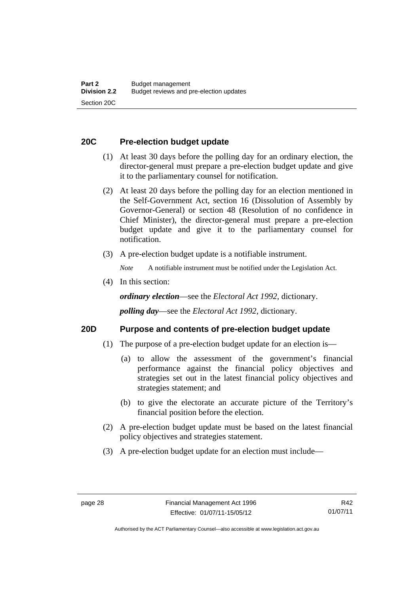#### **20C Pre-election budget update**

- (1) At least 30 days before the polling day for an ordinary election, the director-general must prepare a pre-election budget update and give it to the parliamentary counsel for notification.
- (2) At least 20 days before the polling day for an election mentioned in the Self-Government Act, section 16 (Dissolution of Assembly by Governor-General) or section 48 (Resolution of no confidence in Chief Minister), the director-general must prepare a pre-election budget update and give it to the parliamentary counsel for notification.
- (3) A pre-election budget update is a notifiable instrument.

*Note* A notifiable instrument must be notified under the Legislation Act.

(4) In this section:

*ordinary election*—see the *Electoral Act 1992*, dictionary.

*polling day*—see the *Electoral Act 1992*, dictionary.

#### **20D Purpose and contents of pre-election budget update**

- (1) The purpose of a pre-election budget update for an election is—
	- (a) to allow the assessment of the government's financial performance against the financial policy objectives and strategies set out in the latest financial policy objectives and strategies statement; and
	- (b) to give the electorate an accurate picture of the Territory's financial position before the election.
- (2) A pre-election budget update must be based on the latest financial policy objectives and strategies statement.
- (3) A pre-election budget update for an election must include—

Authorised by the ACT Parliamentary Counsel—also accessible at www.legislation.act.gov.au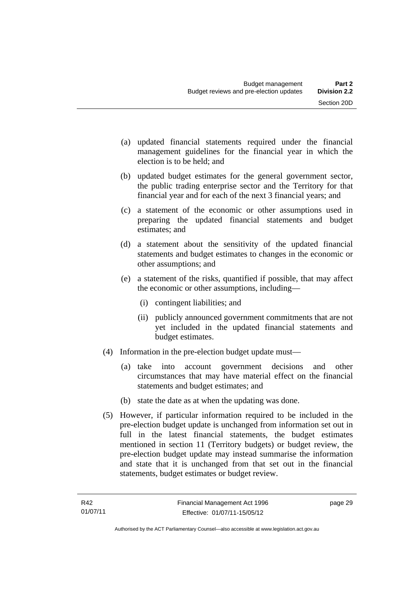- (a) updated financial statements required under the financial management guidelines for the financial year in which the election is to be held; and
- (b) updated budget estimates for the general government sector, the public trading enterprise sector and the Territory for that financial year and for each of the next 3 financial years; and
- (c) a statement of the economic or other assumptions used in preparing the updated financial statements and budget estimates; and
- (d) a statement about the sensitivity of the updated financial statements and budget estimates to changes in the economic or other assumptions; and
- (e) a statement of the risks, quantified if possible, that may affect the economic or other assumptions, including—
	- (i) contingent liabilities; and
	- (ii) publicly announced government commitments that are not yet included in the updated financial statements and budget estimates.
- (4) Information in the pre-election budget update must—
	- (a) take into account government decisions and other circumstances that may have material effect on the financial statements and budget estimates; and
	- (b) state the date as at when the updating was done.
- (5) However, if particular information required to be included in the pre-election budget update is unchanged from information set out in full in the latest financial statements, the budget estimates mentioned in section 11 (Territory budgets) or budget review, the pre-election budget update may instead summarise the information and state that it is unchanged from that set out in the financial statements, budget estimates or budget review.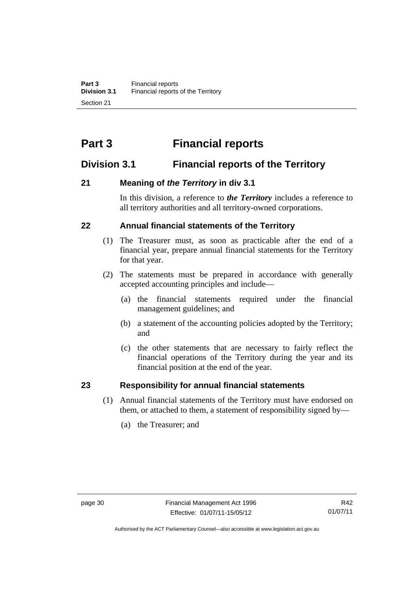# **Part 3 Financial reports**

# **Division 3.1 Financial reports of the Territory**

## **21 Meaning of** *the Territory* **in div 3.1**

In this division, a reference to *the Territory* includes a reference to all territory authorities and all territory-owned corporations.

#### **22 Annual financial statements of the Territory**

- (1) The Treasurer must, as soon as practicable after the end of a financial year, prepare annual financial statements for the Territory for that year.
- (2) The statements must be prepared in accordance with generally accepted accounting principles and include—
	- (a) the financial statements required under the financial management guidelines; and
	- (b) a statement of the accounting policies adopted by the Territory; and
	- (c) the other statements that are necessary to fairly reflect the financial operations of the Territory during the year and its financial position at the end of the year.

#### **23 Responsibility for annual financial statements**

- (1) Annual financial statements of the Territory must have endorsed on them, or attached to them, a statement of responsibility signed by—
	- (a) the Treasurer; and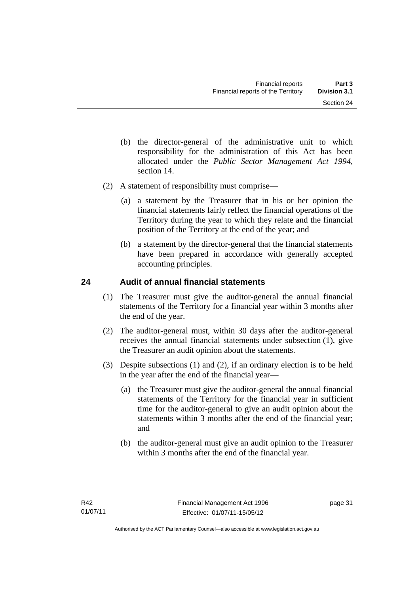- (b) the director-general of the administrative unit to which responsibility for the administration of this Act has been allocated under the *Public Sector Management Act 1994*, section 14.
- (2) A statement of responsibility must comprise—
	- (a) a statement by the Treasurer that in his or her opinion the financial statements fairly reflect the financial operations of the Territory during the year to which they relate and the financial position of the Territory at the end of the year; and
	- (b) a statement by the director-general that the financial statements have been prepared in accordance with generally accepted accounting principles.

## **24 Audit of annual financial statements**

- (1) The Treasurer must give the auditor-general the annual financial statements of the Territory for a financial year within 3 months after the end of the year.
- (2) The auditor-general must, within 30 days after the auditor-general receives the annual financial statements under subsection (1), give the Treasurer an audit opinion about the statements.
- (3) Despite subsections (1) and (2), if an ordinary election is to be held in the year after the end of the financial year—
	- (a) the Treasurer must give the auditor-general the annual financial statements of the Territory for the financial year in sufficient time for the auditor-general to give an audit opinion about the statements within 3 months after the end of the financial year; and
	- (b) the auditor-general must give an audit opinion to the Treasurer within 3 months after the end of the financial year.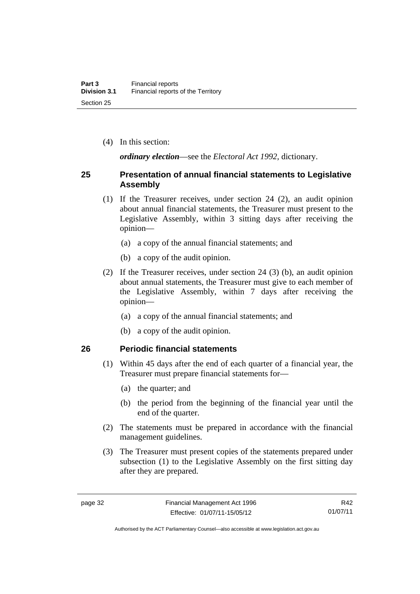(4) In this section:

*ordinary election*—see the *Electoral Act 1992*, dictionary.

#### **25 Presentation of annual financial statements to Legislative Assembly**

- (1) If the Treasurer receives, under section 24 (2), an audit opinion about annual financial statements, the Treasurer must present to the Legislative Assembly, within 3 sitting days after receiving the opinion—
	- (a) a copy of the annual financial statements; and
	- (b) a copy of the audit opinion.
- (2) If the Treasurer receives, under section 24 (3) (b), an audit opinion about annual statements, the Treasurer must give to each member of the Legislative Assembly, within 7 days after receiving the opinion—
	- (a) a copy of the annual financial statements; and
	- (b) a copy of the audit opinion.

#### **26 Periodic financial statements**

- (1) Within 45 days after the end of each quarter of a financial year, the Treasurer must prepare financial statements for—
	- (a) the quarter; and
	- (b) the period from the beginning of the financial year until the end of the quarter.
- (2) The statements must be prepared in accordance with the financial management guidelines.
- (3) The Treasurer must present copies of the statements prepared under subsection (1) to the Legislative Assembly on the first sitting day after they are prepared.

R42 01/07/11

Authorised by the ACT Parliamentary Counsel—also accessible at www.legislation.act.gov.au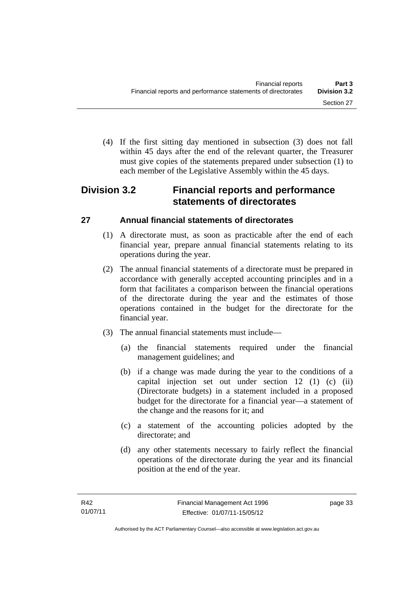(4) If the first sitting day mentioned in subsection (3) does not fall within 45 days after the end of the relevant quarter, the Treasurer must give copies of the statements prepared under subsection (1) to each member of the Legislative Assembly within the 45 days.

# **Division 3.2 Financial reports and performance statements of directorates**

# **27 Annual financial statements of directorates**

- (1) A directorate must, as soon as practicable after the end of each financial year, prepare annual financial statements relating to its operations during the year.
- (2) The annual financial statements of a directorate must be prepared in accordance with generally accepted accounting principles and in a form that facilitates a comparison between the financial operations of the directorate during the year and the estimates of those operations contained in the budget for the directorate for the financial year.
- (3) The annual financial statements must include—
	- (a) the financial statements required under the financial management guidelines; and
	- (b) if a change was made during the year to the conditions of a capital injection set out under section 12 (1) (c) (ii) (Directorate budgets) in a statement included in a proposed budget for the directorate for a financial year—a statement of the change and the reasons for it; and
	- (c) a statement of the accounting policies adopted by the directorate; and
	- (d) any other statements necessary to fairly reflect the financial operations of the directorate during the year and its financial position at the end of the year.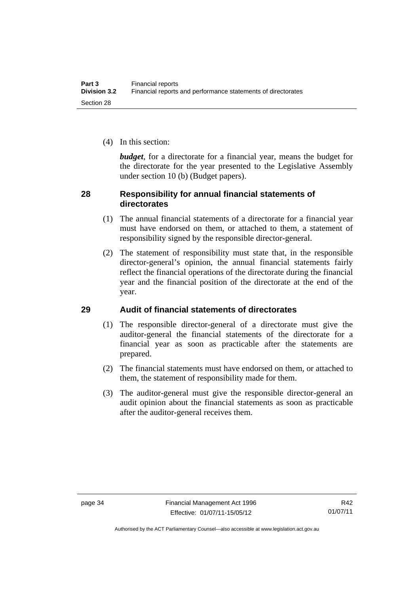(4) In this section:

*budget*, for a directorate for a financial year, means the budget for the directorate for the year presented to the Legislative Assembly under section 10 (b) (Budget papers).

#### **28 Responsibility for annual financial statements of directorates**

- (1) The annual financial statements of a directorate for a financial year must have endorsed on them, or attached to them, a statement of responsibility signed by the responsible director-general.
- (2) The statement of responsibility must state that, in the responsible director-general's opinion, the annual financial statements fairly reflect the financial operations of the directorate during the financial year and the financial position of the directorate at the end of the year.

## **29 Audit of financial statements of directorates**

- (1) The responsible director-general of a directorate must give the auditor-general the financial statements of the directorate for a financial year as soon as practicable after the statements are prepared.
- (2) The financial statements must have endorsed on them, or attached to them, the statement of responsibility made for them.
- (3) The auditor-general must give the responsible director-general an audit opinion about the financial statements as soon as practicable after the auditor-general receives them.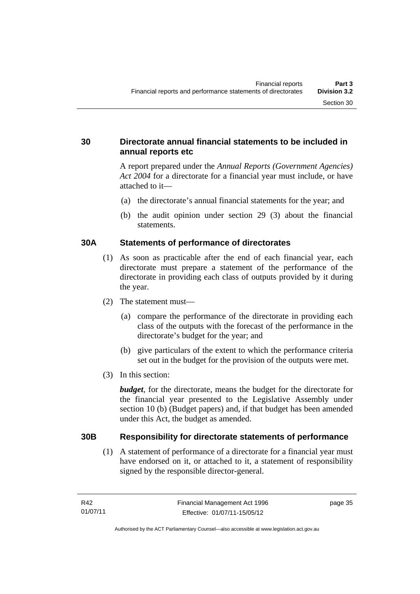#### **30 Directorate annual financial statements to be included in annual reports etc**

A report prepared under the *Annual Reports (Government Agencies) Act 2004* for a directorate for a financial year must include, or have attached to it—

- (a) the directorate's annual financial statements for the year; and
- (b) the audit opinion under section 29 (3) about the financial statements.

#### **30A Statements of performance of directorates**

- (1) As soon as practicable after the end of each financial year, each directorate must prepare a statement of the performance of the directorate in providing each class of outputs provided by it during the year.
- (2) The statement must—
	- (a) compare the performance of the directorate in providing each class of the outputs with the forecast of the performance in the directorate's budget for the year; and
	- (b) give particulars of the extent to which the performance criteria set out in the budget for the provision of the outputs were met.
- (3) In this section:

*budget*, for the directorate, means the budget for the directorate for the financial year presented to the Legislative Assembly under section 10 (b) (Budget papers) and, if that budget has been amended under this Act, the budget as amended.

#### **30B Responsibility for directorate statements of performance**

(1) A statement of performance of a directorate for a financial year must have endorsed on it, or attached to it, a statement of responsibility signed by the responsible director-general.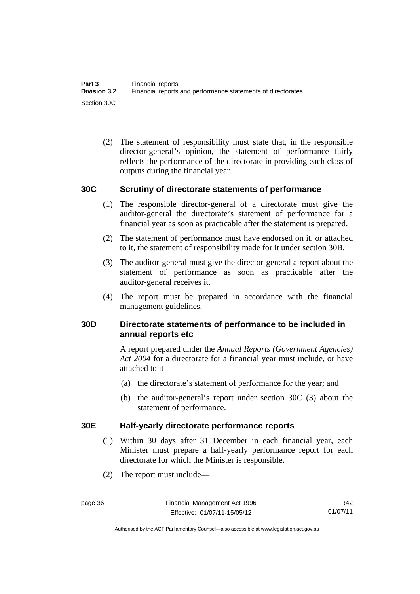(2) The statement of responsibility must state that, in the responsible director-general's opinion, the statement of performance fairly reflects the performance of the directorate in providing each class of outputs during the financial year.

#### **30C Scrutiny of directorate statements of performance**

- (1) The responsible director-general of a directorate must give the auditor-general the directorate's statement of performance for a financial year as soon as practicable after the statement is prepared.
- (2) The statement of performance must have endorsed on it, or attached to it, the statement of responsibility made for it under section 30B.
- (3) The auditor-general must give the director-general a report about the statement of performance as soon as practicable after the auditor-general receives it.
- (4) The report must be prepared in accordance with the financial management guidelines.

## **30D Directorate statements of performance to be included in annual reports etc**

A report prepared under the *Annual Reports (Government Agencies) Act 2004* for a directorate for a financial year must include, or have attached to it—

- (a) the directorate's statement of performance for the year; and
- (b) the auditor-general's report under section 30C (3) about the statement of performance.

#### **30E Half-yearly directorate performance reports**

- (1) Within 30 days after 31 December in each financial year, each Minister must prepare a half-yearly performance report for each directorate for which the Minister is responsible.
- (2) The report must include—

R42 01/07/11

Authorised by the ACT Parliamentary Counsel—also accessible at www.legislation.act.gov.au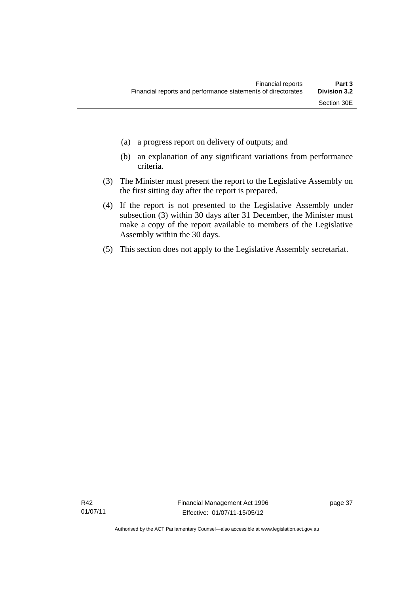- (a) a progress report on delivery of outputs; and
- (b) an explanation of any significant variations from performance criteria.
- (3) The Minister must present the report to the Legislative Assembly on the first sitting day after the report is prepared.
- (4) If the report is not presented to the Legislative Assembly under subsection (3) within 30 days after 31 December, the Minister must make a copy of the report available to members of the Legislative Assembly within the 30 days.
- (5) This section does not apply to the Legislative Assembly secretariat.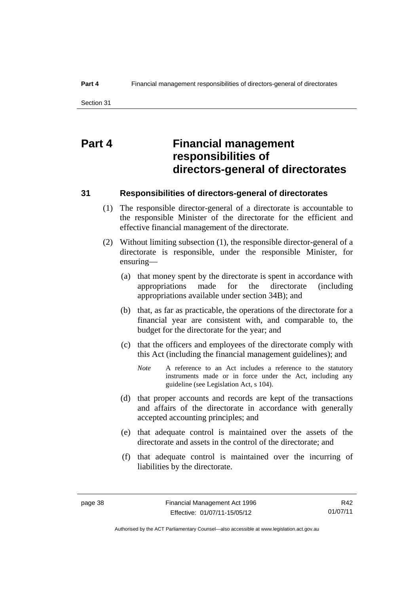# **Part 4 Financial management responsibilities of directors-general of directorates**

#### **31 Responsibilities of directors-general of directorates**

- (1) The responsible director-general of a directorate is accountable to the responsible Minister of the directorate for the efficient and effective financial management of the directorate.
- (2) Without limiting subsection (1), the responsible director-general of a directorate is responsible, under the responsible Minister, for ensuring—
	- (a) that money spent by the directorate is spent in accordance with appropriations made for the directorate (including appropriations available under section 34B); and
	- (b) that, as far as practicable, the operations of the directorate for a financial year are consistent with, and comparable to, the budget for the directorate for the year; and
	- (c) that the officers and employees of the directorate comply with this Act (including the financial management guidelines); and
		- *Note* A reference to an Act includes a reference to the statutory instruments made or in force under the Act, including any guideline (see Legislation Act, s 104).
	- (d) that proper accounts and records are kept of the transactions and affairs of the directorate in accordance with generally accepted accounting principles; and
	- (e) that adequate control is maintained over the assets of the directorate and assets in the control of the directorate; and
	- (f) that adequate control is maintained over the incurring of liabilities by the directorate.

R42 01/07/11

Authorised by the ACT Parliamentary Counsel—also accessible at www.legislation.act.gov.au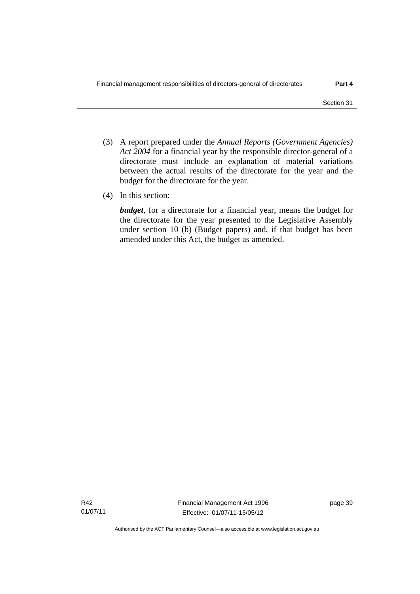- (3) A report prepared under the *Annual Reports (Government Agencies) Act 2004* for a financial year by the responsible director-general of a directorate must include an explanation of material variations between the actual results of the directorate for the year and the budget for the directorate for the year.
- (4) In this section:

*budget*, for a directorate for a financial year, means the budget for the directorate for the year presented to the Legislative Assembly under section 10 (b) (Budget papers) and, if that budget has been amended under this Act, the budget as amended.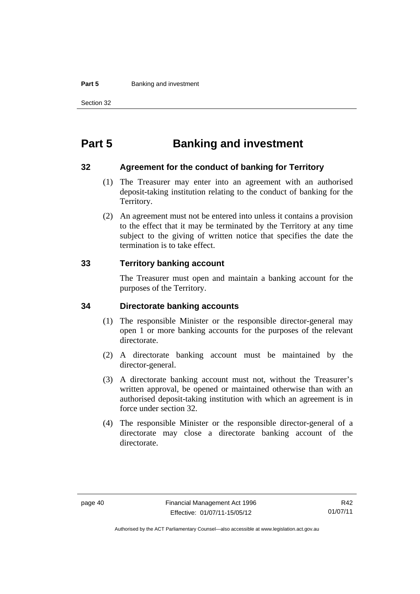#### **Part 5 Banking and investment**

Section 32

# **Part 5 Banking and investment**

#### **32 Agreement for the conduct of banking for Territory**

- (1) The Treasurer may enter into an agreement with an authorised deposit-taking institution relating to the conduct of banking for the Territory.
- (2) An agreement must not be entered into unless it contains a provision to the effect that it may be terminated by the Territory at any time subject to the giving of written notice that specifies the date the termination is to take effect.

#### **33 Territory banking account**

The Treasurer must open and maintain a banking account for the purposes of the Territory.

#### **34 Directorate banking accounts**

- (1) The responsible Minister or the responsible director-general may open 1 or more banking accounts for the purposes of the relevant directorate.
- (2) A directorate banking account must be maintained by the director-general.
- (3) A directorate banking account must not, without the Treasurer's written approval, be opened or maintained otherwise than with an authorised deposit-taking institution with which an agreement is in force under section 32.
- (4) The responsible Minister or the responsible director-general of a directorate may close a directorate banking account of the directorate.

Authorised by the ACT Parliamentary Counsel—also accessible at www.legislation.act.gov.au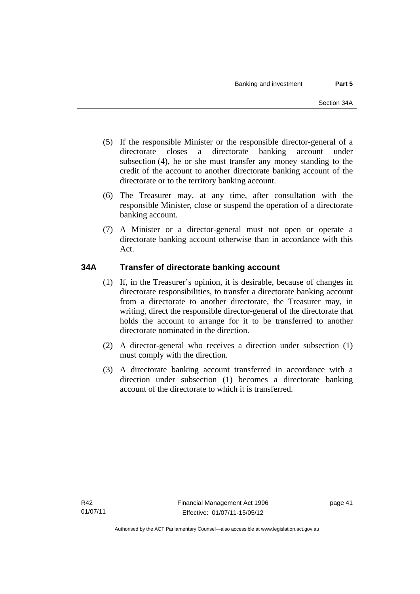- (5) If the responsible Minister or the responsible director-general of a directorate closes a directorate banking account under subsection (4), he or she must transfer any money standing to the credit of the account to another directorate banking account of the directorate or to the territory banking account.
- (6) The Treasurer may, at any time, after consultation with the responsible Minister, close or suspend the operation of a directorate banking account.
- (7) A Minister or a director-general must not open or operate a directorate banking account otherwise than in accordance with this Act.

## **34A Transfer of directorate banking account**

- (1) If, in the Treasurer's opinion, it is desirable, because of changes in directorate responsibilities, to transfer a directorate banking account from a directorate to another directorate, the Treasurer may, in writing, direct the responsible director-general of the directorate that holds the account to arrange for it to be transferred to another directorate nominated in the direction.
- (2) A director-general who receives a direction under subsection (1) must comply with the direction.
- (3) A directorate banking account transferred in accordance with a direction under subsection (1) becomes a directorate banking account of the directorate to which it is transferred.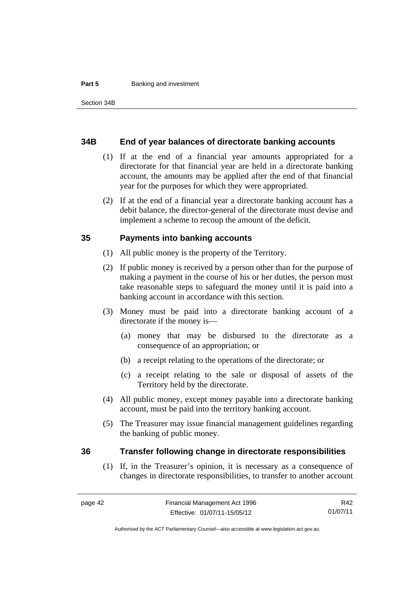#### **Part 5 Banking and investment**

#### **34B End of year balances of directorate banking accounts**

- (1) If at the end of a financial year amounts appropriated for a directorate for that financial year are held in a directorate banking account, the amounts may be applied after the end of that financial year for the purposes for which they were appropriated.
- (2) If at the end of a financial year a directorate banking account has a debit balance, the director-general of the directorate must devise and implement a scheme to recoup the amount of the deficit.

#### **35 Payments into banking accounts**

- (1) All public money is the property of the Territory.
- (2) If public money is received by a person other than for the purpose of making a payment in the course of his or her duties, the person must take reasonable steps to safeguard the money until it is paid into a banking account in accordance with this section.
- (3) Money must be paid into a directorate banking account of a directorate if the money is—
	- (a) money that may be disbursed to the directorate as a consequence of an appropriation; or
	- (b) a receipt relating to the operations of the directorate; or
	- (c) a receipt relating to the sale or disposal of assets of the Territory held by the directorate.
- (4) All public money, except money payable into a directorate banking account, must be paid into the territory banking account.
- (5) The Treasurer may issue financial management guidelines regarding the banking of public money.

#### **36 Transfer following change in directorate responsibilities**

(1) If, in the Treasurer's opinion, it is necessary as a consequence of changes in directorate responsibilities, to transfer to another account

R42 01/07/11

Authorised by the ACT Parliamentary Counsel—also accessible at www.legislation.act.gov.au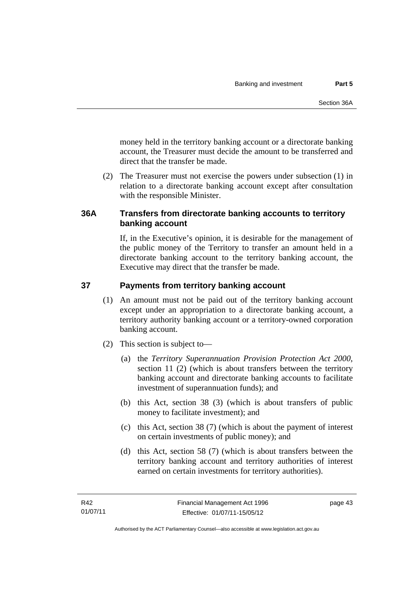money held in the territory banking account or a directorate banking account, the Treasurer must decide the amount to be transferred and direct that the transfer be made.

 (2) The Treasurer must not exercise the powers under subsection (1) in relation to a directorate banking account except after consultation with the responsible Minister.

# **36A Transfers from directorate banking accounts to territory banking account**

If, in the Executive's opinion, it is desirable for the management of the public money of the Territory to transfer an amount held in a directorate banking account to the territory banking account, the Executive may direct that the transfer be made.

#### **37 Payments from territory banking account**

- (1) An amount must not be paid out of the territory banking account except under an appropriation to a directorate banking account, a territory authority banking account or a territory-owned corporation banking account.
- (2) This section is subject to—
	- (a) the *Territory Superannuation Provision Protection Act 2000*, section 11 (2) (which is about transfers between the territory banking account and directorate banking accounts to facilitate investment of superannuation funds); and
	- (b) this Act, section 38 (3) (which is about transfers of public money to facilitate investment); and
	- (c) this Act, section 38 (7) (which is about the payment of interest on certain investments of public money); and
	- (d) this Act, section 58 (7) (which is about transfers between the territory banking account and territory authorities of interest earned on certain investments for territory authorities).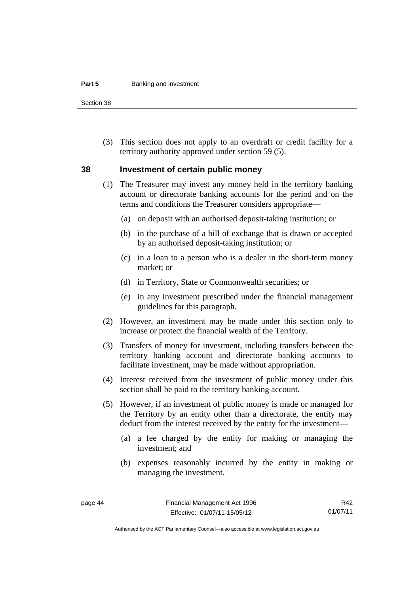#### **Part 5 Banking and investment**

Section 38

 (3) This section does not apply to an overdraft or credit facility for a territory authority approved under section 59 (5).

#### **38 Investment of certain public money**

- (1) The Treasurer may invest any money held in the territory banking account or directorate banking accounts for the period and on the terms and conditions the Treasurer considers appropriate—
	- (a) on deposit with an authorised deposit-taking institution; or
	- (b) in the purchase of a bill of exchange that is drawn or accepted by an authorised deposit-taking institution; or
	- (c) in a loan to a person who is a dealer in the short-term money market; or
	- (d) in Territory, State or Commonwealth securities; or
	- (e) in any investment prescribed under the financial management guidelines for this paragraph.
- (2) However, an investment may be made under this section only to increase or protect the financial wealth of the Territory.
- (3) Transfers of money for investment, including transfers between the territory banking account and directorate banking accounts to facilitate investment, may be made without appropriation.
- (4) Interest received from the investment of public money under this section shall be paid to the territory banking account.
- (5) However, if an investment of public money is made or managed for the Territory by an entity other than a directorate, the entity may deduct from the interest received by the entity for the investment—
	- (a) a fee charged by the entity for making or managing the investment; and
	- (b) expenses reasonably incurred by the entity in making or managing the investment.

R42 01/07/11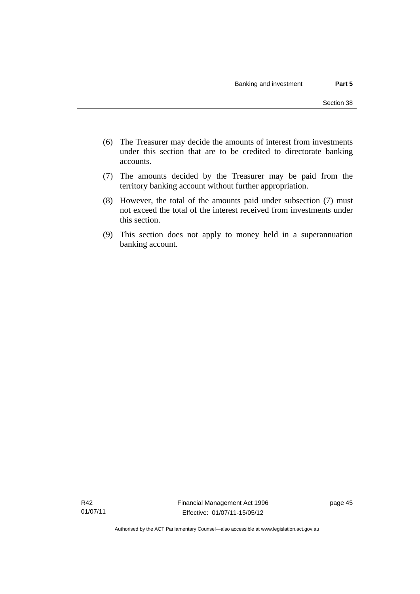- (6) The Treasurer may decide the amounts of interest from investments under this section that are to be credited to directorate banking accounts.
- (7) The amounts decided by the Treasurer may be paid from the territory banking account without further appropriation.
- (8) However, the total of the amounts paid under subsection (7) must not exceed the total of the interest received from investments under this section.
- (9) This section does not apply to money held in a superannuation banking account.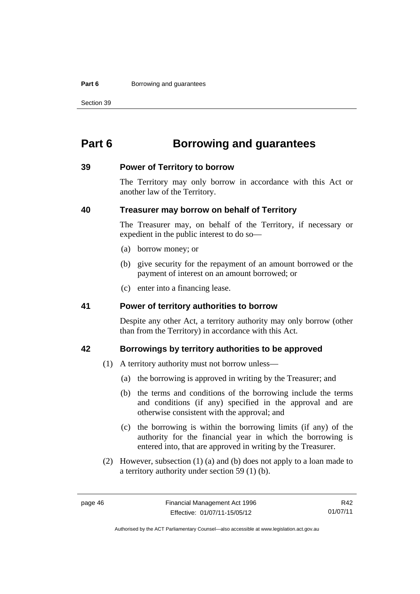#### **Part 6 Borrowing and guarantees**

Section 39

# **Part 6 Borrowing and guarantees**

#### **39 Power of Territory to borrow**

The Territory may only borrow in accordance with this Act or another law of the Territory.

#### **40 Treasurer may borrow on behalf of Territory**

The Treasurer may, on behalf of the Territory, if necessary or expedient in the public interest to do so—

- (a) borrow money; or
- (b) give security for the repayment of an amount borrowed or the payment of interest on an amount borrowed; or
- (c) enter into a financing lease.

#### **41 Power of territory authorities to borrow**

Despite any other Act, a territory authority may only borrow (other than from the Territory) in accordance with this Act.

#### **42 Borrowings by territory authorities to be approved**

- (1) A territory authority must not borrow unless—
	- (a) the borrowing is approved in writing by the Treasurer; and
	- (b) the terms and conditions of the borrowing include the terms and conditions (if any) specified in the approval and are otherwise consistent with the approval; and
	- (c) the borrowing is within the borrowing limits (if any) of the authority for the financial year in which the borrowing is entered into, that are approved in writing by the Treasurer.
- (2) However, subsection (1) (a) and (b) does not apply to a loan made to a territory authority under section 59 (1) (b).

R42 01/07/11

Authorised by the ACT Parliamentary Counsel—also accessible at www.legislation.act.gov.au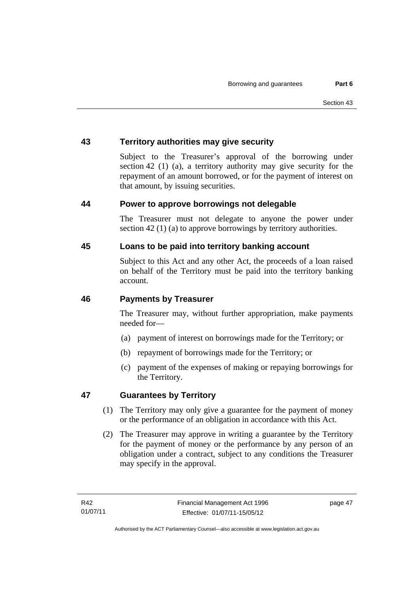#### **43 Territory authorities may give security**

Subject to the Treasurer's approval of the borrowing under section 42 (1) (a), a territory authority may give security for the repayment of an amount borrowed, or for the payment of interest on that amount, by issuing securities.

#### **44 Power to approve borrowings not delegable**

The Treasurer must not delegate to anyone the power under section 42 (1) (a) to approve borrowings by territory authorities.

#### **45 Loans to be paid into territory banking account**

Subject to this Act and any other Act, the proceeds of a loan raised on behalf of the Territory must be paid into the territory banking account.

#### **46 Payments by Treasurer**

The Treasurer may, without further appropriation, make payments needed for—

- (a) payment of interest on borrowings made for the Territory; or
- (b) repayment of borrowings made for the Territory; or
- (c) payment of the expenses of making or repaying borrowings for the Territory.

## **47 Guarantees by Territory**

- (1) The Territory may only give a guarantee for the payment of money or the performance of an obligation in accordance with this Act.
- (2) The Treasurer may approve in writing a guarantee by the Territory for the payment of money or the performance by any person of an obligation under a contract, subject to any conditions the Treasurer may specify in the approval.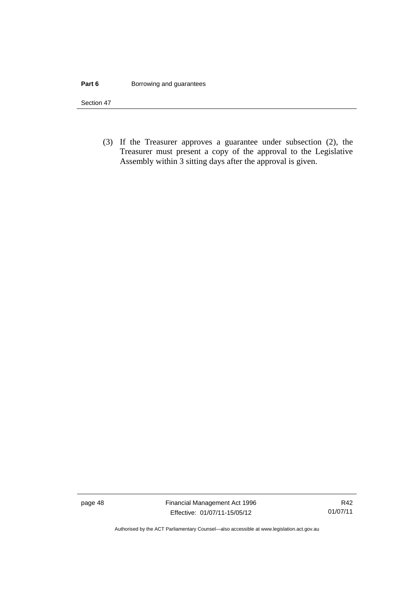#### **Part 6 Borrowing and guarantees**

Section 47

 (3) If the Treasurer approves a guarantee under subsection (2), the Treasurer must present a copy of the approval to the Legislative Assembly within 3 sitting days after the approval is given.

page 48 Financial Management Act 1996 Effective: 01/07/11-15/05/12

R42 01/07/11

Authorised by the ACT Parliamentary Counsel—also accessible at www.legislation.act.gov.au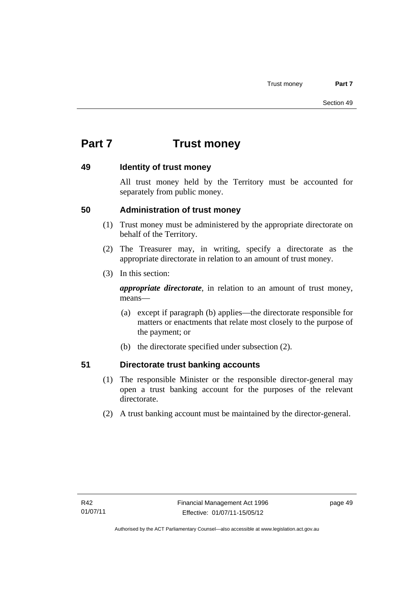# **Part 7 Trust money**

#### **49 Identity of trust money**

All trust money held by the Territory must be accounted for separately from public money.

## **50 Administration of trust money**

- (1) Trust money must be administered by the appropriate directorate on behalf of the Territory.
- (2) The Treasurer may, in writing, specify a directorate as the appropriate directorate in relation to an amount of trust money.
- (3) In this section:

*appropriate directorate*, in relation to an amount of trust money, means—

- (a) except if paragraph (b) applies—the directorate responsible for matters or enactments that relate most closely to the purpose of the payment; or
- (b) the directorate specified under subsection (2).

# **51 Directorate trust banking accounts**

- (1) The responsible Minister or the responsible director-general may open a trust banking account for the purposes of the relevant directorate.
- (2) A trust banking account must be maintained by the director-general.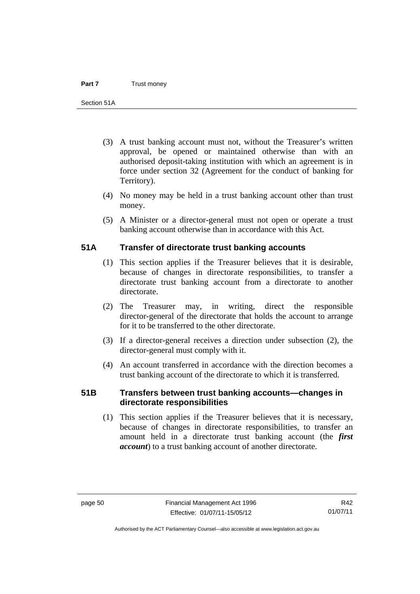- (3) A trust banking account must not, without the Treasurer's written approval, be opened or maintained otherwise than with an authorised deposit-taking institution with which an agreement is in force under section 32 (Agreement for the conduct of banking for Territory).
- (4) No money may be held in a trust banking account other than trust money.
- (5) A Minister or a director-general must not open or operate a trust banking account otherwise than in accordance with this Act.

#### **51A Transfer of directorate trust banking accounts**

- (1) This section applies if the Treasurer believes that it is desirable, because of changes in directorate responsibilities, to transfer a directorate trust banking account from a directorate to another directorate.
- (2) The Treasurer may, in writing, direct the responsible director-general of the directorate that holds the account to arrange for it to be transferred to the other directorate.
- (3) If a director-general receives a direction under subsection (2), the director-general must comply with it.
- (4) An account transferred in accordance with the direction becomes a trust banking account of the directorate to which it is transferred.

## **51B Transfers between trust banking accounts—changes in directorate responsibilities**

 (1) This section applies if the Treasurer believes that it is necessary, because of changes in directorate responsibilities, to transfer an amount held in a directorate trust banking account (the *first account*) to a trust banking account of another directorate.

Authorised by the ACT Parliamentary Counsel—also accessible at www.legislation.act.gov.au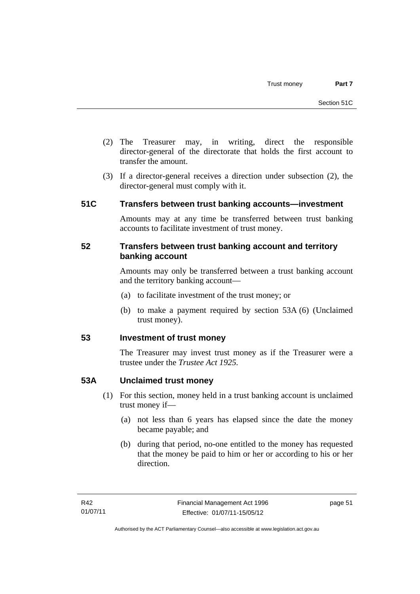- (2) The Treasurer may, in writing, direct the responsible director-general of the directorate that holds the first account to transfer the amount.
- (3) If a director-general receives a direction under subsection (2), the director-general must comply with it.

#### **51C Transfers between trust banking accounts—investment**

Amounts may at any time be transferred between trust banking accounts to facilitate investment of trust money.

#### **52 Transfers between trust banking account and territory banking account**

Amounts may only be transferred between a trust banking account and the territory banking account—

- (a) to facilitate investment of the trust money; or
- (b) to make a payment required by section 53A (6) (Unclaimed trust money).

#### **53 Investment of trust money**

The Treasurer may invest trust money as if the Treasurer were a trustee under the *Trustee Act 1925.*

#### **53A Unclaimed trust money**

- (1) For this section, money held in a trust banking account is unclaimed trust money if—
	- (a) not less than 6 years has elapsed since the date the money became payable; and
	- (b) during that period, no-one entitled to the money has requested that the money be paid to him or her or according to his or her direction.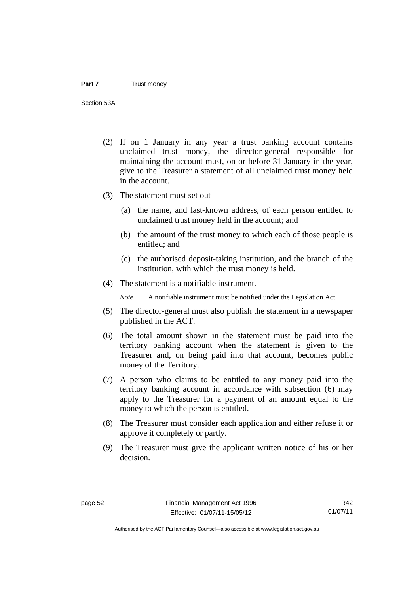Section 53A

- (2) If on 1 January in any year a trust banking account contains unclaimed trust money, the director-general responsible for maintaining the account must, on or before 31 January in the year, give to the Treasurer a statement of all unclaimed trust money held in the account.
- (3) The statement must set out—
	- (a) the name, and last-known address, of each person entitled to unclaimed trust money held in the account; and
	- (b) the amount of the trust money to which each of those people is entitled; and
	- (c) the authorised deposit-taking institution, and the branch of the institution, with which the trust money is held.
- (4) The statement is a notifiable instrument.

*Note* A notifiable instrument must be notified under the Legislation Act.

- (5) The director-general must also publish the statement in a newspaper published in the ACT.
- (6) The total amount shown in the statement must be paid into the territory banking account when the statement is given to the Treasurer and, on being paid into that account, becomes public money of the Territory.
- (7) A person who claims to be entitled to any money paid into the territory banking account in accordance with subsection (6) may apply to the Treasurer for a payment of an amount equal to the money to which the person is entitled.
- (8) The Treasurer must consider each application and either refuse it or approve it completely or partly.
- (9) The Treasurer must give the applicant written notice of his or her decision.

R42 01/07/11

Authorised by the ACT Parliamentary Counsel—also accessible at www.legislation.act.gov.au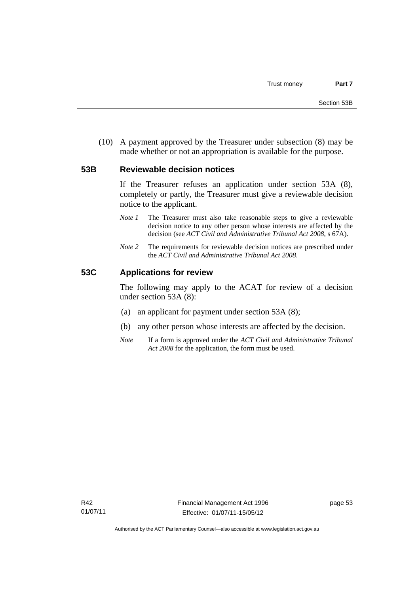(10) A payment approved by the Treasurer under subsection (8) may be made whether or not an appropriation is available for the purpose.

#### **53B Reviewable decision notices**

If the Treasurer refuses an application under section 53A (8), completely or partly, the Treasurer must give a reviewable decision notice to the applicant.

- *Note 1* The Treasurer must also take reasonable steps to give a reviewable decision notice to any other person whose interests are affected by the decision (see *ACT Civil and Administrative Tribunal Act 2008*, s 67A).
- *Note* 2 The requirements for reviewable decision notices are prescribed under the *ACT Civil and Administrative Tribunal Act 2008*.

#### **53C Applications for review**

The following may apply to the ACAT for review of a decision under section 53A (8):

- (a) an applicant for payment under section 53A (8);
- (b) any other person whose interests are affected by the decision.
- *Note* If a form is approved under the *ACT Civil and Administrative Tribunal Act 2008* for the application, the form must be used.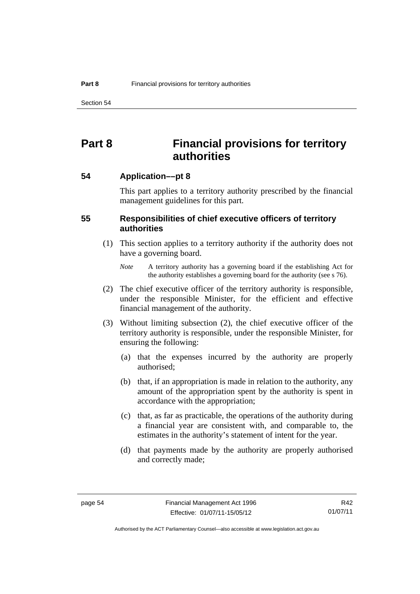Section 54

# **Part 8 Financial provisions for territory authorities**

**54 Application––pt 8** 

This part applies to a territory authority prescribed by the financial management guidelines for this part.

#### **55 Responsibilities of chief executive officers of territory authorities**

- (1) This section applies to a territory authority if the authority does not have a governing board.
	- *Note* A territory authority has a governing board if the establishing Act for the authority establishes a governing board for the authority (see s 76).
- (2) The chief executive officer of the territory authority is responsible, under the responsible Minister, for the efficient and effective financial management of the authority.
- (3) Without limiting subsection (2), the chief executive officer of the territory authority is responsible, under the responsible Minister, for ensuring the following:
	- (a) that the expenses incurred by the authority are properly authorised;
	- (b) that, if an appropriation is made in relation to the authority, any amount of the appropriation spent by the authority is spent in accordance with the appropriation;
	- (c) that, as far as practicable, the operations of the authority during a financial year are consistent with, and comparable to, the estimates in the authority's statement of intent for the year.
	- (d) that payments made by the authority are properly authorised and correctly made;

R42 01/07/11

Authorised by the ACT Parliamentary Counsel—also accessible at www.legislation.act.gov.au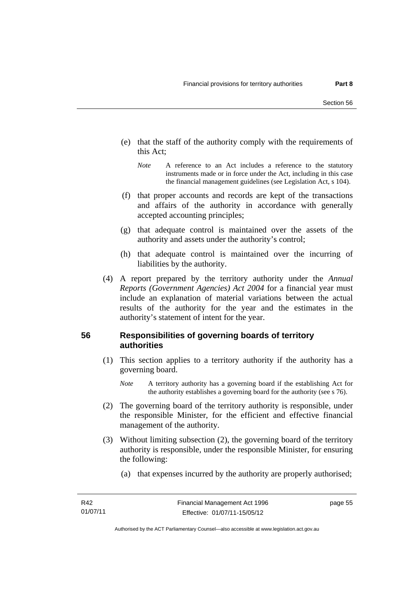- (e) that the staff of the authority comply with the requirements of this Act;
	- *Note* A reference to an Act includes a reference to the statutory instruments made or in force under the Act, including in this case the financial management guidelines (see Legislation Act, s 104).
- (f) that proper accounts and records are kept of the transactions and affairs of the authority in accordance with generally accepted accounting principles;
- (g) that adequate control is maintained over the assets of the authority and assets under the authority's control;
- (h) that adequate control is maintained over the incurring of liabilities by the authority.
- (4) A report prepared by the territory authority under the *Annual Reports (Government Agencies) Act 2004* for a financial year must include an explanation of material variations between the actual results of the authority for the year and the estimates in the authority's statement of intent for the year.

#### **56 Responsibilities of governing boards of territory authorities**

- (1) This section applies to a territory authority if the authority has a governing board.
	- *Note* A territory authority has a governing board if the establishing Act for the authority establishes a governing board for the authority (see s 76).
- (2) The governing board of the territory authority is responsible, under the responsible Minister, for the efficient and effective financial management of the authority.
- (3) Without limiting subsection (2), the governing board of the territory authority is responsible, under the responsible Minister, for ensuring the following:
	- (a) that expenses incurred by the authority are properly authorised;

page 55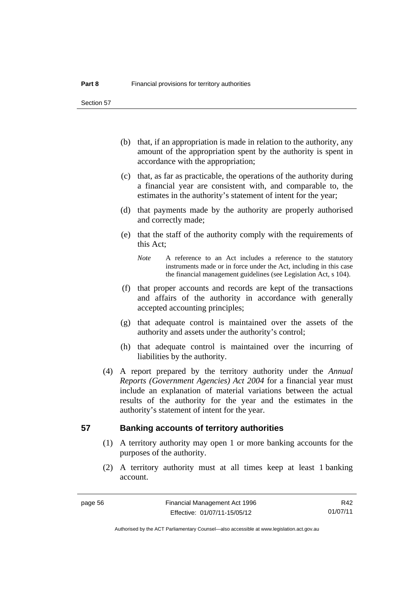Section 57

- (b) that, if an appropriation is made in relation to the authority, any amount of the appropriation spent by the authority is spent in accordance with the appropriation;
- (c) that, as far as practicable, the operations of the authority during a financial year are consistent with, and comparable to, the estimates in the authority's statement of intent for the year;
- (d) that payments made by the authority are properly authorised and correctly made;
- (e) that the staff of the authority comply with the requirements of this Act;
	- *Note* A reference to an Act includes a reference to the statutory instruments made or in force under the Act, including in this case the financial management guidelines (see Legislation Act, s 104).
- (f) that proper accounts and records are kept of the transactions and affairs of the authority in accordance with generally accepted accounting principles;
- (g) that adequate control is maintained over the assets of the authority and assets under the authority's control;
- (h) that adequate control is maintained over the incurring of liabilities by the authority.
- (4) A report prepared by the territory authority under the *Annual Reports (Government Agencies) Act 2004* for a financial year must include an explanation of material variations between the actual results of the authority for the year and the estimates in the authority's statement of intent for the year.

#### **57 Banking accounts of territory authorities**

- (1) A territory authority may open 1 or more banking accounts for the purposes of the authority.
- (2) A territory authority must at all times keep at least 1 banking account.

R42 01/07/11

Authorised by the ACT Parliamentary Counsel—also accessible at www.legislation.act.gov.au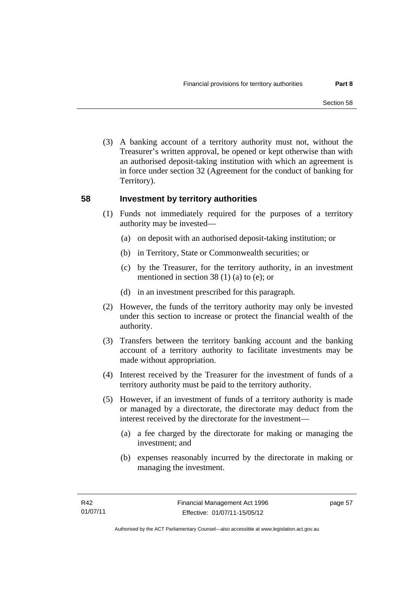(3) A banking account of a territory authority must not, without the Treasurer's written approval, be opened or kept otherwise than with an authorised deposit-taking institution with which an agreement is in force under section 32 (Agreement for the conduct of banking for Territory).

#### **58 Investment by territory authorities**

- (1) Funds not immediately required for the purposes of a territory authority may be invested—
	- (a) on deposit with an authorised deposit-taking institution; or
	- (b) in Territory, State or Commonwealth securities; or
	- (c) by the Treasurer, for the territory authority, in an investment mentioned in section 38 (1) (a) to (e); or
	- (d) in an investment prescribed for this paragraph.
- (2) However, the funds of the territory authority may only be invested under this section to increase or protect the financial wealth of the authority.
- (3) Transfers between the territory banking account and the banking account of a territory authority to facilitate investments may be made without appropriation.
- (4) Interest received by the Treasurer for the investment of funds of a territory authority must be paid to the territory authority.
- (5) However, if an investment of funds of a territory authority is made or managed by a directorate, the directorate may deduct from the interest received by the directorate for the investment—
	- (a) a fee charged by the directorate for making or managing the investment; and
	- (b) expenses reasonably incurred by the directorate in making or managing the investment.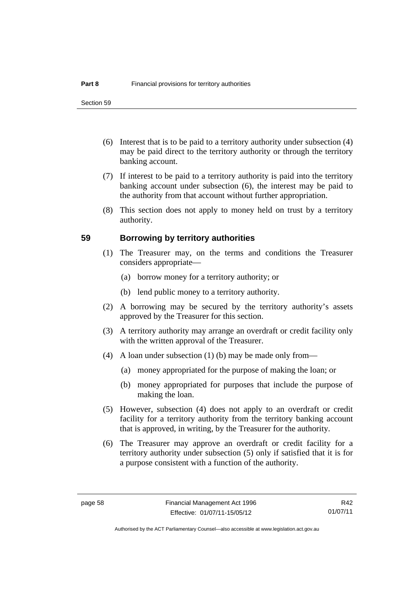- (6) Interest that is to be paid to a territory authority under subsection (4) may be paid direct to the territory authority or through the territory banking account.
- (7) If interest to be paid to a territory authority is paid into the territory banking account under subsection (6), the interest may be paid to the authority from that account without further appropriation.
- (8) This section does not apply to money held on trust by a territory authority.

#### **59 Borrowing by territory authorities**

- (1) The Treasurer may, on the terms and conditions the Treasurer considers appropriate—
	- (a) borrow money for a territory authority; or
	- (b) lend public money to a territory authority.
- (2) A borrowing may be secured by the territory authority's assets approved by the Treasurer for this section.
- (3) A territory authority may arrange an overdraft or credit facility only with the written approval of the Treasurer.
- (4) A loan under subsection (1) (b) may be made only from—
	- (a) money appropriated for the purpose of making the loan; or
	- (b) money appropriated for purposes that include the purpose of making the loan.
- (5) However, subsection (4) does not apply to an overdraft or credit facility for a territory authority from the territory banking account that is approved, in writing, by the Treasurer for the authority.
- (6) The Treasurer may approve an overdraft or credit facility for a territory authority under subsection (5) only if satisfied that it is for a purpose consistent with a function of the authority.

R42 01/07/11

Authorised by the ACT Parliamentary Counsel—also accessible at www.legislation.act.gov.au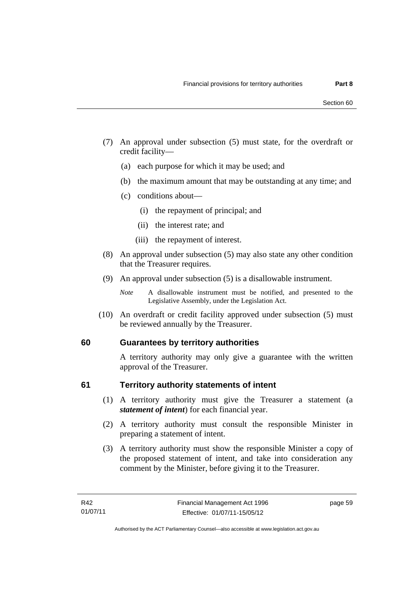- (7) An approval under subsection (5) must state, for the overdraft or credit facility—
	- (a) each purpose for which it may be used; and
	- (b) the maximum amount that may be outstanding at any time; and
	- (c) conditions about—
		- (i) the repayment of principal; and
		- (ii) the interest rate; and
		- (iii) the repayment of interest.
- (8) An approval under subsection (5) may also state any other condition that the Treasurer requires.
- (9) An approval under subsection (5) is a disallowable instrument.

 (10) An overdraft or credit facility approved under subsection (5) must be reviewed annually by the Treasurer.

## **60 Guarantees by territory authorities**

A territory authority may only give a guarantee with the written approval of the Treasurer.

#### **61 Territory authority statements of intent**

- (1) A territory authority must give the Treasurer a statement (a *statement of intent*) for each financial year.
- (2) A territory authority must consult the responsible Minister in preparing a statement of intent.
- (3) A territory authority must show the responsible Minister a copy of the proposed statement of intent, and take into consideration any comment by the Minister, before giving it to the Treasurer.

*Note* A disallowable instrument must be notified, and presented to the Legislative Assembly, under the Legislation Act.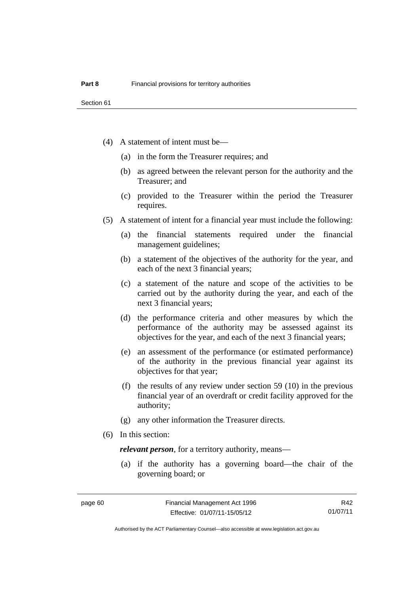- (4) A statement of intent must be—
	- (a) in the form the Treasurer requires; and
	- (b) as agreed between the relevant person for the authority and the Treasurer; and
	- (c) provided to the Treasurer within the period the Treasurer requires.
- (5) A statement of intent for a financial year must include the following:
	- (a) the financial statements required under the financial management guidelines;
	- (b) a statement of the objectives of the authority for the year, and each of the next 3 financial years;
	- (c) a statement of the nature and scope of the activities to be carried out by the authority during the year, and each of the next 3 financial years;
	- (d) the performance criteria and other measures by which the performance of the authority may be assessed against its objectives for the year, and each of the next 3 financial years;
	- (e) an assessment of the performance (or estimated performance) of the authority in the previous financial year against its objectives for that year;
	- (f) the results of any review under section 59 (10) in the previous financial year of an overdraft or credit facility approved for the authority;
	- (g) any other information the Treasurer directs.
- (6) In this section:

*relevant person*, for a territory authority, means—

 (a) if the authority has a governing board—the chair of the governing board; or

R42 01/07/11

Authorised by the ACT Parliamentary Counsel—also accessible at www.legislation.act.gov.au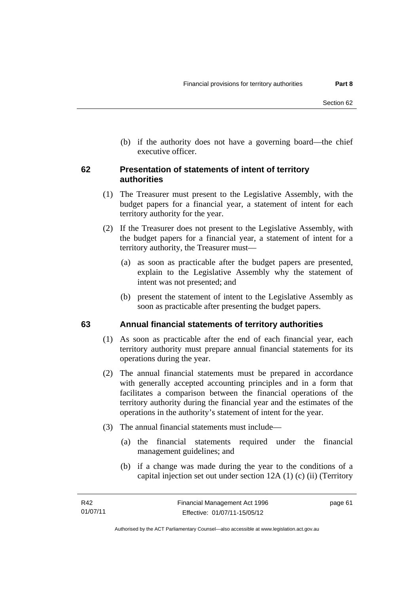(b) if the authority does not have a governing board—the chief executive officer.

## **62 Presentation of statements of intent of territory authorities**

- (1) The Treasurer must present to the Legislative Assembly, with the budget papers for a financial year, a statement of intent for each territory authority for the year.
- (2) If the Treasurer does not present to the Legislative Assembly, with the budget papers for a financial year, a statement of intent for a territory authority, the Treasurer must—
	- (a) as soon as practicable after the budget papers are presented, explain to the Legislative Assembly why the statement of intent was not presented; and
	- (b) present the statement of intent to the Legislative Assembly as soon as practicable after presenting the budget papers.

#### **63 Annual financial statements of territory authorities**

- (1) As soon as practicable after the end of each financial year, each territory authority must prepare annual financial statements for its operations during the year.
- (2) The annual financial statements must be prepared in accordance with generally accepted accounting principles and in a form that facilitates a comparison between the financial operations of the territory authority during the financial year and the estimates of the operations in the authority's statement of intent for the year.
- (3) The annual financial statements must include—
	- (a) the financial statements required under the financial management guidelines; and
	- (b) if a change was made during the year to the conditions of a capital injection set out under section 12A (1) (c) (ii) (Territory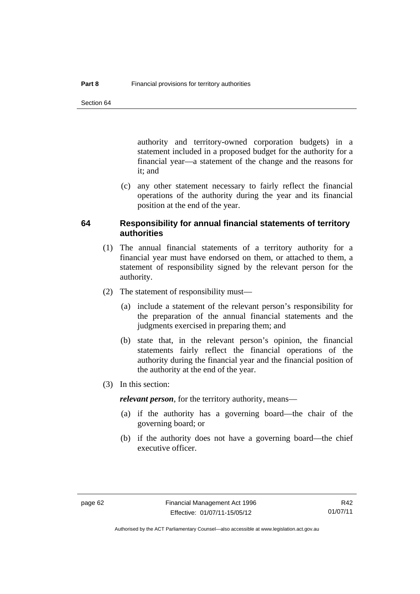authority and territory-owned corporation budgets) in a statement included in a proposed budget for the authority for a financial year—a statement of the change and the reasons for it; and

 (c) any other statement necessary to fairly reflect the financial operations of the authority during the year and its financial position at the end of the year.

#### **64 Responsibility for annual financial statements of territory authorities**

- (1) The annual financial statements of a territory authority for a financial year must have endorsed on them, or attached to them, a statement of responsibility signed by the relevant person for the authority.
- (2) The statement of responsibility must—
	- (a) include a statement of the relevant person's responsibility for the preparation of the annual financial statements and the judgments exercised in preparing them; and
	- (b) state that, in the relevant person's opinion, the financial statements fairly reflect the financial operations of the authority during the financial year and the financial position of the authority at the end of the year.
- (3) In this section:

*relevant person*, for the territory authority, means—

- (a) if the authority has a governing board—the chair of the governing board; or
- (b) if the authority does not have a governing board—the chief executive officer.

R42 01/07/11

Authorised by the ACT Parliamentary Counsel—also accessible at www.legislation.act.gov.au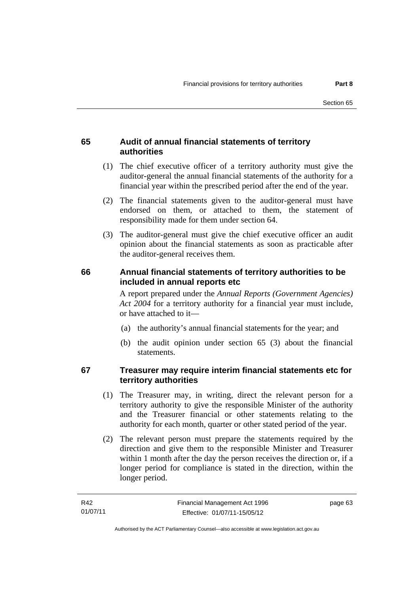# **65 Audit of annual financial statements of territory authorities**

- (1) The chief executive officer of a territory authority must give the auditor-general the annual financial statements of the authority for a financial year within the prescribed period after the end of the year.
- (2) The financial statements given to the auditor-general must have endorsed on them, or attached to them, the statement of responsibility made for them under section 64.
- (3) The auditor-general must give the chief executive officer an audit opinion about the financial statements as soon as practicable after the auditor-general receives them.

# **66 Annual financial statements of territory authorities to be included in annual reports etc**

A report prepared under the *Annual Reports (Government Agencies) Act 2004* for a territory authority for a financial year must include, or have attached to it—

- (a) the authority's annual financial statements for the year; and
- (b) the audit opinion under section 65 (3) about the financial statements.

# **67 Treasurer may require interim financial statements etc for territory authorities**

- (1) The Treasurer may, in writing, direct the relevant person for a territory authority to give the responsible Minister of the authority and the Treasurer financial or other statements relating to the authority for each month, quarter or other stated period of the year.
- (2) The relevant person must prepare the statements required by the direction and give them to the responsible Minister and Treasurer within 1 month after the day the person receives the direction or, if a longer period for compliance is stated in the direction, within the longer period.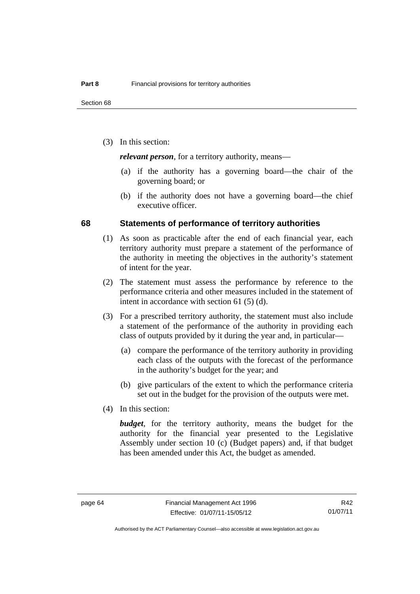(3) In this section:

*relevant person*, for a territory authority, means—

- (a) if the authority has a governing board—the chair of the governing board; or
- (b) if the authority does not have a governing board—the chief executive officer.

#### **68 Statements of performance of territory authorities**

- (1) As soon as practicable after the end of each financial year, each territory authority must prepare a statement of the performance of the authority in meeting the objectives in the authority's statement of intent for the year.
- (2) The statement must assess the performance by reference to the performance criteria and other measures included in the statement of intent in accordance with section 61 (5) (d).
- (3) For a prescribed territory authority, the statement must also include a statement of the performance of the authority in providing each class of outputs provided by it during the year and, in particular—
	- (a) compare the performance of the territory authority in providing each class of the outputs with the forecast of the performance in the authority's budget for the year; and
	- (b) give particulars of the extent to which the performance criteria set out in the budget for the provision of the outputs were met.
- (4) In this section:

*budget*, for the territory authority, means the budget for the authority for the financial year presented to the Legislative Assembly under section 10 (c) (Budget papers) and, if that budget has been amended under this Act, the budget as amended.

R42 01/07/11

Authorised by the ACT Parliamentary Counsel—also accessible at www.legislation.act.gov.au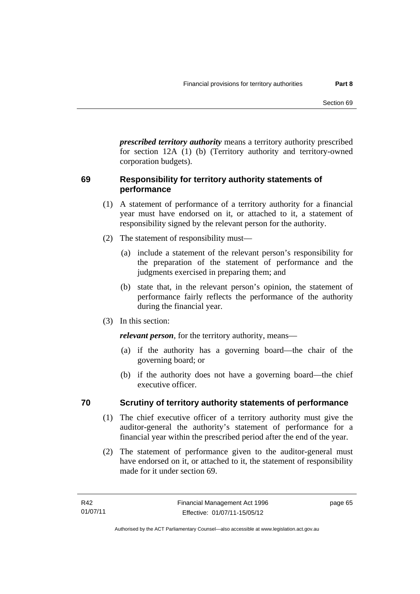*prescribed territory authority* means a territory authority prescribed for section 12A (1) (b) (Territory authority and territory-owned corporation budgets).

# **69 Responsibility for territory authority statements of performance**

- (1) A statement of performance of a territory authority for a financial year must have endorsed on it, or attached to it, a statement of responsibility signed by the relevant person for the authority.
- (2) The statement of responsibility must—
	- (a) include a statement of the relevant person's responsibility for the preparation of the statement of performance and the judgments exercised in preparing them; and
	- (b) state that, in the relevant person's opinion, the statement of performance fairly reflects the performance of the authority during the financial year.
- (3) In this section:

*relevant person*, for the territory authority, means—

- (a) if the authority has a governing board—the chair of the governing board; or
- (b) if the authority does not have a governing board—the chief executive officer.

# **70 Scrutiny of territory authority statements of performance**

- (1) The chief executive officer of a territory authority must give the auditor-general the authority's statement of performance for a financial year within the prescribed period after the end of the year.
- (2) The statement of performance given to the auditor-general must have endorsed on it, or attached to it, the statement of responsibility made for it under section 69.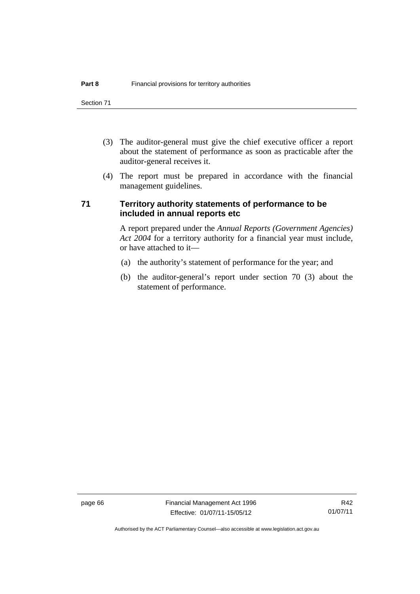Section 71

- (3) The auditor-general must give the chief executive officer a report about the statement of performance as soon as practicable after the auditor-general receives it.
- (4) The report must be prepared in accordance with the financial management guidelines.

# **71 Territory authority statements of performance to be included in annual reports etc**

A report prepared under the *Annual Reports (Government Agencies) Act 2004* for a territory authority for a financial year must include, or have attached to it—

- (a) the authority's statement of performance for the year; and
- (b) the auditor-general's report under section 70 (3) about the statement of performance.

page 66 Financial Management Act 1996 Effective: 01/07/11-15/05/12

Authorised by the ACT Parliamentary Counsel—also accessible at www.legislation.act.gov.au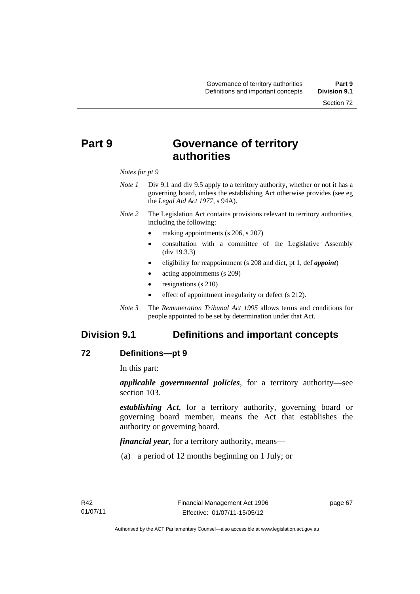# **Part 9 Governance of territory authorities**

#### *Notes for pt 9*

- *Note 1* Div 9.1 and div 9.5 apply to a territory authority, whether or not it has a governing board, unless the establishing Act otherwise provides (see eg the *Legal Aid Act 1977*, s 94A).
- *Note 2* The Legislation Act contains provisions relevant to territory authorities, including the following:
	- making appointments (s 206, s 207)
	- consultation with a committee of the Legislative Assembly (div 19.3.3)
	- eligibility for reappointment (s 208 and dict, pt 1, def *appoint*)
	- acting appointments (s 209)
	- resignations (s 210)
	- effect of appointment irregularity or defect (s 212).
- *Note 3* The *Remuneration Tribunal Act 1995* allows terms and conditions for people appointed to be set by determination under that Act.

# **Division 9.1 Definitions and important concepts**

## **72 Definitions—pt 9**

In this part:

*applicable governmental policies*, for a territory authority—see section 103.

*establishing Act*, for a territory authority, governing board or governing board member, means the Act that establishes the authority or governing board.

*financial year*, for a territory authority, means—

(a) a period of 12 months beginning on 1 July; or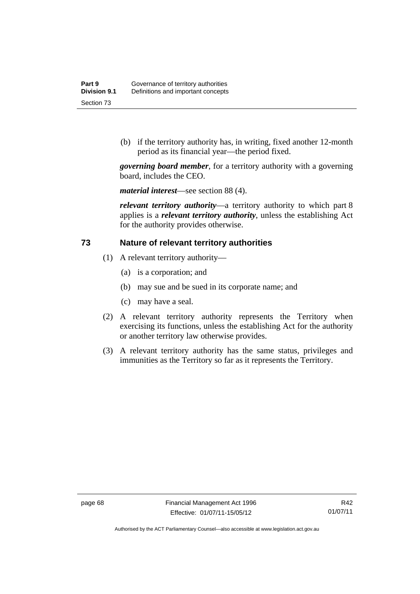(b) if the territory authority has, in writing, fixed another 12-month period as its financial year—the period fixed.

*governing board member*, for a territory authority with a governing board, includes the CEO.

*material interest*—see section 88 (4).

*relevant territory authority*—a territory authority to which part 8 applies is a *relevant territory authority*, unless the establishing Act for the authority provides otherwise.

#### **73 Nature of relevant territory authorities**

- (1) A relevant territory authority—
	- (a) is a corporation; and
	- (b) may sue and be sued in its corporate name; and
	- (c) may have a seal.
- (2) A relevant territory authority represents the Territory when exercising its functions, unless the establishing Act for the authority or another territory law otherwise provides.
- (3) A relevant territory authority has the same status, privileges and immunities as the Territory so far as it represents the Territory.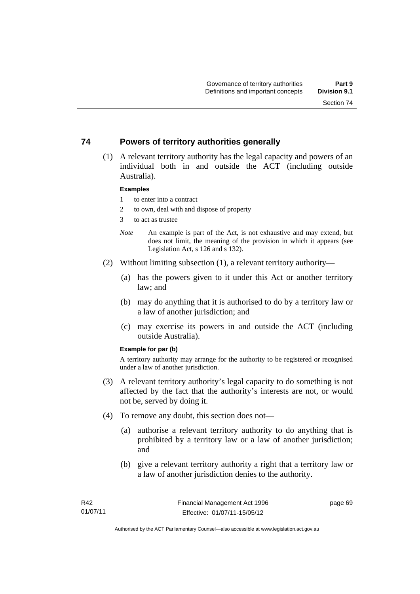# **74 Powers of territory authorities generally**

 (1) A relevant territory authority has the legal capacity and powers of an individual both in and outside the ACT (including outside Australia).

#### **Examples**

- 1 to enter into a contract
- 2 to own, deal with and dispose of property
- 3 to act as trustee
- *Note* An example is part of the Act, is not exhaustive and may extend, but does not limit, the meaning of the provision in which it appears (see Legislation Act, s 126 and s 132).
- (2) Without limiting subsection (1), a relevant territory authority—
	- (a) has the powers given to it under this Act or another territory law; and
	- (b) may do anything that it is authorised to do by a territory law or a law of another jurisdiction; and
	- (c) may exercise its powers in and outside the ACT (including outside Australia).

#### **Example for par (b)**

A territory authority may arrange for the authority to be registered or recognised under a law of another jurisdiction.

- (3) A relevant territory authority's legal capacity to do something is not affected by the fact that the authority's interests are not, or would not be, served by doing it.
- (4) To remove any doubt, this section does not—
	- (a) authorise a relevant territory authority to do anything that is prohibited by a territory law or a law of another jurisdiction; and
	- (b) give a relevant territory authority a right that a territory law or a law of another jurisdiction denies to the authority.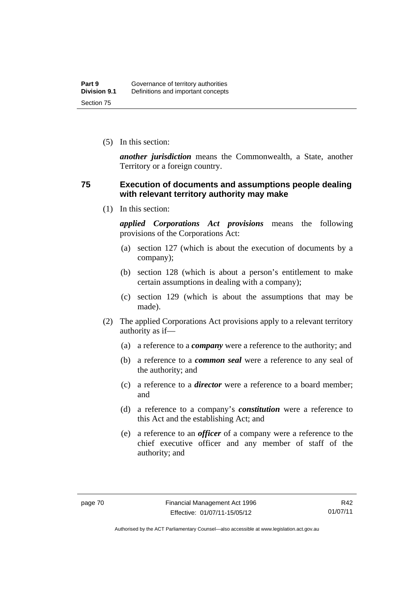(5) In this section:

*another jurisdiction* means the Commonwealth, a State, another Territory or a foreign country.

## **75 Execution of documents and assumptions people dealing with relevant territory authority may make**

(1) In this section:

*applied Corporations Act provisions* means the following provisions of the Corporations Act:

- (a) section 127 (which is about the execution of documents by a company);
- (b) section 128 (which is about a person's entitlement to make certain assumptions in dealing with a company);
- (c) section 129 (which is about the assumptions that may be made).
- (2) The applied Corporations Act provisions apply to a relevant territory authority as if—
	- (a) a reference to a *company* were a reference to the authority; and
	- (b) a reference to a *common seal* were a reference to any seal of the authority; and
	- (c) a reference to a *director* were a reference to a board member; and
	- (d) a reference to a company's *constitution* were a reference to this Act and the establishing Act; and
	- (e) a reference to an *officer* of a company were a reference to the chief executive officer and any member of staff of the authority; and

R42 01/07/11

Authorised by the ACT Parliamentary Counsel—also accessible at www.legislation.act.gov.au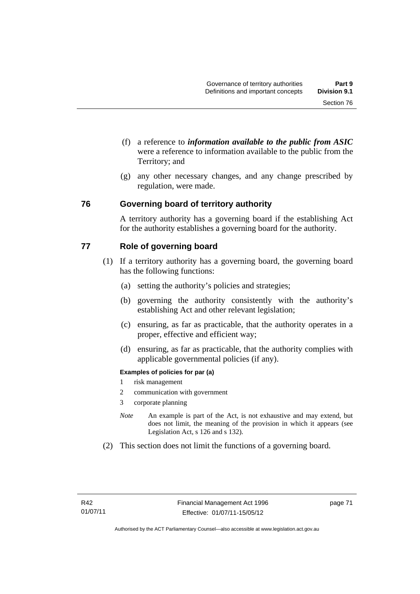- (f) a reference to *information available to the public from ASIC*  were a reference to information available to the public from the Territory; and
- (g) any other necessary changes, and any change prescribed by regulation, were made.

# **76 Governing board of territory authority**

A territory authority has a governing board if the establishing Act for the authority establishes a governing board for the authority.

# **77 Role of governing board**

- (1) If a territory authority has a governing board, the governing board has the following functions:
	- (a) setting the authority's policies and strategies;
	- (b) governing the authority consistently with the authority's establishing Act and other relevant legislation;
	- (c) ensuring, as far as practicable, that the authority operates in a proper, effective and efficient way;
	- (d) ensuring, as far as practicable, that the authority complies with applicable governmental policies (if any).

#### **Examples of policies for par (a)**

- 1 risk management
- 2 communication with government
- 3 corporate planning
- *Note* An example is part of the Act, is not exhaustive and may extend, but does not limit, the meaning of the provision in which it appears (see Legislation Act, s 126 and s 132).
- (2) This section does not limit the functions of a governing board.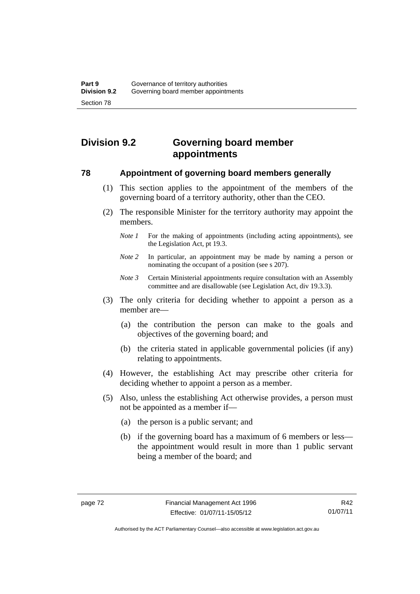# **Division 9.2 Governing board member appointments**

## **78 Appointment of governing board members generally**

- (1) This section applies to the appointment of the members of the governing board of a territory authority, other than the CEO.
- (2) The responsible Minister for the territory authority may appoint the members.
	- *Note 1* For the making of appointments (including acting appointments), see the Legislation Act, pt 19.3.
	- *Note 2* In particular, an appointment may be made by naming a person or nominating the occupant of a position (see s 207).
	- *Note 3* Certain Ministerial appointments require consultation with an Assembly committee and are disallowable (see Legislation Act, div 19.3.3).
- (3) The only criteria for deciding whether to appoint a person as a member are—
	- (a) the contribution the person can make to the goals and objectives of the governing board; and
	- (b) the criteria stated in applicable governmental policies (if any) relating to appointments.
- (4) However, the establishing Act may prescribe other criteria for deciding whether to appoint a person as a member.
- (5) Also, unless the establishing Act otherwise provides, a person must not be appointed as a member if—
	- (a) the person is a public servant; and
	- (b) if the governing board has a maximum of 6 members or less the appointment would result in more than 1 public servant being a member of the board; and

R42 01/07/11

Authorised by the ACT Parliamentary Counsel—also accessible at www.legislation.act.gov.au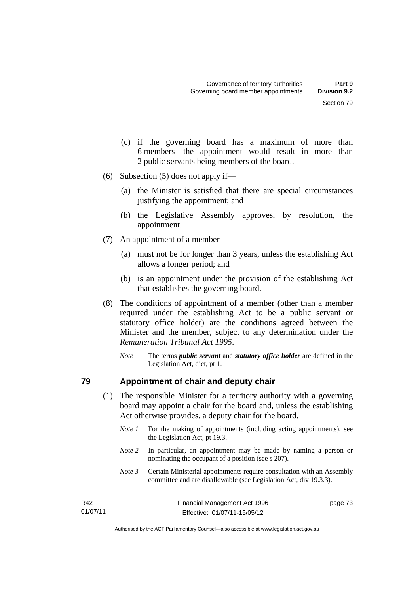- (c) if the governing board has a maximum of more than 6 members—the appointment would result in more than 2 public servants being members of the board.
- (6) Subsection (5) does not apply if—
	- (a) the Minister is satisfied that there are special circumstances justifying the appointment; and
	- (b) the Legislative Assembly approves, by resolution, the appointment.
- (7) An appointment of a member—
	- (a) must not be for longer than 3 years, unless the establishing Act allows a longer period; and
	- (b) is an appointment under the provision of the establishing Act that establishes the governing board.
- (8) The conditions of appointment of a member (other than a member required under the establishing Act to be a public servant or statutory office holder) are the conditions agreed between the Minister and the member, subject to any determination under the *Remuneration Tribunal Act 1995*.
	- *Note* The terms *public servant* and *statutory office holder* are defined in the Legislation Act, dict, pt 1.

## **79 Appointment of chair and deputy chair**

- (1) The responsible Minister for a territory authority with a governing board may appoint a chair for the board and, unless the establishing Act otherwise provides, a deputy chair for the board.
	- *Note 1* For the making of appointments (including acting appointments), see the Legislation Act, pt 19.3.
	- *Note 2* In particular, an appointment may be made by naming a person or nominating the occupant of a position (see s 207).
	- *Note 3* Certain Ministerial appointments require consultation with an Assembly committee and are disallowable (see Legislation Act, div 19.3.3).

| R42      | Financial Management Act 1996 | page 73 |
|----------|-------------------------------|---------|
| 01/07/11 | Effective: 01/07/11-15/05/12  |         |

Authorised by the ACT Parliamentary Counsel—also accessible at www.legislation.act.gov.au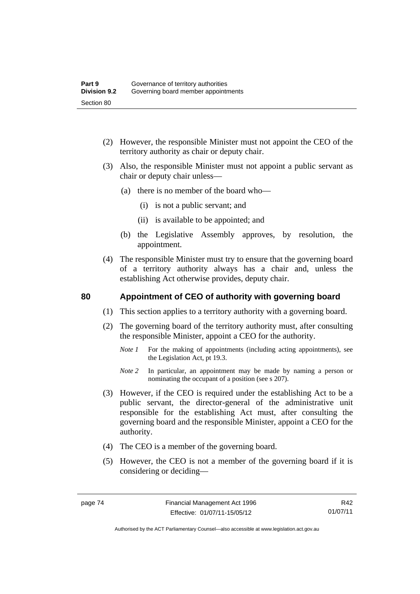- (2) However, the responsible Minister must not appoint the CEO of the territory authority as chair or deputy chair.
- (3) Also, the responsible Minister must not appoint a public servant as chair or deputy chair unless—
	- (a) there is no member of the board who—
		- (i) is not a public servant; and
		- (ii) is available to be appointed; and
	- (b) the Legislative Assembly approves, by resolution, the appointment.
- (4) The responsible Minister must try to ensure that the governing board of a territory authority always has a chair and, unless the establishing Act otherwise provides, deputy chair.

# **80 Appointment of CEO of authority with governing board**

- (1) This section applies to a territory authority with a governing board.
- (2) The governing board of the territory authority must, after consulting the responsible Minister, appoint a CEO for the authority.
	- *Note 1* For the making of appointments (including acting appointments), see the Legislation Act, pt 19.3.
	- *Note* 2 In particular, an appointment may be made by naming a person or nominating the occupant of a position (see s 207).
- (3) However, if the CEO is required under the establishing Act to be a public servant, the director-general of the administrative unit responsible for the establishing Act must, after consulting the governing board and the responsible Minister, appoint a CEO for the authority.
- (4) The CEO is a member of the governing board.
- (5) However, the CEO is not a member of the governing board if it is considering or deciding—

R42 01/07/11

Authorised by the ACT Parliamentary Counsel—also accessible at www.legislation.act.gov.au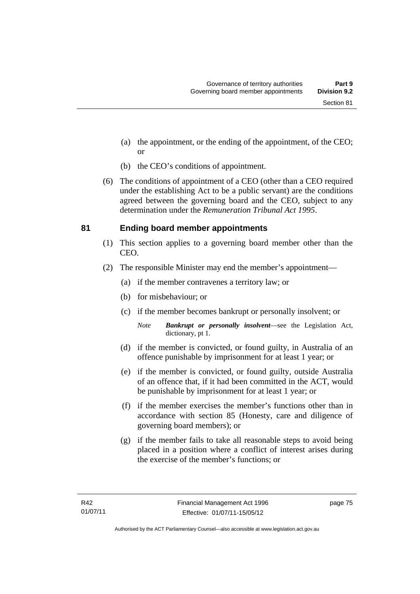- (a) the appointment, or the ending of the appointment, of the CEO; or
- (b) the CEO's conditions of appointment.
- (6) The conditions of appointment of a CEO (other than a CEO required under the establishing Act to be a public servant) are the conditions agreed between the governing board and the CEO, subject to any determination under the *Remuneration Tribunal Act 1995*.

# **81 Ending board member appointments**

- (1) This section applies to a governing board member other than the CEO.
- (2) The responsible Minister may end the member's appointment—
	- (a) if the member contravenes a territory law; or
	- (b) for misbehaviour; or
	- (c) if the member becomes bankrupt or personally insolvent; or

*Note Bankrupt or personally insolvent*—see the Legislation Act, dictionary, pt 1.

- (d) if the member is convicted, or found guilty, in Australia of an offence punishable by imprisonment for at least 1 year; or
- (e) if the member is convicted, or found guilty, outside Australia of an offence that, if it had been committed in the ACT, would be punishable by imprisonment for at least 1 year; or
- (f) if the member exercises the member's functions other than in accordance with section 85 (Honesty, care and diligence of governing board members); or
- (g) if the member fails to take all reasonable steps to avoid being placed in a position where a conflict of interest arises during the exercise of the member's functions; or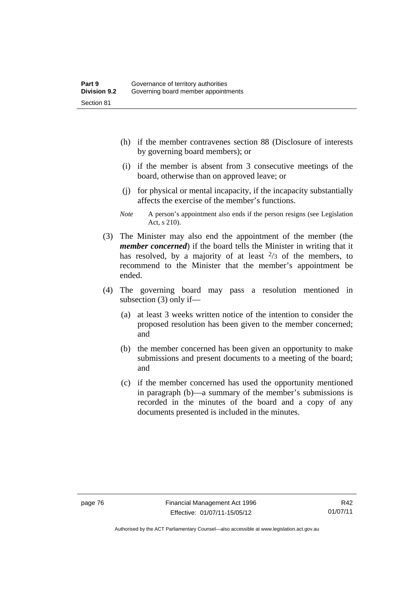- (h) if the member contravenes section 88 (Disclosure of interests by governing board members); or
- (i) if the member is absent from 3 consecutive meetings of the board, otherwise than on approved leave; or
- (j) for physical or mental incapacity, if the incapacity substantially affects the exercise of the member's functions.
- *Note* A person's appointment also ends if the person resigns (see Legislation Act, s 210).
- (3) The Minister may also end the appointment of the member (the *member concerned*) if the board tells the Minister in writing that it has resolved, by a majority of at least  $\frac{2}{3}$  of the members, to recommend to the Minister that the member's appointment be ended.
- (4) The governing board may pass a resolution mentioned in subsection (3) only if—
	- (a) at least 3 weeks written notice of the intention to consider the proposed resolution has been given to the member concerned; and
	- (b) the member concerned has been given an opportunity to make submissions and present documents to a meeting of the board; and
	- (c) if the member concerned has used the opportunity mentioned in paragraph (b)—a summary of the member's submissions is recorded in the minutes of the board and a copy of any documents presented is included in the minutes.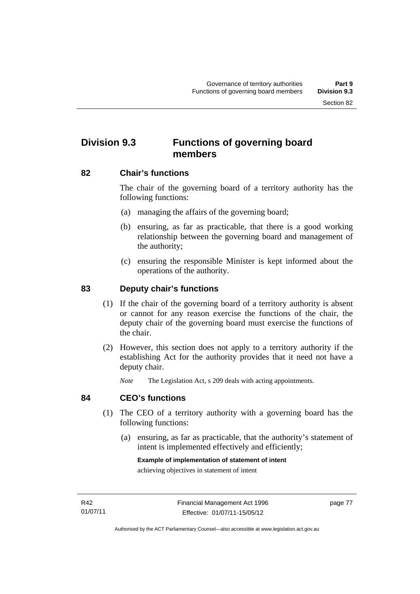# **Division 9.3 Functions of governing board members**

# **82 Chair's functions**

The chair of the governing board of a territory authority has the following functions:

- (a) managing the affairs of the governing board;
- (b) ensuring, as far as practicable, that there is a good working relationship between the governing board and management of the authority;
- (c) ensuring the responsible Minister is kept informed about the operations of the authority.

# **83 Deputy chair's functions**

- (1) If the chair of the governing board of a territory authority is absent or cannot for any reason exercise the functions of the chair, the deputy chair of the governing board must exercise the functions of the chair.
- (2) However, this section does not apply to a territory authority if the establishing Act for the authority provides that it need not have a deputy chair.

*Note* The Legislation Act, s 209 deals with acting appointments.

## **84 CEO's functions**

- (1) The CEO of a territory authority with a governing board has the following functions:
	- (a) ensuring, as far as practicable, that the authority's statement of intent is implemented effectively and efficiently;

#### **Example of implementation of statement of intent**

achieving objectives in statement of intent

page 77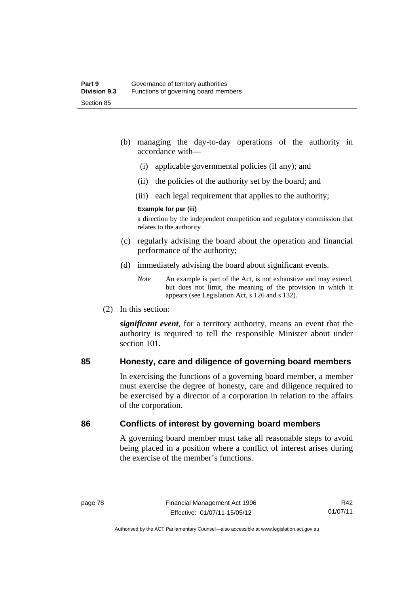- (b) managing the day-to-day operations of the authority in accordance with—
	- (i) applicable governmental policies (if any); and
	- (ii) the policies of the authority set by the board; and
	- (iii) each legal requirement that applies to the authority;

#### **Example for par (iii)**

a direction by the independent competition and regulatory commission that relates to the authority

- (c) regularly advising the board about the operation and financial performance of the authority;
- (d) immediately advising the board about significant events.

(2) In this section:

*significant event*, for a territory authority, means an event that the authority is required to tell the responsible Minister about under section 101

# **85 Honesty, care and diligence of governing board members**

In exercising the functions of a governing board member, a member must exercise the degree of honesty, care and diligence required to be exercised by a director of a corporation in relation to the affairs of the corporation.

# **86 Conflicts of interest by governing board members**

A governing board member must take all reasonable steps to avoid being placed in a position where a conflict of interest arises during the exercise of the member's functions.

*Note* An example is part of the Act, is not exhaustive and may extend, but does not limit, the meaning of the provision in which it appears (see Legislation Act, s 126 and s 132).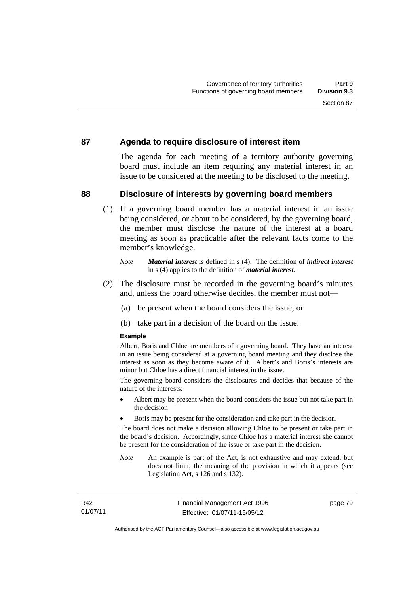## **87 Agenda to require disclosure of interest item**

The agenda for each meeting of a territory authority governing board must include an item requiring any material interest in an issue to be considered at the meeting to be disclosed to the meeting.

# **88 Disclosure of interests by governing board members**

(1) If a governing board member has a material interest in an issue being considered, or about to be considered, by the governing board, the member must disclose the nature of the interest at a board meeting as soon as practicable after the relevant facts come to the member's knowledge.

- (2) The disclosure must be recorded in the governing board's minutes and, unless the board otherwise decides, the member must not—
	- (a) be present when the board considers the issue; or
	- (b) take part in a decision of the board on the issue.

#### **Example**

Albert, Boris and Chloe are members of a governing board. They have an interest in an issue being considered at a governing board meeting and they disclose the interest as soon as they become aware of it. Albert's and Boris's interests are minor but Chloe has a direct financial interest in the issue.

The governing board considers the disclosures and decides that because of the nature of the interests:

- Albert may be present when the board considers the issue but not take part in the decision
- Boris may be present for the consideration and take part in the decision.

The board does not make a decision allowing Chloe to be present or take part in the board's decision. Accordingly, since Chloe has a material interest she cannot be present for the consideration of the issue or take part in the decision.

*Note* An example is part of the Act, is not exhaustive and may extend, but does not limit, the meaning of the provision in which it appears (see Legislation Act, s 126 and s 132).

*Note Material interest* is defined in s (4). The definition of *indirect interest* in s (4) applies to the definition of *material interest*.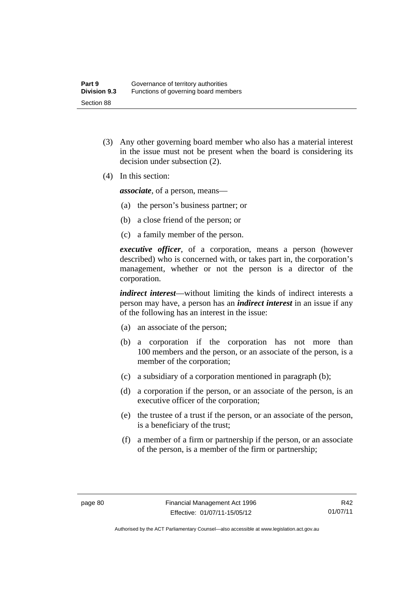- (3) Any other governing board member who also has a material interest in the issue must not be present when the board is considering its decision under subsection (2).
- (4) In this section:

*associate*, of a person, means—

- (a) the person's business partner; or
- (b) a close friend of the person; or
- (c) a family member of the person.

*executive officer*, of a corporation, means a person (however described) who is concerned with, or takes part in, the corporation's management, whether or not the person is a director of the corporation.

*indirect interest*—without limiting the kinds of indirect interests a person may have, a person has an *indirect interest* in an issue if any of the following has an interest in the issue:

- (a) an associate of the person;
- (b) a corporation if the corporation has not more than 100 members and the person, or an associate of the person, is a member of the corporation;
- (c) a subsidiary of a corporation mentioned in paragraph (b);
- (d) a corporation if the person, or an associate of the person, is an executive officer of the corporation;
- (e) the trustee of a trust if the person, or an associate of the person, is a beneficiary of the trust;
- (f) a member of a firm or partnership if the person, or an associate of the person, is a member of the firm or partnership;

R42 01/07/11

Authorised by the ACT Parliamentary Counsel—also accessible at www.legislation.act.gov.au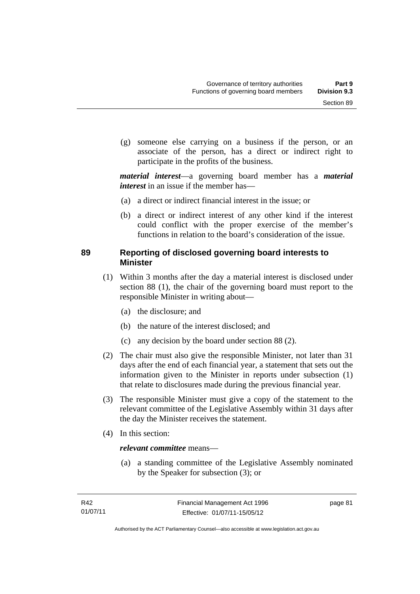(g) someone else carrying on a business if the person, or an associate of the person, has a direct or indirect right to participate in the profits of the business.

*material interest*—a governing board member has a *material interest* in an issue if the member has—

- (a) a direct or indirect financial interest in the issue; or
- (b) a direct or indirect interest of any other kind if the interest could conflict with the proper exercise of the member's functions in relation to the board's consideration of the issue.

# **89 Reporting of disclosed governing board interests to Minister**

- (1) Within 3 months after the day a material interest is disclosed under section 88 (1), the chair of the governing board must report to the responsible Minister in writing about—
	- (a) the disclosure; and
	- (b) the nature of the interest disclosed; and
	- (c) any decision by the board under section 88 (2).
- (2) The chair must also give the responsible Minister, not later than 31 days after the end of each financial year, a statement that sets out the information given to the Minister in reports under subsection (1) that relate to disclosures made during the previous financial year.
- (3) The responsible Minister must give a copy of the statement to the relevant committee of the Legislative Assembly within 31 days after the day the Minister receives the statement.
- (4) In this section:

#### *relevant committee* means—

 (a) a standing committee of the Legislative Assembly nominated by the Speaker for subsection (3); or

page 81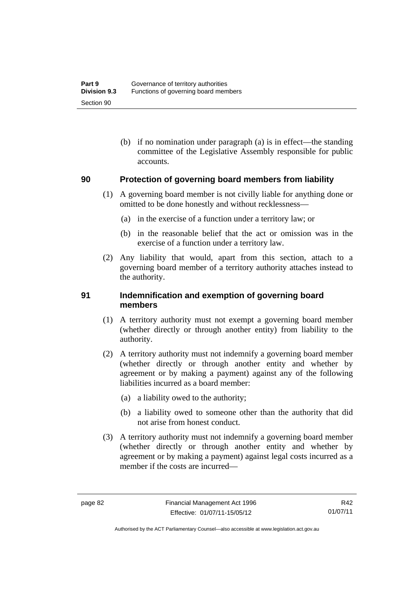(b) if no nomination under paragraph (a) is in effect—the standing committee of the Legislative Assembly responsible for public accounts.

## **90 Protection of governing board members from liability**

- (1) A governing board member is not civilly liable for anything done or omitted to be done honestly and without recklessness—
	- (a) in the exercise of a function under a territory law; or
	- (b) in the reasonable belief that the act or omission was in the exercise of a function under a territory law.
- (2) Any liability that would, apart from this section, attach to a governing board member of a territory authority attaches instead to the authority.

## **91 Indemnification and exemption of governing board members**

- (1) A territory authority must not exempt a governing board member (whether directly or through another entity) from liability to the authority.
- (2) A territory authority must not indemnify a governing board member (whether directly or through another entity and whether by agreement or by making a payment) against any of the following liabilities incurred as a board member:
	- (a) a liability owed to the authority;
	- (b) a liability owed to someone other than the authority that did not arise from honest conduct.
- (3) A territory authority must not indemnify a governing board member (whether directly or through another entity and whether by agreement or by making a payment) against legal costs incurred as a member if the costs are incurred—

R42 01/07/11

Authorised by the ACT Parliamentary Counsel—also accessible at www.legislation.act.gov.au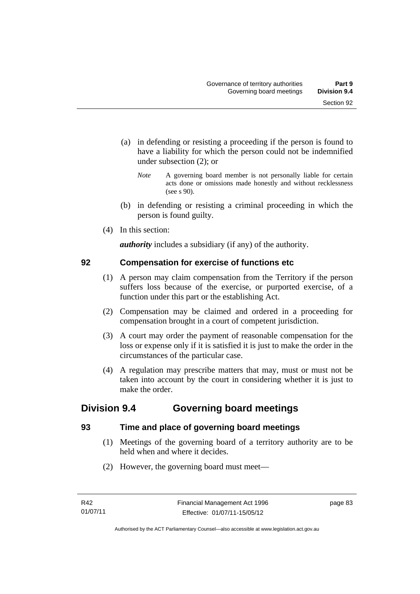- (a) in defending or resisting a proceeding if the person is found to have a liability for which the person could not be indemnified under subsection (2); or
	- *Note* A governing board member is not personally liable for certain acts done or omissions made honestly and without recklessness (see s 90).
- (b) in defending or resisting a criminal proceeding in which the person is found guilty.
- (4) In this section:

*authority* includes a subsidiary (if any) of the authority.

# **92 Compensation for exercise of functions etc**

- (1) A person may claim compensation from the Territory if the person suffers loss because of the exercise, or purported exercise, of a function under this part or the establishing Act.
- (2) Compensation may be claimed and ordered in a proceeding for compensation brought in a court of competent jurisdiction.
- (3) A court may order the payment of reasonable compensation for the loss or expense only if it is satisfied it is just to make the order in the circumstances of the particular case.
- (4) A regulation may prescribe matters that may, must or must not be taken into account by the court in considering whether it is just to make the order.

# **Division 9.4 Governing board meetings**

# **93 Time and place of governing board meetings**

- (1) Meetings of the governing board of a territory authority are to be held when and where it decides.
- (2) However, the governing board must meet—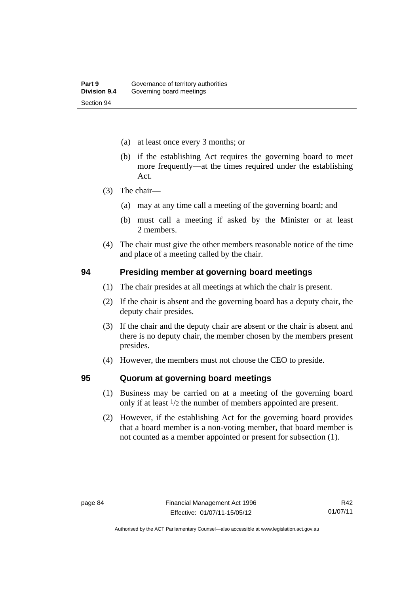- (a) at least once every 3 months; or
- (b) if the establishing Act requires the governing board to meet more frequently—at the times required under the establishing Act.
- (3) The chair—
	- (a) may at any time call a meeting of the governing board; and
	- (b) must call a meeting if asked by the Minister or at least 2 members.
- (4) The chair must give the other members reasonable notice of the time and place of a meeting called by the chair.

#### **94 Presiding member at governing board meetings**

- (1) The chair presides at all meetings at which the chair is present.
- (2) If the chair is absent and the governing board has a deputy chair, the deputy chair presides.
- (3) If the chair and the deputy chair are absent or the chair is absent and there is no deputy chair, the member chosen by the members present presides.
- (4) However, the members must not choose the CEO to preside.

#### **95 Quorum at governing board meetings**

- (1) Business may be carried on at a meeting of the governing board only if at least 1/2 the number of members appointed are present.
- (2) However, if the establishing Act for the governing board provides that a board member is a non-voting member, that board member is not counted as a member appointed or present for subsection (1).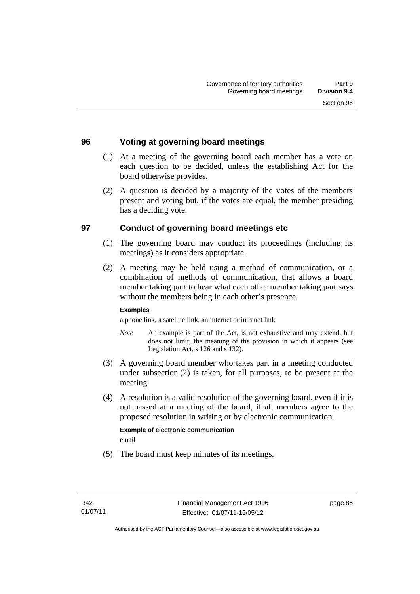# **96 Voting at governing board meetings**

- (1) At a meeting of the governing board each member has a vote on each question to be decided, unless the establishing Act for the board otherwise provides.
- (2) A question is decided by a majority of the votes of the members present and voting but, if the votes are equal, the member presiding has a deciding vote.

# **97 Conduct of governing board meetings etc**

- (1) The governing board may conduct its proceedings (including its meetings) as it considers appropriate.
- (2) A meeting may be held using a method of communication, or a combination of methods of communication, that allows a board member taking part to hear what each other member taking part says without the members being in each other's presence.

#### **Examples**

a phone link, a satellite link, an internet or intranet link

- *Note* An example is part of the Act, is not exhaustive and may extend, but does not limit, the meaning of the provision in which it appears (see Legislation Act, s 126 and s 132).
- (3) A governing board member who takes part in a meeting conducted under subsection (2) is taken, for all purposes, to be present at the meeting.
- (4) A resolution is a valid resolution of the governing board, even if it is not passed at a meeting of the board, if all members agree to the proposed resolution in writing or by electronic communication.

**Example of electronic communication**  email

(5) The board must keep minutes of its meetings.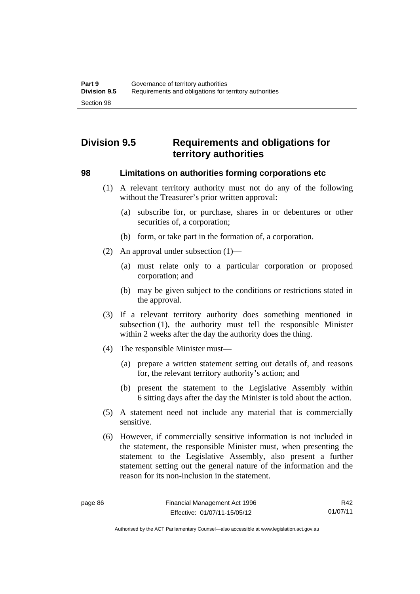# **Division 9.5 Requirements and obligations for territory authorities**

#### **98 Limitations on authorities forming corporations etc**

- (1) A relevant territory authority must not do any of the following without the Treasurer's prior written approval:
	- (a) subscribe for, or purchase, shares in or debentures or other securities of, a corporation;
	- (b) form, or take part in the formation of, a corporation.
- (2) An approval under subsection (1)—
	- (a) must relate only to a particular corporation or proposed corporation; and
	- (b) may be given subject to the conditions or restrictions stated in the approval.
- (3) If a relevant territory authority does something mentioned in subsection (1), the authority must tell the responsible Minister within 2 weeks after the day the authority does the thing.
- (4) The responsible Minister must—
	- (a) prepare a written statement setting out details of, and reasons for, the relevant territory authority's action; and
	- (b) present the statement to the Legislative Assembly within 6 sitting days after the day the Minister is told about the action.
- (5) A statement need not include any material that is commercially sensitive.
- (6) However, if commercially sensitive information is not included in the statement, the responsible Minister must, when presenting the statement to the Legislative Assembly, also present a further statement setting out the general nature of the information and the reason for its non-inclusion in the statement.

R42 01/07/11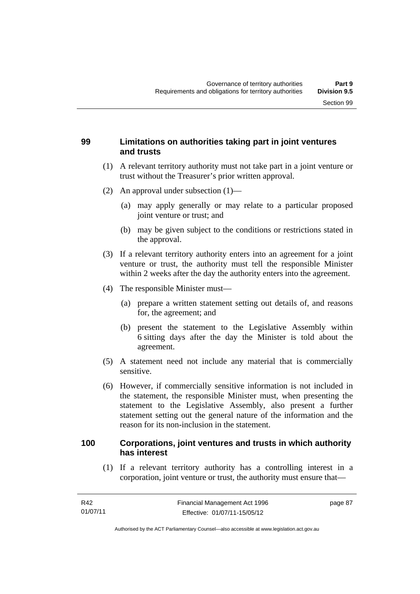# **99 Limitations on authorities taking part in joint ventures and trusts**

- (1) A relevant territory authority must not take part in a joint venture or trust without the Treasurer's prior written approval.
- (2) An approval under subsection (1)—
	- (a) may apply generally or may relate to a particular proposed joint venture or trust; and
	- (b) may be given subject to the conditions or restrictions stated in the approval.
- (3) If a relevant territory authority enters into an agreement for a joint venture or trust, the authority must tell the responsible Minister within 2 weeks after the day the authority enters into the agreement.
- (4) The responsible Minister must—
	- (a) prepare a written statement setting out details of, and reasons for, the agreement; and
	- (b) present the statement to the Legislative Assembly within 6 sitting days after the day the Minister is told about the agreement.
- (5) A statement need not include any material that is commercially sensitive.
- (6) However, if commercially sensitive information is not included in the statement, the responsible Minister must, when presenting the statement to the Legislative Assembly, also present a further statement setting out the general nature of the information and the reason for its non-inclusion in the statement.

# **100 Corporations, joint ventures and trusts in which authority has interest**

 (1) If a relevant territory authority has a controlling interest in a corporation, joint venture or trust, the authority must ensure that—

page 87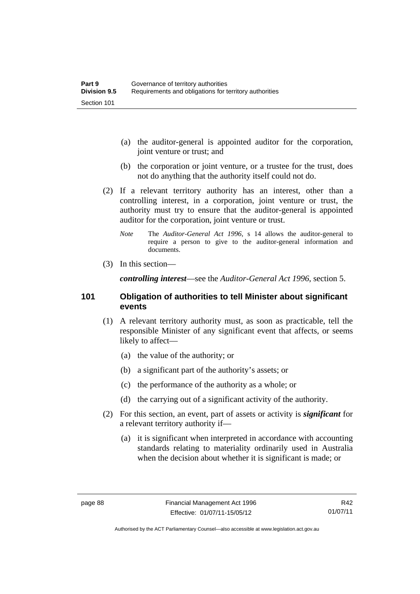- (a) the auditor-general is appointed auditor for the corporation, joint venture or trust; and
- (b) the corporation or joint venture, or a trustee for the trust, does not do anything that the authority itself could not do.
- (2) If a relevant territory authority has an interest, other than a controlling interest, in a corporation, joint venture or trust, the authority must try to ensure that the auditor-general is appointed auditor for the corporation, joint venture or trust.
	- *Note* The *Auditor-General Act 1996*, s 14 allows the auditor-general to require a person to give to the auditor-general information and documents.
- (3) In this section—

*controlling interest*—see the *Auditor-General Act 1996*, section 5.

#### **101 Obligation of authorities to tell Minister about significant events**

- (1) A relevant territory authority must, as soon as practicable, tell the responsible Minister of any significant event that affects, or seems likely to affect—
	- (a) the value of the authority; or
	- (b) a significant part of the authority's assets; or
	- (c) the performance of the authority as a whole; or
	- (d) the carrying out of a significant activity of the authority.
- (2) For this section, an event, part of assets or activity is *significant* for a relevant territory authority if—
	- (a) it is significant when interpreted in accordance with accounting standards relating to materiality ordinarily used in Australia when the decision about whether it is significant is made; or

R42 01/07/11

Authorised by the ACT Parliamentary Counsel—also accessible at www.legislation.act.gov.au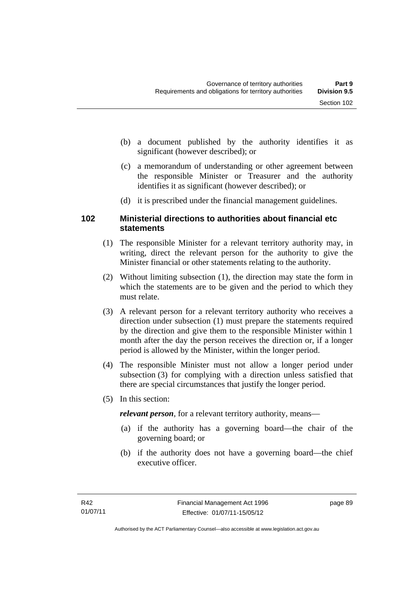- (b) a document published by the authority identifies it as significant (however described); or
- (c) a memorandum of understanding or other agreement between the responsible Minister or Treasurer and the authority identifies it as significant (however described); or
- (d) it is prescribed under the financial management guidelines.

# **102 Ministerial directions to authorities about financial etc statements**

- (1) The responsible Minister for a relevant territory authority may, in writing, direct the relevant person for the authority to give the Minister financial or other statements relating to the authority.
- (2) Without limiting subsection (1), the direction may state the form in which the statements are to be given and the period to which they must relate.
- (3) A relevant person for a relevant territory authority who receives a direction under subsection (1) must prepare the statements required by the direction and give them to the responsible Minister within 1 month after the day the person receives the direction or, if a longer period is allowed by the Minister, within the longer period.
- (4) The responsible Minister must not allow a longer period under subsection (3) for complying with a direction unless satisfied that there are special circumstances that justify the longer period.
- (5) In this section:

*relevant person*, for a relevant territory authority, means—

- (a) if the authority has a governing board—the chair of the governing board; or
- (b) if the authority does not have a governing board—the chief executive officer.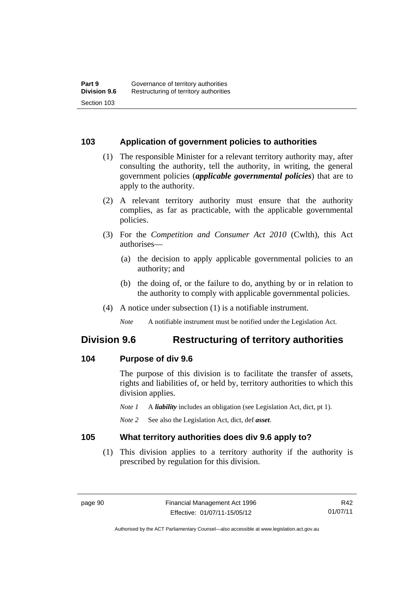## **103 Application of government policies to authorities**

- (1) The responsible Minister for a relevant territory authority may, after consulting the authority, tell the authority, in writing, the general government policies (*applicable governmental policies*) that are to apply to the authority.
- (2) A relevant territory authority must ensure that the authority complies, as far as practicable, with the applicable governmental policies.
- (3) For the *Competition and Consumer Act 2010* (Cwlth), this Act authorises—
	- (a) the decision to apply applicable governmental policies to an authority; and
	- (b) the doing of, or the failure to do, anything by or in relation to the authority to comply with applicable governmental policies.
- (4) A notice under subsection (1) is a notifiable instrument.

*Note* A notifiable instrument must be notified under the Legislation Act.

# **Division 9.6 Restructuring of territory authorities**

## **104 Purpose of div 9.6**

The purpose of this division is to facilitate the transfer of assets, rights and liabilities of, or held by, territory authorities to which this division applies.

- *Note 1* A *liability* includes an obligation (see Legislation Act, dict, pt 1).
- *Note 2* See also the Legislation Act, dict, def *asset*.

## **105 What territory authorities does div 9.6 apply to?**

 (1) This division applies to a territory authority if the authority is prescribed by regulation for this division.

R42 01/07/11

Authorised by the ACT Parliamentary Counsel—also accessible at www.legislation.act.gov.au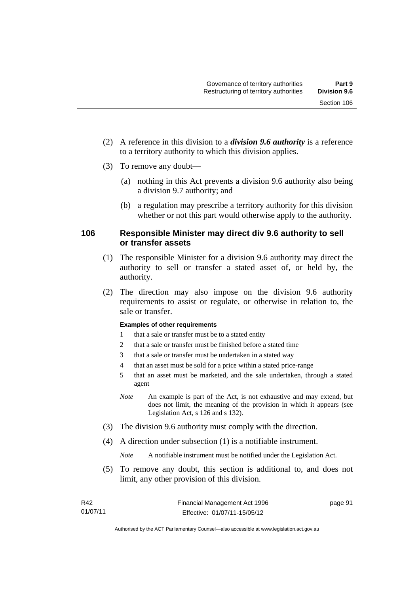- (2) A reference in this division to a *division 9.6 authority* is a reference to a territory authority to which this division applies.
- (3) To remove any doubt—
	- (a) nothing in this Act prevents a division 9.6 authority also being a division 9.7 authority; and
	- (b) a regulation may prescribe a territory authority for this division whether or not this part would otherwise apply to the authority.

# **106 Responsible Minister may direct div 9.6 authority to sell or transfer assets**

- (1) The responsible Minister for a division 9.6 authority may direct the authority to sell or transfer a stated asset of, or held by, the authority.
- (2) The direction may also impose on the division 9.6 authority requirements to assist or regulate, or otherwise in relation to, the sale or transfer.

#### **Examples of other requirements**

- 1 that a sale or transfer must be to a stated entity
- 2 that a sale or transfer must be finished before a stated time
- 3 that a sale or transfer must be undertaken in a stated way
- 4 that an asset must be sold for a price within a stated price-range
- 5 that an asset must be marketed, and the sale undertaken, through a stated agent
- *Note* An example is part of the Act, is not exhaustive and may extend, but does not limit, the meaning of the provision in which it appears (see Legislation Act, s 126 and s 132).
- (3) The division 9.6 authority must comply with the direction.
- (4) A direction under subsection (1) is a notifiable instrument.

*Note* A notifiable instrument must be notified under the Legislation Act.

 (5) To remove any doubt, this section is additional to, and does not limit, any other provision of this division.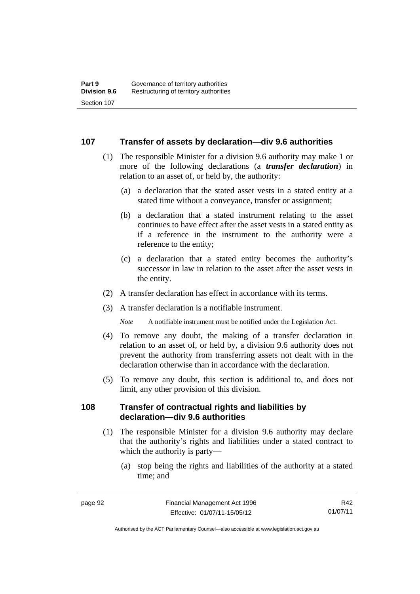#### **107 Transfer of assets by declaration—div 9.6 authorities**

- (1) The responsible Minister for a division 9.6 authority may make 1 or more of the following declarations (a *transfer declaration*) in relation to an asset of, or held by, the authority:
	- (a) a declaration that the stated asset vests in a stated entity at a stated time without a conveyance, transfer or assignment;
	- (b) a declaration that a stated instrument relating to the asset continues to have effect after the asset vests in a stated entity as if a reference in the instrument to the authority were a reference to the entity;
	- (c) a declaration that a stated entity becomes the authority's successor in law in relation to the asset after the asset vests in the entity.
- (2) A transfer declaration has effect in accordance with its terms.
- (3) A transfer declaration is a notifiable instrument.

*Note* A notifiable instrument must be notified under the Legislation Act.

- (4) To remove any doubt, the making of a transfer declaration in relation to an asset of, or held by, a division 9.6 authority does not prevent the authority from transferring assets not dealt with in the declaration otherwise than in accordance with the declaration.
- (5) To remove any doubt, this section is additional to, and does not limit, any other provision of this division.

#### **108 Transfer of contractual rights and liabilities by declaration—div 9.6 authorities**

- (1) The responsible Minister for a division 9.6 authority may declare that the authority's rights and liabilities under a stated contract to which the authority is party—
	- (a) stop being the rights and liabilities of the authority at a stated time; and

R42 01/07/11

Authorised by the ACT Parliamentary Counsel—also accessible at www.legislation.act.gov.au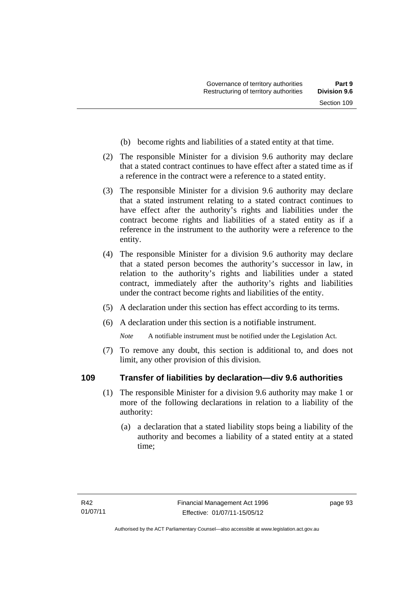- (b) become rights and liabilities of a stated entity at that time.
- (2) The responsible Minister for a division 9.6 authority may declare that a stated contract continues to have effect after a stated time as if a reference in the contract were a reference to a stated entity.
- (3) The responsible Minister for a division 9.6 authority may declare that a stated instrument relating to a stated contract continues to have effect after the authority's rights and liabilities under the contract become rights and liabilities of a stated entity as if a reference in the instrument to the authority were a reference to the entity.
- (4) The responsible Minister for a division 9.6 authority may declare that a stated person becomes the authority's successor in law, in relation to the authority's rights and liabilities under a stated contract, immediately after the authority's rights and liabilities under the contract become rights and liabilities of the entity.
- (5) A declaration under this section has effect according to its terms.
- (6) A declaration under this section is a notifiable instrument.

*Note* A notifiable instrument must be notified under the Legislation Act.

 (7) To remove any doubt, this section is additional to, and does not limit, any other provision of this division.

# **109 Transfer of liabilities by declaration—div 9.6 authorities**

- (1) The responsible Minister for a division 9.6 authority may make 1 or more of the following declarations in relation to a liability of the authority:
	- (a) a declaration that a stated liability stops being a liability of the authority and becomes a liability of a stated entity at a stated time;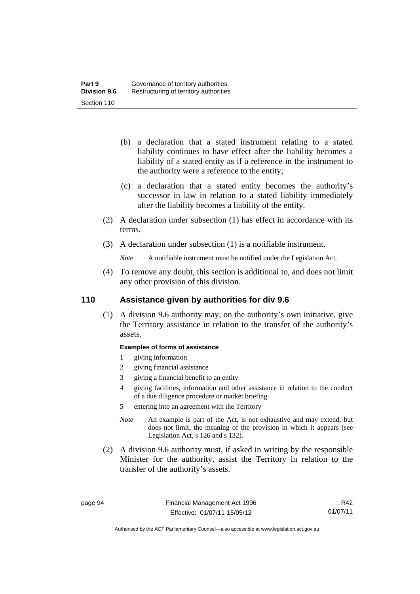- (b) a declaration that a stated instrument relating to a stated liability continues to have effect after the liability becomes a liability of a stated entity as if a reference in the instrument to the authority were a reference to the entity;
- (c) a declaration that a stated entity becomes the authority's successor in law in relation to a stated liability immediately after the liability becomes a liability of the entity.
- (2) A declaration under subsection (1) has effect in accordance with its terms.
- (3) A declaration under subsection (1) is a notifiable instrument.
	- *Note* A notifiable instrument must be notified under the Legislation Act.
- (4) To remove any doubt, this section is additional to, and does not limit any other provision of this division.

# **110 Assistance given by authorities for div 9.6**

(1) A division 9.6 authority may, on the authority's own initiative, give the Territory assistance in relation to the transfer of the authority's assets.

#### **Examples of forms of assistance**

- 1 giving information
- 2 giving financial assistance
- 3 giving a financial benefit to an entity
- 4 giving facilities, information and other assistance in relation to the conduct of a due diligence procedure or market briefing

5 entering into an agreement with the Territory

- *Note* An example is part of the Act, is not exhaustive and may extend, but does not limit, the meaning of the provision in which it appears (see Legislation Act, s 126 and s 132).
- (2) A division 9.6 authority must, if asked in writing by the responsible Minister for the authority, assist the Territory in relation to the transfer of the authority's assets.

R42 01/07/11

Authorised by the ACT Parliamentary Counsel—also accessible at www.legislation.act.gov.au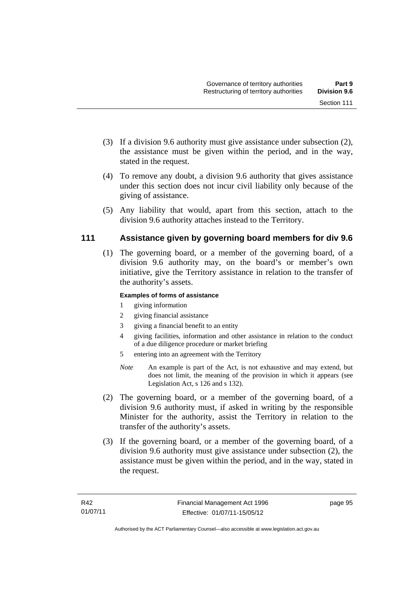- (3) If a division 9.6 authority must give assistance under subsection (2), the assistance must be given within the period, and in the way, stated in the request.
- (4) To remove any doubt, a division 9.6 authority that gives assistance under this section does not incur civil liability only because of the giving of assistance.
- (5) Any liability that would, apart from this section, attach to the division 9.6 authority attaches instead to the Territory.

# **111 Assistance given by governing board members for div 9.6**

(1) The governing board, or a member of the governing board, of a division 9.6 authority may, on the board's or member's own initiative, give the Territory assistance in relation to the transfer of the authority's assets.

#### **Examples of forms of assistance**

- 1 giving information
- 2 giving financial assistance
- 3 giving a financial benefit to an entity
- 4 giving facilities, information and other assistance in relation to the conduct of a due diligence procedure or market briefing
- 5 entering into an agreement with the Territory
- *Note* An example is part of the Act, is not exhaustive and may extend, but does not limit, the meaning of the provision in which it appears (see Legislation Act, s 126 and s 132).
- (2) The governing board, or a member of the governing board, of a division 9.6 authority must, if asked in writing by the responsible Minister for the authority, assist the Territory in relation to the transfer of the authority's assets.
- (3) If the governing board, or a member of the governing board, of a division 9.6 authority must give assistance under subsection (2), the assistance must be given within the period, and in the way, stated in the request.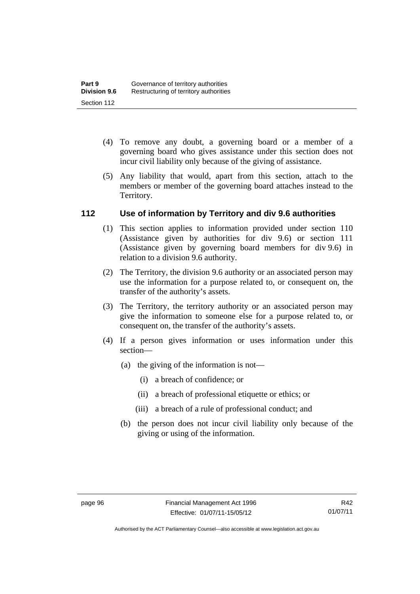- (4) To remove any doubt, a governing board or a member of a governing board who gives assistance under this section does not incur civil liability only because of the giving of assistance.
- (5) Any liability that would, apart from this section, attach to the members or member of the governing board attaches instead to the Territory.

# **112 Use of information by Territory and div 9.6 authorities**

- (1) This section applies to information provided under section 110 (Assistance given by authorities for div 9.6) or section 111 (Assistance given by governing board members for div 9.6) in relation to a division 9.6 authority.
- (2) The Territory, the division 9.6 authority or an associated person may use the information for a purpose related to, or consequent on, the transfer of the authority's assets.
- (3) The Territory, the territory authority or an associated person may give the information to someone else for a purpose related to, or consequent on, the transfer of the authority's assets.
- (4) If a person gives information or uses information under this section—
	- (a) the giving of the information is not—
		- (i) a breach of confidence; or
		- (ii) a breach of professional etiquette or ethics; or
		- (iii) a breach of a rule of professional conduct; and
	- (b) the person does not incur civil liability only because of the giving or using of the information.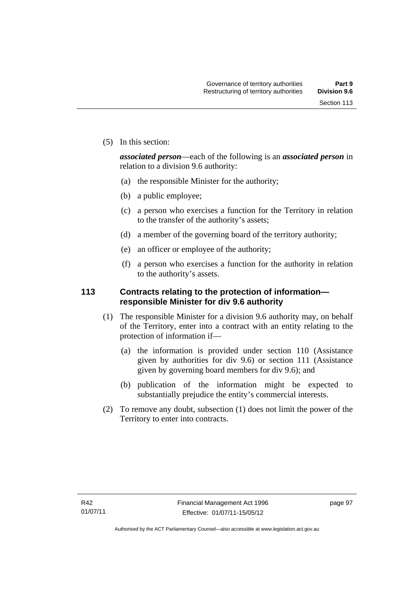(5) In this section:

*associated person*—each of the following is an *associated person* in relation to a division 9.6 authority:

- (a) the responsible Minister for the authority;
- (b) a public employee;
- (c) a person who exercises a function for the Territory in relation to the transfer of the authority's assets;
- (d) a member of the governing board of the territory authority;
- (e) an officer or employee of the authority;
- (f) a person who exercises a function for the authority in relation to the authority's assets.

# **113 Contracts relating to the protection of information responsible Minister for div 9.6 authority**

- (1) The responsible Minister for a division 9.6 authority may, on behalf of the Territory, enter into a contract with an entity relating to the protection of information if—
	- (a) the information is provided under section 110 (Assistance given by authorities for div 9.6) or section 111 (Assistance given by governing board members for div 9.6); and
	- (b) publication of the information might be expected to substantially prejudice the entity's commercial interests.
- (2) To remove any doubt, subsection (1) does not limit the power of the Territory to enter into contracts.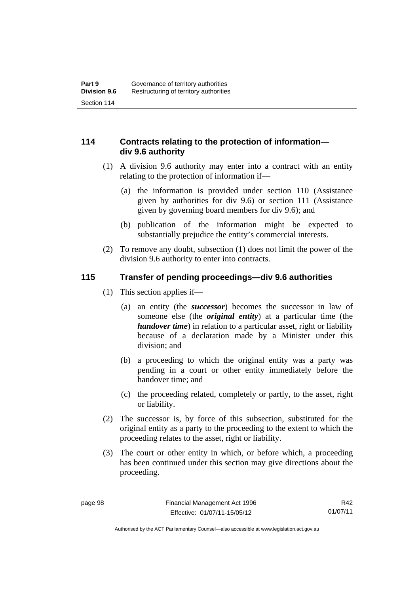# **114 Contracts relating to the protection of information div 9.6 authority**

- (1) A division 9.6 authority may enter into a contract with an entity relating to the protection of information if—
	- (a) the information is provided under section 110 (Assistance given by authorities for div 9.6) or section 111 (Assistance given by governing board members for div 9.6); and
	- (b) publication of the information might be expected to substantially prejudice the entity's commercial interests.
- (2) To remove any doubt, subsection (1) does not limit the power of the division 9.6 authority to enter into contracts.

# **115 Transfer of pending proceedings—div 9.6 authorities**

- (1) This section applies if—
	- (a) an entity (the *successor*) becomes the successor in law of someone else (the *original entity*) at a particular time (the *handover time*) in relation to a particular asset, right or liability because of a declaration made by a Minister under this division; and
	- (b) a proceeding to which the original entity was a party was pending in a court or other entity immediately before the handover time; and
	- (c) the proceeding related, completely or partly, to the asset, right or liability.
- (2) The successor is, by force of this subsection, substituted for the original entity as a party to the proceeding to the extent to which the proceeding relates to the asset, right or liability.
- (3) The court or other entity in which, or before which, a proceeding has been continued under this section may give directions about the proceeding.

R42 01/07/11

Authorised by the ACT Parliamentary Counsel—also accessible at www.legislation.act.gov.au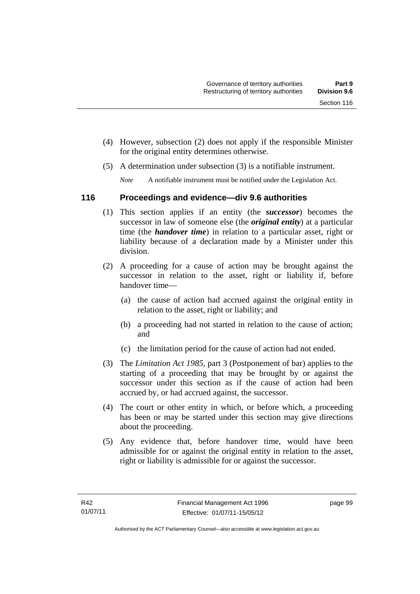- (4) However, subsection (2) does not apply if the responsible Minister for the original entity determines otherwise.
- (5) A determination under subsection (3) is a notifiable instrument.

*Note* A notifiable instrument must be notified under the Legislation Act.

# **116 Proceedings and evidence—div 9.6 authorities**

- (1) This section applies if an entity (the *successor*) becomes the successor in law of someone else (the *original entity*) at a particular time (the *handover time*) in relation to a particular asset, right or liability because of a declaration made by a Minister under this division.
- (2) A proceeding for a cause of action may be brought against the successor in relation to the asset, right or liability if, before handover time—
	- (a) the cause of action had accrued against the original entity in relation to the asset, right or liability; and
	- (b) a proceeding had not started in relation to the cause of action; and
	- (c) the limitation period for the cause of action had not ended.
- (3) The *Limitation Act 1985,* part 3 (Postponement of bar) applies to the starting of a proceeding that may be brought by or against the successor under this section as if the cause of action had been accrued by, or had accrued against, the successor.
- (4) The court or other entity in which, or before which, a proceeding has been or may be started under this section may give directions about the proceeding.
- (5) Any evidence that, before handover time, would have been admissible for or against the original entity in relation to the asset, right or liability is admissible for or against the successor.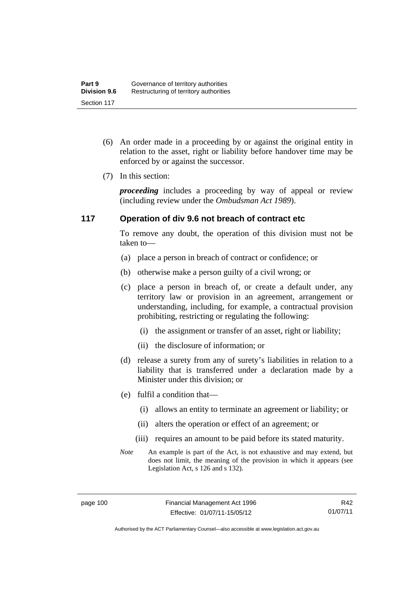- (6) An order made in a proceeding by or against the original entity in relation to the asset, right or liability before handover time may be enforced by or against the successor.
- (7) In this section:

*proceeding* includes a proceeding by way of appeal or review (including review under the *Ombudsman Act 1989*).

# **117 Operation of div 9.6 not breach of contract etc**

To remove any doubt, the operation of this division must not be taken to—

- (a) place a person in breach of contract or confidence; or
- (b) otherwise make a person guilty of a civil wrong; or
- (c) place a person in breach of, or create a default under, any territory law or provision in an agreement, arrangement or understanding, including, for example, a contractual provision prohibiting, restricting or regulating the following:
	- (i) the assignment or transfer of an asset, right or liability;
	- (ii) the disclosure of information; or
- (d) release a surety from any of surety's liabilities in relation to a liability that is transferred under a declaration made by a Minister under this division; or
- (e) fulfil a condition that—
	- (i) allows an entity to terminate an agreement or liability; or
	- (ii) alters the operation or effect of an agreement; or
	- (iii) requires an amount to be paid before its stated maturity.
- *Note* An example is part of the Act, is not exhaustive and may extend, but does not limit, the meaning of the provision in which it appears (see Legislation Act, s 126 and s 132).

R42 01/07/11

Authorised by the ACT Parliamentary Counsel—also accessible at www.legislation.act.gov.au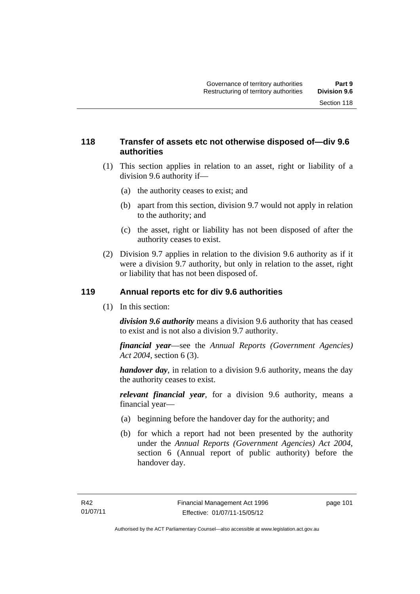## **118 Transfer of assets etc not otherwise disposed of—div 9.6 authorities**

- (1) This section applies in relation to an asset, right or liability of a division 9.6 authority if—
	- (a) the authority ceases to exist; and
	- (b) apart from this section, division 9.7 would not apply in relation to the authority; and
	- (c) the asset, right or liability has not been disposed of after the authority ceases to exist.
- (2) Division 9.7 applies in relation to the division 9.6 authority as if it were a division 9.7 authority, but only in relation to the asset, right or liability that has not been disposed of.

## **119 Annual reports etc for div 9.6 authorities**

(1) In this section:

*division 9.6 authority* means a division 9.6 authority that has ceased to exist and is not also a division 9.7 authority.

*financial year*––see the *Annual Reports (Government Agencies) Act 2004*, section 6 (3).

*handover day*, in relation to a division 9.6 authority, means the day the authority ceases to exist.

*relevant financial year*, for a division 9.6 authority, means a financial year—

- (a) beginning before the handover day for the authority; and
- (b) for which a report had not been presented by the authority under the *Annual Reports (Government Agencies) Act 2004*, section 6 (Annual report of public authority) before the handover day.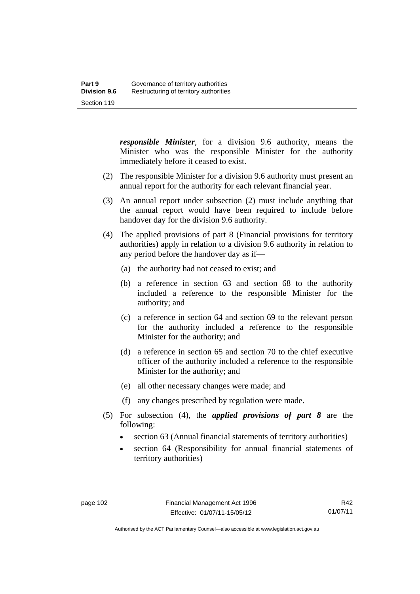*responsible Minister*, for a division 9.6 authority, means the Minister who was the responsible Minister for the authority immediately before it ceased to exist.

- (2) The responsible Minister for a division 9.6 authority must present an annual report for the authority for each relevant financial year.
- (3) An annual report under subsection (2) must include anything that the annual report would have been required to include before handover day for the division 9.6 authority.
- (4) The applied provisions of part 8 (Financial provisions for territory authorities) apply in relation to a division 9.6 authority in relation to any period before the handover day as if—
	- (a) the authority had not ceased to exist; and
	- (b) a reference in section 63 and section 68 to the authority included a reference to the responsible Minister for the authority; and
	- (c) a reference in section 64 and section 69 to the relevant person for the authority included a reference to the responsible Minister for the authority; and
	- (d) a reference in section 65 and section 70 to the chief executive officer of the authority included a reference to the responsible Minister for the authority; and
	- (e) all other necessary changes were made; and
	- (f) any changes prescribed by regulation were made.
- (5) For subsection (4), the *applied provisions of part 8* are the following:
	- section 63 (Annual financial statements of territory authorities)
	- section 64 (Responsibility for annual financial statements of territory authorities)

R42 01/07/11

Authorised by the ACT Parliamentary Counsel—also accessible at www.legislation.act.gov.au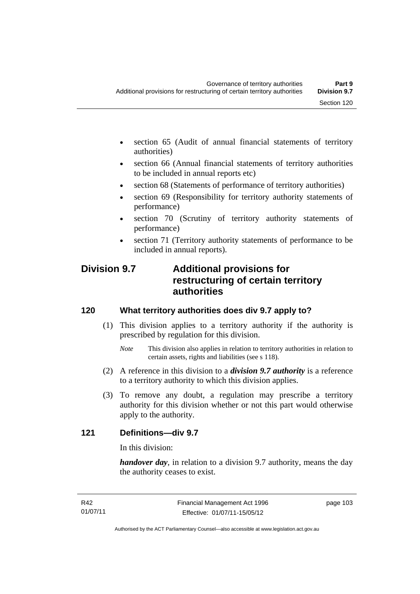- section 65 (Audit of annual financial statements of territory authorities)
- section 66 (Annual financial statements of territory authorities to be included in annual reports etc)
- section 68 (Statements of performance of territory authorities)
- section 69 (Responsibility for territory authority statements of performance)
- section 70 (Scrutiny of territory authority statements of performance)
- section 71 (Territory authority statements of performance to be included in annual reports).

# **Division 9.7 Additional provisions for restructuring of certain territory authorities**

# **120 What territory authorities does div 9.7 apply to?**

- (1) This division applies to a territory authority if the authority is prescribed by regulation for this division.
	- *Note* This division also applies in relation to territory authorities in relation to certain assets, rights and liabilities (see s 118).
- (2) A reference in this division to a *division 9.7 authority* is a reference to a territory authority to which this division applies.
- (3) To remove any doubt, a regulation may prescribe a territory authority for this division whether or not this part would otherwise apply to the authority.

# **121 Definitions—div 9.7**

In this division:

*handover day*, in relation to a division 9.7 authority, means the day the authority ceases to exist.

page 103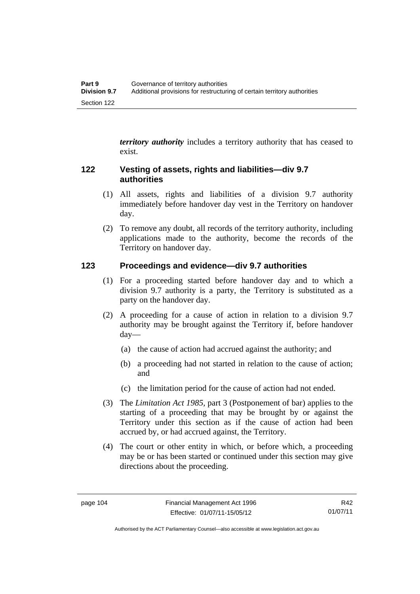*territory authority* includes a territory authority that has ceased to exist.

# **122 Vesting of assets, rights and liabilities—div 9.7 authorities**

- (1) All assets, rights and liabilities of a division 9.7 authority immediately before handover day vest in the Territory on handover day.
- (2) To remove any doubt, all records of the territory authority, including applications made to the authority, become the records of the Territory on handover day.

# **123 Proceedings and evidence—div 9.7 authorities**

- (1) For a proceeding started before handover day and to which a division 9.7 authority is a party, the Territory is substituted as a party on the handover day.
- (2) A proceeding for a cause of action in relation to a division 9.7 authority may be brought against the Territory if, before handover day—
	- (a) the cause of action had accrued against the authority; and
	- (b) a proceeding had not started in relation to the cause of action; and
	- (c) the limitation period for the cause of action had not ended.
- (3) The *Limitation Act 1985,* part 3 (Postponement of bar) applies to the starting of a proceeding that may be brought by or against the Territory under this section as if the cause of action had been accrued by, or had accrued against, the Territory.
- (4) The court or other entity in which, or before which, a proceeding may be or has been started or continued under this section may give directions about the proceeding.

R42 01/07/11

Authorised by the ACT Parliamentary Counsel—also accessible at www.legislation.act.gov.au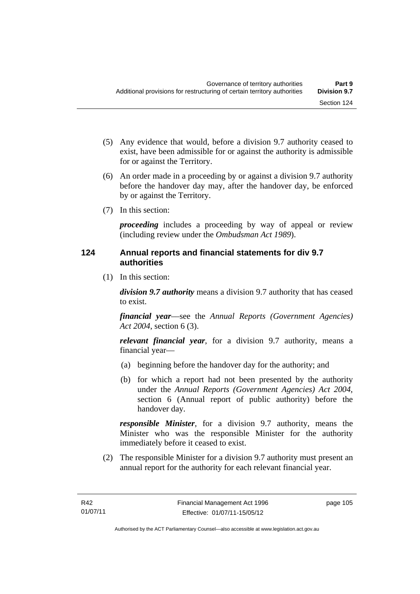- (5) Any evidence that would, before a division 9.7 authority ceased to exist, have been admissible for or against the authority is admissible for or against the Territory.
- (6) An order made in a proceeding by or against a division 9.7 authority before the handover day may, after the handover day, be enforced by or against the Territory.
- (7) In this section:

*proceeding* includes a proceeding by way of appeal or review (including review under the *Ombudsman Act 1989*).

# **124 Annual reports and financial statements for div 9.7 authorities**

(1) In this section:

*division 9.7 authority* means a division 9.7 authority that has ceased to exist.

*financial year*––see the *Annual Reports (Government Agencies) Act 2004*, section 6 (3).

*relevant financial year*, for a division 9.7 authority, means a financial year—

- (a) beginning before the handover day for the authority; and
- (b) for which a report had not been presented by the authority under the *Annual Reports (Government Agencies) Act 2004*, section 6 (Annual report of public authority) before the handover day.

*responsible Minister*, for a division 9.7 authority, means the Minister who was the responsible Minister for the authority immediately before it ceased to exist.

 (2) The responsible Minister for a division 9.7 authority must present an annual report for the authority for each relevant financial year.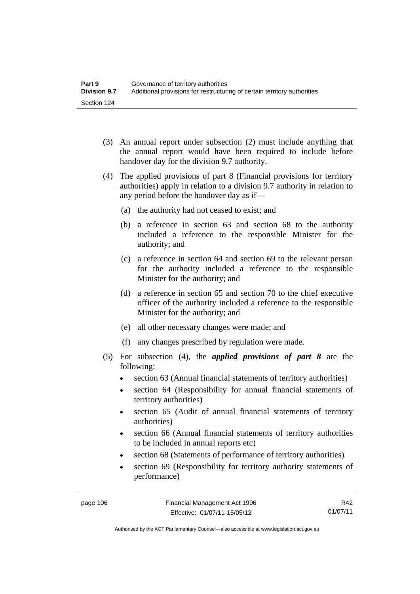- (3) An annual report under subsection (2) must include anything that the annual report would have been required to include before handover day for the division 9.7 authority.
- (4) The applied provisions of part 8 (Financial provisions for territory authorities) apply in relation to a division 9.7 authority in relation to any period before the handover day as if—
	- (a) the authority had not ceased to exist; and
	- (b) a reference in section 63 and section 68 to the authority included a reference to the responsible Minister for the authority; and
	- (c) a reference in section 64 and section 69 to the relevant person for the authority included a reference to the responsible Minister for the authority; and
	- (d) a reference in section 65 and section 70 to the chief executive officer of the authority included a reference to the responsible Minister for the authority; and
	- (e) all other necessary changes were made; and
	- (f) any changes prescribed by regulation were made.
- (5) For subsection (4), the *applied provisions of part 8* are the following:
	- section 63 (Annual financial statements of territory authorities)
	- section 64 (Responsibility for annual financial statements of territory authorities)
	- section 65 (Audit of annual financial statements of territory authorities)
	- section 66 (Annual financial statements of territory authorities to be included in annual reports etc)
	- section 68 (Statements of performance of territory authorities)
	- section 69 (Responsibility for territory authority statements of performance)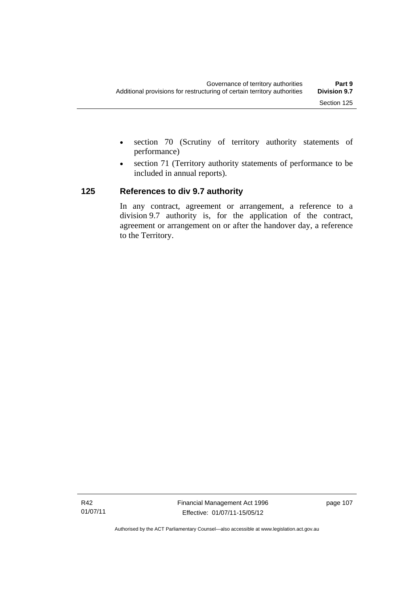- section 70 (Scrutiny of territory authority statements of performance)
- section 71 (Territory authority statements of performance to be included in annual reports).

# **125 References to div 9.7 authority**

In any contract, agreement or arrangement, a reference to a division 9.7 authority is, for the application of the contract, agreement or arrangement on or after the handover day, a reference to the Territory.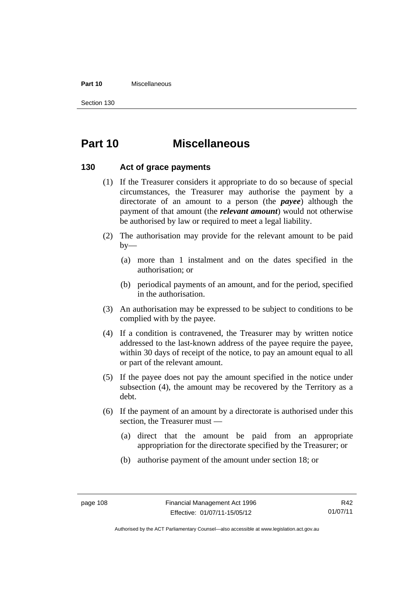#### **Part 10** Miscellaneous

Section 130

# **Part 10 Miscellaneous**

## **130 Act of grace payments**

- (1) If the Treasurer considers it appropriate to do so because of special circumstances, the Treasurer may authorise the payment by a directorate of an amount to a person (the *payee*) although the payment of that amount (the *relevant amount*) would not otherwise be authorised by law or required to meet a legal liability.
- (2) The authorisation may provide for the relevant amount to be paid  $by-$ 
	- (a) more than 1 instalment and on the dates specified in the authorisation; or
	- (b) periodical payments of an amount, and for the period, specified in the authorisation.
- (3) An authorisation may be expressed to be subject to conditions to be complied with by the payee.
- (4) If a condition is contravened, the Treasurer may by written notice addressed to the last-known address of the payee require the payee, within 30 days of receipt of the notice, to pay an amount equal to all or part of the relevant amount.
- (5) If the payee does not pay the amount specified in the notice under subsection (4), the amount may be recovered by the Territory as a debt.
- (6) If the payment of an amount by a directorate is authorised under this section, the Treasurer must —
	- (a) direct that the amount be paid from an appropriate appropriation for the directorate specified by the Treasurer; or
	- (b) authorise payment of the amount under section 18; or

Authorised by the ACT Parliamentary Counsel—also accessible at www.legislation.act.gov.au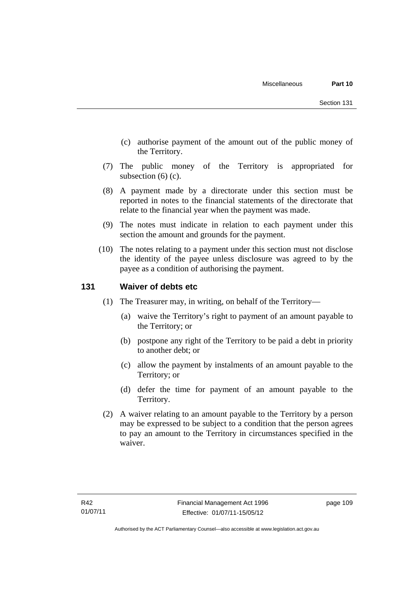- (c) authorise payment of the amount out of the public money of the Territory.
- (7) The public money of the Territory is appropriated for subsection (6) (c).
- (8) A payment made by a directorate under this section must be reported in notes to the financial statements of the directorate that relate to the financial year when the payment was made.
- (9) The notes must indicate in relation to each payment under this section the amount and grounds for the payment.
- (10) The notes relating to a payment under this section must not disclose the identity of the payee unless disclosure was agreed to by the payee as a condition of authorising the payment.

## **131 Waiver of debts etc**

- (1) The Treasurer may, in writing, on behalf of the Territory—
	- (a) waive the Territory's right to payment of an amount payable to the Territory; or
	- (b) postpone any right of the Territory to be paid a debt in priority to another debt; or
	- (c) allow the payment by instalments of an amount payable to the Territory; or
	- (d) defer the time for payment of an amount payable to the Territory.
- (2) A waiver relating to an amount payable to the Territory by a person may be expressed to be subject to a condition that the person agrees to pay an amount to the Territory in circumstances specified in the waiver.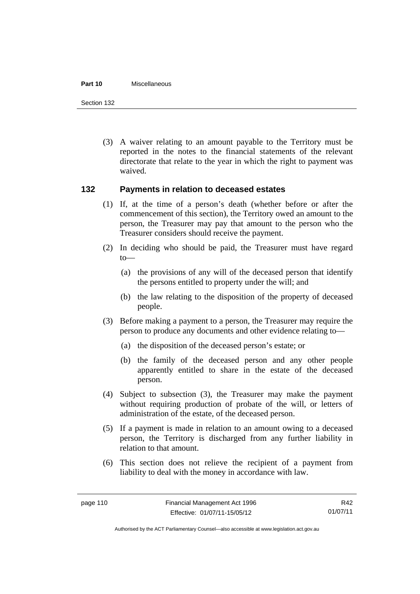#### **Part 10** Miscellaneous

Section 132

 (3) A waiver relating to an amount payable to the Territory must be reported in the notes to the financial statements of the relevant directorate that relate to the year in which the right to payment was waived.

## **132 Payments in relation to deceased estates**

- (1) If, at the time of a person's death (whether before or after the commencement of this section), the Territory owed an amount to the person, the Treasurer may pay that amount to the person who the Treasurer considers should receive the payment.
- (2) In deciding who should be paid, the Treasurer must have regard to—
	- (a) the provisions of any will of the deceased person that identify the persons entitled to property under the will; and
	- (b) the law relating to the disposition of the property of deceased people.
- (3) Before making a payment to a person, the Treasurer may require the person to produce any documents and other evidence relating to—
	- (a) the disposition of the deceased person's estate; or
	- (b) the family of the deceased person and any other people apparently entitled to share in the estate of the deceased person.
- (4) Subject to subsection (3), the Treasurer may make the payment without requiring production of probate of the will, or letters of administration of the estate, of the deceased person.
- (5) If a payment is made in relation to an amount owing to a deceased person, the Territory is discharged from any further liability in relation to that amount.
- (6) This section does not relieve the recipient of a payment from liability to deal with the money in accordance with law.

R42 01/07/11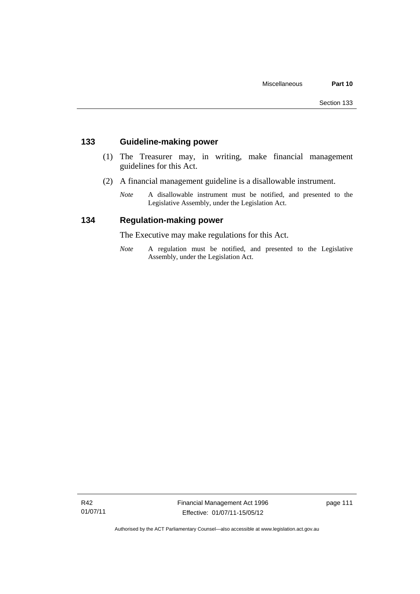# **133 Guideline-making power**

- (1) The Treasurer may, in writing, make financial management guidelines for this Act.
- (2) A financial management guideline is a disallowable instrument.
	- *Note* A disallowable instrument must be notified, and presented to the Legislative Assembly, under the Legislation Act.

## **134 Regulation-making power**

The Executive may make regulations for this Act.

*Note* A regulation must be notified, and presented to the Legislative Assembly, under the Legislation Act.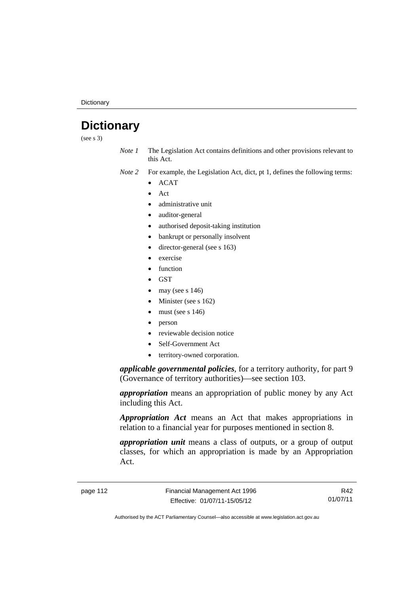**Dictionary** 

# **Dictionary**

(see s 3)

- *Note 1* The Legislation Act contains definitions and other provisions relevant to this Act.
- *Note 2* For example, the Legislation Act, dict, pt 1, defines the following terms:
	- ACAT
	- Act
	- administrative unit
	- auditor-general
	- authorised deposit-taking institution
	- bankrupt or personally insolvent
	- director-general (see s 163)
	- exercise
	- function
	- **GST**
	- may (see s 146)
	- Minister (see s 162)
	- must (see s 146)
	- person
	- reviewable decision notice
	- Self-Government Act
	- territory-owned corporation.

*applicable governmental policies*, for a territory authority, for part 9 (Governance of territory authorities)—see section 103.

*appropriation* means an appropriation of public money by any Act including this Act.

*Appropriation Act* means an Act that makes appropriations in relation to a financial year for purposes mentioned in section 8.

*appropriation unit* means a class of outputs, or a group of output classes, for which an appropriation is made by an Appropriation Act.

page 112 Financial Management Act 1996 Effective: 01/07/11-15/05/12

R42 01/07/11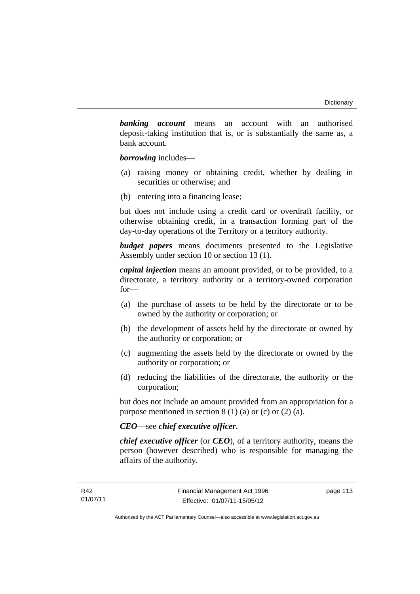*banking account* means an account with an authorised deposit-taking institution that is, or is substantially the same as, a bank account.

*borrowing* includes—

- (a) raising money or obtaining credit, whether by dealing in securities or otherwise; and
- (b) entering into a financing lease;

but does not include using a credit card or overdraft facility, or otherwise obtaining credit, in a transaction forming part of the day-to-day operations of the Territory or a territory authority.

*budget papers* means documents presented to the Legislative Assembly under section 10 or section 13 (1).

*capital injection* means an amount provided, or to be provided, to a directorate, a territory authority or a territory-owned corporation for—

- (a) the purchase of assets to be held by the directorate or to be owned by the authority or corporation; or
- (b) the development of assets held by the directorate or owned by the authority or corporation; or
- (c) augmenting the assets held by the directorate or owned by the authority or corporation; or
- (d) reducing the liabilities of the directorate, the authority or the corporation;

but does not include an amount provided from an appropriation for a purpose mentioned in section  $8(1)(a)$  or (c) or  $(2)(a)$ .

## *CEO*—see *chief executive officer*.

*chief executive officer* (or *CEO*), of a territory authority, means the person (however described) who is responsible for managing the affairs of the authority.

page 113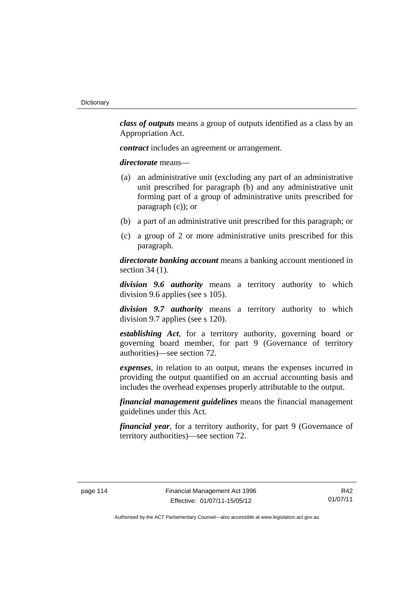*class of outputs* means a group of outputs identified as a class by an Appropriation Act.

*contract* includes an agreement or arrangement.

*directorate* means––

- (a) an administrative unit (excluding any part of an administrative unit prescribed for paragraph (b) and any administrative unit forming part of a group of administrative units prescribed for paragraph (c)); or
- (b) a part of an administrative unit prescribed for this paragraph; or
- (c) a group of 2 or more administrative units prescribed for this paragraph.

*directorate banking account* means a banking account mentioned in section 34 (1).

*division 9.6 authority* means a territory authority to which division 9.6 applies (see s 105).

*division 9.7 authority* means a territory authority to which division 9.7 applies (see s 120).

*establishing Act*, for a territory authority, governing board or governing board member, for part 9 (Governance of territory authorities)—see section 72.

*expenses*, in relation to an output, means the expenses incurred in providing the output quantified on an accrual accounting basis and includes the overhead expenses properly attributable to the output.

*financial management guidelines* means the financial management guidelines under this Act.

*financial year*, for a territory authority, for part 9 (Governance of territory authorities)—see section 72.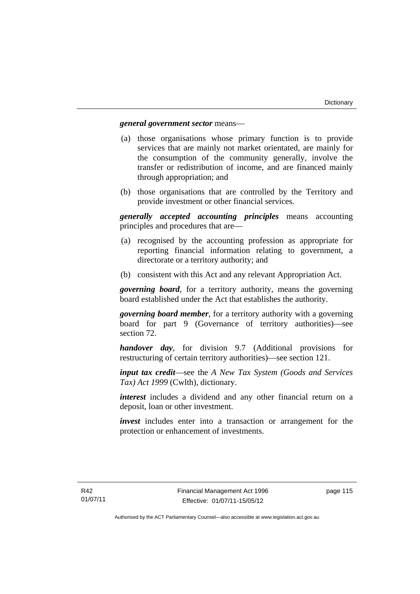## *general government sector* means—

- (a) those organisations whose primary function is to provide services that are mainly not market orientated, are mainly for the consumption of the community generally, involve the transfer or redistribution of income, and are financed mainly through appropriation; and
- (b) those organisations that are controlled by the Territory and provide investment or other financial services.

*generally accepted accounting principles* means accounting principles and procedures that are—

- (a) recognised by the accounting profession as appropriate for reporting financial information relating to government, a directorate or a territory authority; and
- (b) consistent with this Act and any relevant Appropriation Act.

*governing board*, for a territory authority, means the governing board established under the Act that establishes the authority.

*governing board member*, for a territory authority with a governing board for part 9 (Governance of territory authorities)—see section 72.

*handover day*, for division 9.7 (Additional provisions for restructuring of certain territory authorities)—see section 121.

*input tax credit*—see the *A New Tax System (Goods and Services Tax) Act 1999* (Cwlth), dictionary.

*interest* includes a dividend and any other financial return on a deposit, loan or other investment.

*invest* includes enter into a transaction or arrangement for the protection or enhancement of investments.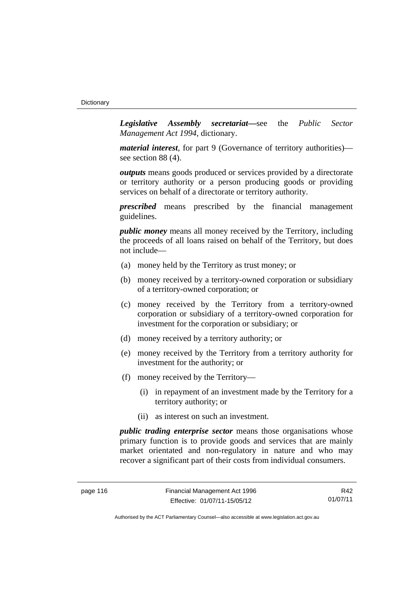*Legislative Assembly secretariat***—**see the *Public Sector Management Act 1994*, dictionary.

*material interest*, for part 9 (Governance of territory authorities) see section 88 (4).

*outputs* means goods produced or services provided by a directorate or territory authority or a person producing goods or providing services on behalf of a directorate or territory authority.

*prescribed* means prescribed by the financial management guidelines.

*public money* means all money received by the Territory, including the proceeds of all loans raised on behalf of the Territory, but does not include—

- (a) money held by the Territory as trust money; or
- (b) money received by a territory-owned corporation or subsidiary of a territory-owned corporation; or
- (c) money received by the Territory from a territory-owned corporation or subsidiary of a territory-owned corporation for investment for the corporation or subsidiary; or
- (d) money received by a territory authority; or
- (e) money received by the Territory from a territory authority for investment for the authority; or
- (f) money received by the Territory—
	- (i) in repayment of an investment made by the Territory for a territory authority; or
	- (ii) as interest on such an investment.

*public trading enterprise sector* means those organisations whose primary function is to provide goods and services that are mainly market orientated and non-regulatory in nature and who may recover a significant part of their costs from individual consumers.

R42 01/07/11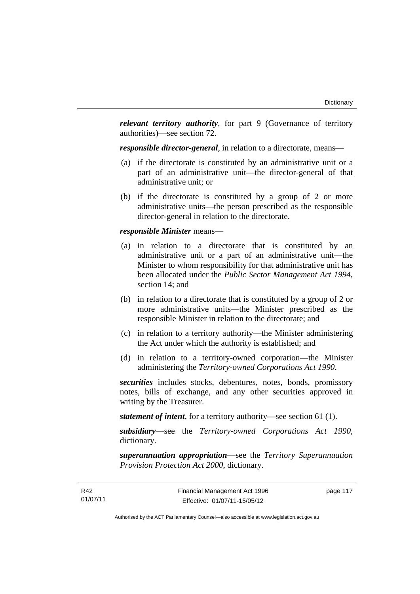*relevant territory authority*, for part 9 (Governance of territory authorities)—see section 72.

*responsible director-general*, in relation to a directorate, means—

- (a) if the directorate is constituted by an administrative unit or a part of an administrative unit—the director-general of that administrative unit; or
- (b) if the directorate is constituted by a group of 2 or more administrative units—the person prescribed as the responsible director-general in relation to the directorate.

#### *responsible Minister* means—

- (a) in relation to a directorate that is constituted by an administrative unit or a part of an administrative unit—the Minister to whom responsibility for that administrative unit has been allocated under the *Public Sector Management Act 1994*, section 14; and
- (b) in relation to a directorate that is constituted by a group of 2 or more administrative units—the Minister prescribed as the responsible Minister in relation to the directorate; and
- (c) in relation to a territory authority—the Minister administering the Act under which the authority is established; and
- (d) in relation to a territory-owned corporation—the Minister administering the *Territory-owned Corporations Act 1990*.

*securities* includes stocks, debentures, notes, bonds, promissory notes, bills of exchange, and any other securities approved in writing by the Treasurer.

*statement of intent*, for a territory authority—see section 61 (1).

*subsidiary*—see the *Territory-owned Corporations Act 1990*, dictionary.

*superannuation appropriation*—see the *Territory Superannuation Provision Protection Act 2000*, dictionary.

page 117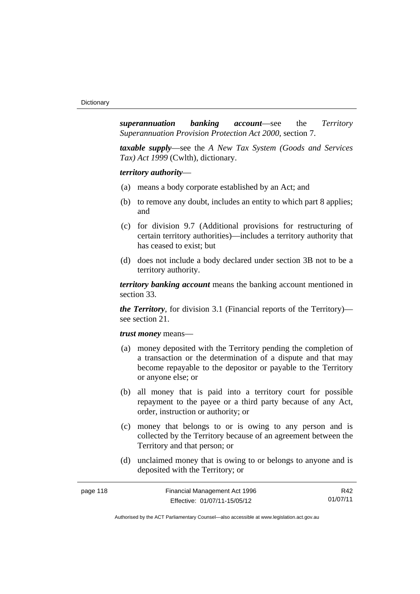*superannuation banking account*—see the *Territory Superannuation Provision Protection Act 2000*, section 7.

*taxable supply*—see the *A New Tax System (Goods and Services Tax) Act 1999* (Cwlth), dictionary.

*territory authority*—

- (a) means a body corporate established by an Act; and
- (b) to remove any doubt, includes an entity to which part 8 applies; and
- (c) for division 9.7 (Additional provisions for restructuring of certain territory authorities)—includes a territory authority that has ceased to exist; but
- (d) does not include a body declared under section 3B not to be a territory authority.

*territory banking account* means the banking account mentioned in section 33.

*the Territory*, for division 3.1 (Financial reports of the Territory) see section 21.

*trust money* means—

- (a) money deposited with the Territory pending the completion of a transaction or the determination of a dispute and that may become repayable to the depositor or payable to the Territory or anyone else; or
- (b) all money that is paid into a territory court for possible repayment to the payee or a third party because of any Act, order, instruction or authority; or
- (c) money that belongs to or is owing to any person and is collected by the Territory because of an agreement between the Territory and that person; or
- (d) unclaimed money that is owing to or belongs to anyone and is deposited with the Territory; or

| page 118 | Financial Management Act 1996 | R42      |
|----------|-------------------------------|----------|
|          | Effective: 01/07/11-15/05/12  | 01/07/11 |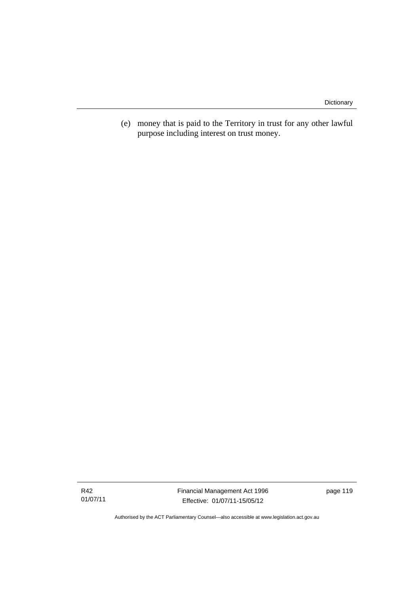(e) money that is paid to the Territory in trust for any other lawful purpose including interest on trust money.

R42 01/07/11 Financial Management Act 1996 Effective: 01/07/11-15/05/12

page 119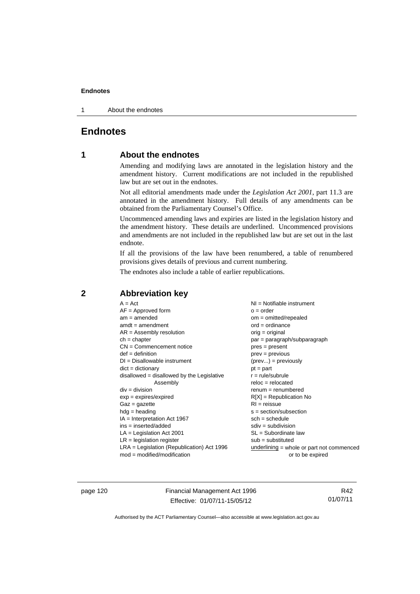1 About the endnotes

# **Endnotes**

## **1 About the endnotes**

Amending and modifying laws are annotated in the legislation history and the amendment history. Current modifications are not included in the republished law but are set out in the endnotes.

Not all editorial amendments made under the *Legislation Act 2001*, part 11.3 are annotated in the amendment history. Full details of any amendments can be obtained from the Parliamentary Counsel's Office.

Uncommenced amending laws and expiries are listed in the legislation history and the amendment history. These details are underlined. Uncommenced provisions and amendments are not included in the republished law but are set out in the last endnote.

If all the provisions of the law have been renumbered, a table of renumbered provisions gives details of previous and current numbering.

The endnotes also include a table of earlier republications.

| $A = Act$                                    | $NI =$ Notifiable instrument              |
|----------------------------------------------|-------------------------------------------|
| $AF =$ Approved form                         | $o = order$                               |
| $am = amended$                               | $om = omitted/repealed$                   |
| $amdt = amendment$                           | $ord = ordinance$                         |
| $AR = Assembly resolution$                   | $orig = original$                         |
| $ch = chapter$                               | par = paragraph/subparagraph              |
| $CN =$ Commencement notice                   | $pres = present$                          |
| $def = definition$                           | $prev = previous$                         |
| $DI = Disallowable instrument$               | $(\text{prev}) = \text{previously}$       |
| $dict = dictionary$                          | $pt = part$                               |
| $disallowed = disallowed by the Legislative$ | $r = rule/subrule$                        |
| Assembly                                     | $reloc = relocated$                       |
| $div =$ division                             | $renum = renumbered$                      |
| $exp = expires/expired$                      | $R[X]$ = Republication No                 |
| $Gaz = gazette$                              | $RI = reissue$                            |
| $hdg = heading$                              | s = section/subsection                    |
| $IA = Interpretation Act 1967$               | $sch = schedule$                          |
| $ins = inserted/added$                       | $sdiv = subdivision$                      |
| $LA =$ Legislation Act 2001                  | SL = Subordinate law                      |
| $LR =$ legislation register                  | $sub =$ substituted                       |
| $LRA =$ Legislation (Republication) Act 1996 | underlining = whole or part not commenced |
| $mod = modified/modification$                | or to be expired                          |

# **2 Abbreviation key**

page 120 Financial Management Act 1996 Effective: 01/07/11-15/05/12

R42 01/07/11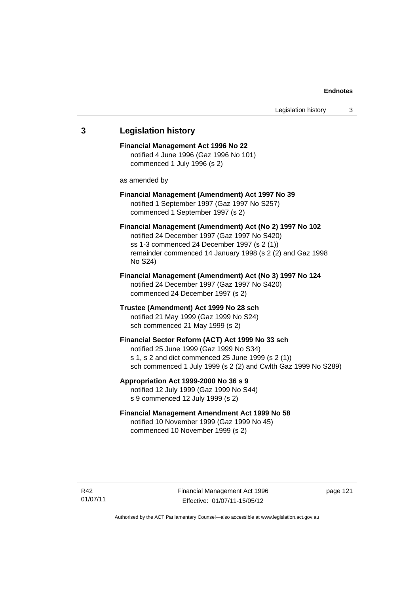| 3 | <b>Legislation history</b>                                                                                                                                                                                                     |
|---|--------------------------------------------------------------------------------------------------------------------------------------------------------------------------------------------------------------------------------|
|   | <b>Financial Management Act 1996 No 22</b><br>notified 4 June 1996 (Gaz 1996 No 101)<br>commenced 1 July 1996 (s 2)                                                                                                            |
|   | as amended by                                                                                                                                                                                                                  |
|   | Financial Management (Amendment) Act 1997 No 39<br>notified 1 September 1997 (Gaz 1997 No S257)<br>commenced 1 September 1997 (s 2)                                                                                            |
|   | Financial Management (Amendment) Act (No 2) 1997 No 102<br>notified 24 December 1997 (Gaz 1997 No S420)<br>ss 1-3 commenced 24 December 1997 (s 2 (1))<br>remainder commenced 14 January 1998 (s 2 (2) and Gaz 1998<br>No S24) |
|   | Financial Management (Amendment) Act (No 3) 1997 No 124<br>notified 24 December 1997 (Gaz 1997 No S420)<br>commenced 24 December 1997 (s 2)                                                                                    |
|   | Trustee (Amendment) Act 1999 No 28 sch<br>notified 21 May 1999 (Gaz 1999 No S24)<br>sch commenced 21 May 1999 (s 2)                                                                                                            |
|   | Financial Sector Reform (ACT) Act 1999 No 33 sch<br>notified 25 June 1999 (Gaz 1999 No S34)<br>s 1, s 2 and dict commenced 25 June 1999 (s 2 (1))<br>sch commenced 1 July 1999 (s 2 (2) and Cwlth Gaz 1999 No S289)            |
|   | Appropriation Act 1999-2000 No 36 s 9<br>notified 12 July 1999 (Gaz 1999 No S44)<br>s 9 commenced 12 July 1999 (s 2)                                                                                                           |
|   | <b>Financial Management Amendment Act 1999 No 58</b><br>notified 10 November 1999 (Gaz 1999 No 45)<br>commenced 10 November 1999 (s 2)                                                                                         |

Financial Management Act 1996 Effective: 01/07/11-15/05/12

page 121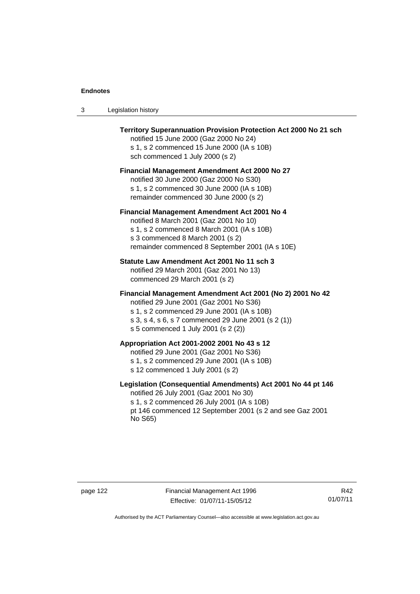| -3 | Legislation history |  |
|----|---------------------|--|
|----|---------------------|--|

| <b>Territory Superannuation Provision Protection Act 2000 No 21 sch</b><br>notified 15 June 2000 (Gaz 2000 No 24)<br>s 1, s 2 commenced 15 June 2000 (IA s 10B)<br>sch commenced 1 July 2000 (s 2)                                               |
|--------------------------------------------------------------------------------------------------------------------------------------------------------------------------------------------------------------------------------------------------|
| <b>Financial Management Amendment Act 2000 No 27</b><br>notified 30 June 2000 (Gaz 2000 No S30)<br>s 1, s 2 commenced 30 June 2000 (IA s 10B)<br>remainder commenced 30 June 2000 (s 2)                                                          |
| Financial Management Amendment Act 2001 No 4<br>notified 8 March 2001 (Gaz 2001 No 10)<br>s 1, s 2 commenced 8 March 2001 (IA s 10B)<br>s 3 commenced 8 March 2001 (s 2)<br>remainder commenced 8 September 2001 (IA s 10E)                      |
| Statute Law Amendment Act 2001 No 11 sch 3<br>notified 29 March 2001 (Gaz 2001 No 13)<br>commenced 29 March 2001 (s 2)                                                                                                                           |
| Financial Management Amendment Act 2001 (No 2) 2001 No 42<br>notified 29 June 2001 (Gaz 2001 No S36)<br>s 1, s 2 commenced 29 June 2001 (IA s 10B)<br>s 3, s 4, s 6, s 7 commenced 29 June 2001 (s 2 (1))<br>s 5 commenced 1 July 2001 (s 2 (2)) |
| Appropriation Act 2001-2002 2001 No 43 s 12<br>notified 29 June 2001 (Gaz 2001 No S36)<br>s 1, s 2 commenced 29 June 2001 (IA s 10B)<br>s 12 commenced 1 July 2001 (s 2)                                                                         |
| Legislation (Consequential Amendments) Act 2001 No 44 pt 146<br>notified 26 July 2001 (Gaz 2001 No 30)<br>s 1, s 2 commenced 26 July 2001 (IA s 10B)<br>pt 146 commenced 12 September 2001 (s 2 and see Gaz 2001<br>No S65)                      |

R42 01/07/11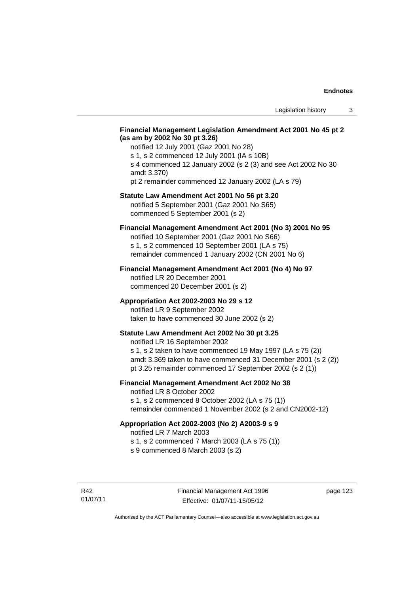## **Financial Management Legislation Amendment Act 2001 No 45 pt 2 (as am by 2002 No 30 pt 3.26)**

notified 12 July 2001 (Gaz 2001 No 28) s 1, s 2 commenced 12 July 2001 (IA s 10B) s 4 commenced 12 January 2002 (s 2 (3) and see Act 2002 No 30 amdt 3.370) pt 2 remainder commenced 12 January 2002 (LA s 79)

#### **Statute Law Amendment Act 2001 No 56 pt 3.20**

notified 5 September 2001 (Gaz 2001 No S65) commenced 5 September 2001 (s 2)

## **Financial Management Amendment Act 2001 (No 3) 2001 No 95**

notified 10 September 2001 (Gaz 2001 No S66) s 1, s 2 commenced 10 September 2001 (LA s 75) remainder commenced 1 January 2002 (CN 2001 No 6)

#### **Financial Management Amendment Act 2001 (No 4) No 97**

notified LR 20 December 2001 commenced 20 December 2001 (s 2)

### **Appropriation Act 2002-2003 No 29 s 12**

notified LR 9 September 2002 taken to have commenced 30 June 2002 (s 2)

## **Statute Law Amendment Act 2002 No 30 pt 3.25**

notified LR 16 September 2002 s 1, s 2 taken to have commenced 19 May 1997 (LA s 75 (2)) amdt 3.369 taken to have commenced 31 December 2001 (s 2 (2)) pt 3.25 remainder commenced 17 September 2002 (s 2 (1))

## **Financial Management Amendment Act 2002 No 38**

notified LR 8 October 2002

s 1, s 2 commenced 8 October 2002 (LA s 75 (1)) remainder commenced 1 November 2002 (s 2 and CN2002-12)

## **Appropriation Act 2002-2003 (No 2) A2003-9 s 9**

notified LR 7 March 2003

s 1, s 2 commenced 7 March 2003 (LA s 75 (1))

s 9 commenced 8 March 2003 (s 2)

R42 01/07/11 page 123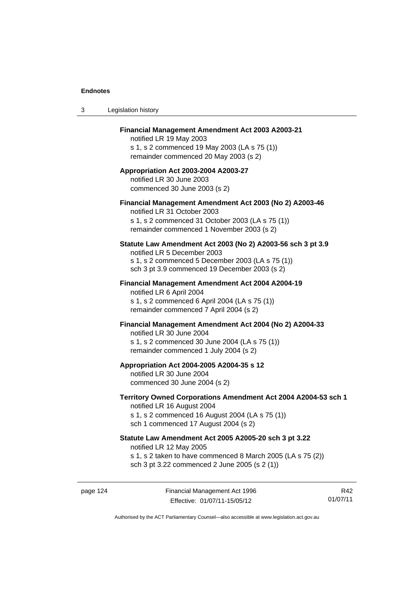| 3 | Legislation history                                                                                                                                                                              |
|---|--------------------------------------------------------------------------------------------------------------------------------------------------------------------------------------------------|
|   | Financial Management Amendment Act 2003 A2003-21<br>notified LR 19 May 2003<br>s 1, s 2 commenced 19 May 2003 (LA s 75 (1))<br>remainder commenced 20 May 2003 (s 2)                             |
|   | Appropriation Act 2003-2004 A2003-27<br>notified LR 30 June 2003<br>commenced 30 June 2003 (s 2)                                                                                                 |
|   | Financial Management Amendment Act 2003 (No 2) A2003-46<br>notified LR 31 October 2003<br>s 1, s 2 commenced 31 October 2003 (LA s 75 (1))<br>remainder commenced 1 November 2003 (s 2)          |
|   | Statute Law Amendment Act 2003 (No 2) A2003-56 sch 3 pt 3.9<br>notified LR 5 December 2003<br>s 1, s 2 commenced 5 December 2003 (LA s 75 (1))<br>sch 3 pt 3.9 commenced 19 December 2003 (s 2)  |
|   | <b>Financial Management Amendment Act 2004 A2004-19</b><br>notified LR 6 April 2004<br>s 1, s 2 commenced 6 April 2004 (LA s 75 (1))<br>remainder commenced 7 April 2004 (s 2)                   |
|   | Financial Management Amendment Act 2004 (No 2) A2004-33<br>notified LR 30 June 2004<br>s 1, s 2 commenced 30 June 2004 (LA s 75 (1))<br>remainder commenced 1 July 2004 (s 2)                    |
|   | Appropriation Act 2004-2005 A2004-35 s 12<br>notified LR 30 June 2004<br>commenced 30 June 2004 (s 2)                                                                                            |
|   | Territory Owned Corporations Amendment Act 2004 A2004-53 sch 1<br>notified LR 16 August 2004<br>s 1, s 2 commenced 16 August 2004 (LA s 75 (1))<br>sch 1 commenced 17 August 2004 (s 2)          |
|   | Statute Law Amendment Act 2005 A2005-20 sch 3 pt 3.22<br>notified LR 12 May 2005<br>s 1, s 2 taken to have commenced 8 March 2005 (LA s 75 (2))<br>sch 3 pt 3.22 commenced 2 June 2005 (s 2 (1)) |

page 124 Financial Management Act 1996 Effective: 01/07/11-15/05/12

R42 01/07/11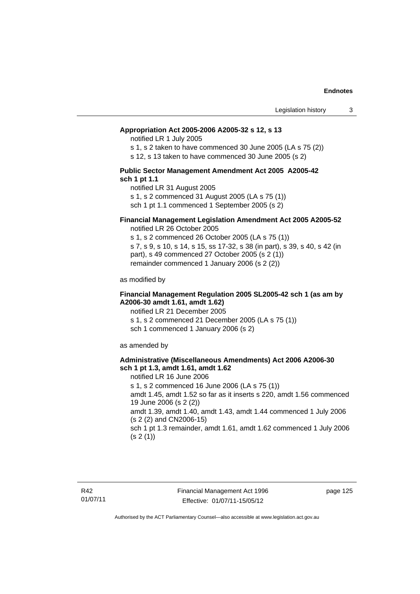#### **Appropriation Act 2005-2006 A2005-32 s 12, s 13**

notified LR 1 July 2005

s 1, s 2 taken to have commenced 30 June 2005 (LA s 75 (2))

s 12, s 13 taken to have commenced 30 June 2005 (s 2)

#### **Public Sector Management Amendment Act 2005 A2005-42 sch 1 pt 1.1**

notified LR 31 August 2005 s 1, s 2 commenced 31 August 2005 (LA s 75 (1)) sch 1 pt 1.1 commenced 1 September 2005 (s 2)

### **Financial Management Legislation Amendment Act 2005 A2005-52**

notified LR 26 October 2005

s 1, s 2 commenced 26 October 2005 (LA s 75 (1)) s 7, s 9, s 10, s 14, s 15, ss 17-32, s 38 (in part), s 39, s 40, s 42 (in part), s 49 commenced 27 October 2005 (s 2 (1)) remainder commenced 1 January 2006 (s 2 (2))

as modified by

### **Financial Management Regulation 2005 SL2005-42 sch 1 (as am by A2006-30 amdt 1.61, amdt 1.62)**

notified LR 21 December 2005 s 1, s 2 commenced 21 December 2005 (LA s 75 (1)) sch 1 commenced 1 January 2006 (s 2)

as amended by

### **Administrative (Miscellaneous Amendments) Act 2006 A2006-30 sch 1 pt 1.3, amdt 1.61, amdt 1.62**

notified LR 16 June 2006 s 1, s 2 commenced 16 June 2006 (LA s 75 (1)) amdt 1.45, amdt 1.52 so far as it inserts s 220, amdt 1.56 commenced 19 June 2006 (s 2 (2)) amdt 1.39, amdt 1.40, amdt 1.43, amdt 1.44 commenced 1 July 2006 (s 2 (2) and CN2006-15) sch 1 pt 1.3 remainder, amdt 1.61, amdt 1.62 commenced 1 July 2006  $(s 2(1))$ 

page 125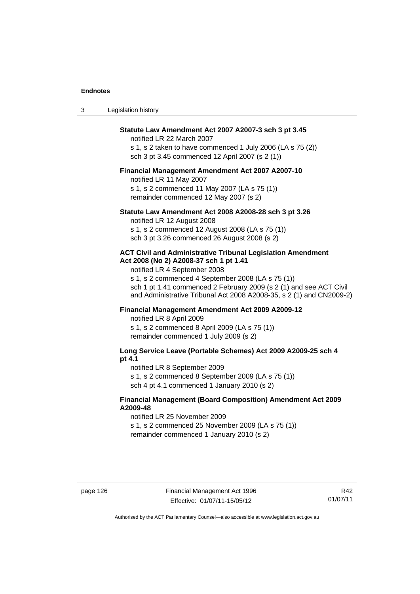| Legislation history<br>-3 |  |
|---------------------------|--|
|---------------------------|--|

## **Statute Law Amendment Act 2007 A2007-3 sch 3 pt 3.45**

notified LR 22 March 2007 s 1, s 2 taken to have commenced 1 July 2006 (LA s 75 (2)) sch 3 pt 3.45 commenced 12 April 2007 (s 2 (1))

#### **Financial Management Amendment Act 2007 A2007-10**

notified LR 11 May 2007 s 1, s 2 commenced 11 May 2007 (LA s 75 (1)) remainder commenced 12 May 2007 (s 2)

#### **Statute Law Amendment Act 2008 A2008-28 sch 3 pt 3.26**

notified LR 12 August 2008 s 1, s 2 commenced 12 August 2008 (LA s 75 (1)) sch 3 pt 3.26 commenced 26 August 2008 (s 2)

#### **ACT Civil and Administrative Tribunal Legislation Amendment Act 2008 (No 2) A2008-37 sch 1 pt 1.41**

notified LR 4 September 2008

s 1, s 2 commenced 4 September 2008 (LA s 75 (1)) sch 1 pt 1.41 commenced 2 February 2009 (s 2 (1) and see ACT Civil and Administrative Tribunal Act 2008 A2008-35, s 2 (1) and CN2009-2)

## **Financial Management Amendment Act 2009 A2009-12**

notified LR 8 April 2009

s 1, s 2 commenced 8 April 2009 (LA s 75 (1)) remainder commenced 1 July 2009 (s 2)

## **Long Service Leave (Portable Schemes) Act 2009 A2009-25 sch 4 pt 4.1**

notified LR 8 September 2009

s 1, s 2 commenced 8 September 2009 (LA s 75 (1))

sch 4 pt 4.1 commenced 1 January 2010 (s 2)

## **Financial Management (Board Composition) Amendment Act 2009 A2009-48**

notified LR 25 November 2009

s 1, s 2 commenced 25 November 2009 (LA s 75 (1))

remainder commenced 1 January 2010 (s 2)

R42 01/07/11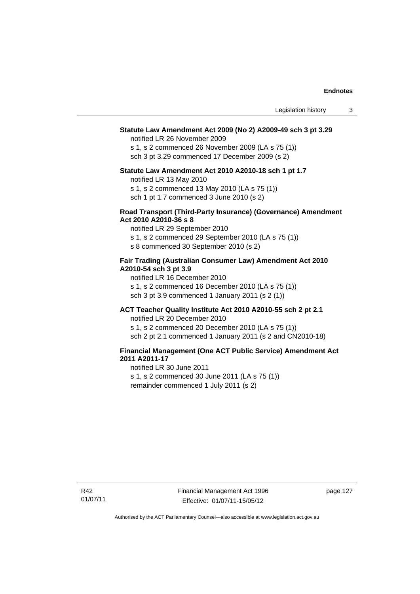#### **Statute Law Amendment Act 2009 (No 2) A2009-49 sch 3 pt 3.29**

notified LR 26 November 2009

s 1, s 2 commenced 26 November 2009 (LA s 75 (1)) sch 3 pt 3.29 commenced 17 December 2009 (s 2)

#### **Statute Law Amendment Act 2010 A2010-18 sch 1 pt 1.7**

notified LR 13 May 2010

s 1, s 2 commenced 13 May 2010 (LA s 75 (1))

sch 1 pt 1.7 commenced 3 June 2010 (s 2)

### **Road Transport (Third-Party Insurance) (Governance) Amendment Act 2010 A2010-36 s 8**

notified LR 29 September 2010

s 1, s 2 commenced 29 September 2010 (LA s 75 (1))

s 8 commenced 30 September 2010 (s 2)

### **Fair Trading (Australian Consumer Law) Amendment Act 2010 A2010-54 sch 3 pt 3.9**

notified LR 16 December 2010 s 1, s 2 commenced 16 December 2010 (LA s 75 (1)) sch 3 pt 3.9 commenced 1 January 2011 (s 2 (1))

## **ACT Teacher Quality Institute Act 2010 A2010-55 sch 2 pt 2.1**

notified LR 20 December 2010

s 1, s 2 commenced 20 December 2010 (LA s 75 (1)) sch 2 pt 2.1 commenced 1 January 2011 (s 2 and CN2010-18)

## **Financial Management (One ACT Public Service) Amendment Act 2011 A2011-17**

notified LR 30 June 2011 s 1, s 2 commenced 30 June 2011 (LA s 75 (1)) remainder commenced 1 July 2011 (s 2)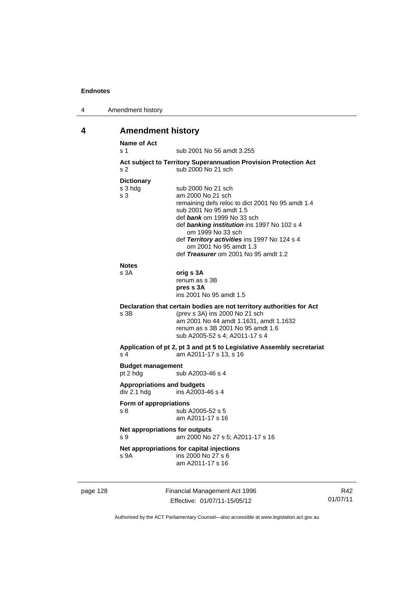| 4 | Amendment history |
|---|-------------------|
|---|-------------------|

# **4 Amendment history**

| <b>Name of Act</b><br>s 1                        | sub 2001 No 56 amdt 3.255                                                                                                                                                                                                                                                                                                                         |
|--------------------------------------------------|---------------------------------------------------------------------------------------------------------------------------------------------------------------------------------------------------------------------------------------------------------------------------------------------------------------------------------------------------|
| s <sub>2</sub>                                   | Act subject to Territory Superannuation Provision Protection Act<br>sub 2000 No 21 sch                                                                                                                                                                                                                                                            |
| <b>Dictionary</b><br>s 3 hdg<br>s 3              | sub 2000 No 21 sch<br>am 2000 No 21 sch<br>remaining defs reloc to dict 2001 No 95 amdt 1.4<br>sub 2001 No 95 amdt 1.5<br>def <i>bank</i> om 1999 No 33 sch<br>def banking institution ins 1997 No 102 s 4<br>om 1999 No 33 sch<br>def Territory activities ins 1997 No 124 s 4<br>om 2001 No 95 amdt 1.3<br>def Treasurer om 2001 No 95 amdt 1.2 |
| <b>Notes</b><br>s 3A                             | orig s 3A<br>renum as s 3B<br>pres s 3A<br>ins 2001 No 95 amdt 1.5                                                                                                                                                                                                                                                                                |
| s 3B                                             | Declaration that certain bodies are not territory authorities for Act<br>(prev s 3A) ins 2000 No 21 sch<br>am 2001 No 44 amdt 1.1631, amdt 1.1632<br>renum as s 3B 2001 No 95 amdt 1.6<br>sub A2005-52 s 4; A2011-17 s 4                                                                                                                          |
| s <sub>4</sub>                                   | Application of pt 2, pt 3 and pt 5 to Legislative Assembly secretariat<br>am A2011-17 s 13, s 16                                                                                                                                                                                                                                                  |
| <b>Budget management</b><br>pt 2 hdg             | sub A2003-46 s 4                                                                                                                                                                                                                                                                                                                                  |
| <b>Appropriations and budgets</b><br>div 2.1 hdg | ins A2003-46 s 4                                                                                                                                                                                                                                                                                                                                  |
| Form of appropriations<br>s 8                    | sub A2005-52 s 5<br>am A2011-17 s 16                                                                                                                                                                                                                                                                                                              |
| Net appropriations for outputs<br>s 9            | am 2000 No 27 s 5; A2011-17 s 16                                                                                                                                                                                                                                                                                                                  |
| s 9A                                             | Net appropriations for capital injections<br>ins 2000 No 27 s 6<br>am A2011-17 s 16                                                                                                                                                                                                                                                               |
|                                                  |                                                                                                                                                                                                                                                                                                                                                   |

page 128 Financial Management Act 1996 Effective: 01/07/11-15/05/12

R42 01/07/11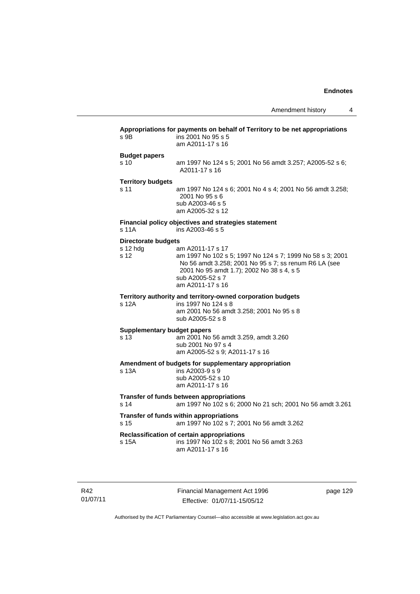| S.9B                                           | Appropriations for payments on behalf of Territory to be net appropriations<br>ins 2001 No 95 s 5<br>am A2011-17 s 16                                                                                                       |
|------------------------------------------------|-----------------------------------------------------------------------------------------------------------------------------------------------------------------------------------------------------------------------------|
| <b>Budget papers</b><br>s 10                   | am 1997 No 124 s 5; 2001 No 56 amdt 3.257; A2005-52 s 6;<br>A2011-17 s 16                                                                                                                                                   |
| <b>Territory budgets</b><br>s 11               | am 1997 No 124 s 6; 2001 No 4 s 4; 2001 No 56 amdt 3.258;<br>2001 No 95 s 6<br>sub A2003-46 s 5<br>am A2005-32 s 12                                                                                                         |
| s 11A                                          | Financial policy objectives and strategies statement<br>ins A2003-46 s 5                                                                                                                                                    |
| <b>Directorate budgets</b><br>s 12 hdg<br>s 12 | am A2011-17 s 17<br>am 1997 No 102 s 5; 1997 No 124 s 7; 1999 No 58 s 3; 2001<br>No 56 amdt 3.258; 2001 No 95 s 7; ss renum R6 LA (see<br>2001 No 95 amdt 1.7); 2002 No 38 s 4, s 5<br>sub A2005-52 s 7<br>am A2011-17 s 16 |
| s 12A                                          | Territory authority and territory-owned corporation budgets<br>ins 1997 No 124 s 8<br>am 2001 No 56 amdt 3.258; 2001 No 95 s 8<br>sub A2005-52 s 8                                                                          |
| <b>Supplementary budget papers</b><br>s 13     | am 2001 No 56 amdt 3.259, amdt 3.260<br>sub 2001 No 97 s 4<br>am A2005-52 s 9; A2011-17 s 16                                                                                                                                |
| s 13A                                          | Amendment of budgets for supplementary appropriation<br>ins A2003-9 s 9<br>sub A2005-52 s 10<br>am A2011-17 s 16                                                                                                            |
| s 14                                           | Transfer of funds between appropriations<br>am 1997 No 102 s 6; 2000 No 21 sch; 2001 No 56 amdt 3.261                                                                                                                       |
| s 15                                           | Transfer of funds within appropriations<br>am 1997 No 102 s 7; 2001 No 56 amdt 3.262                                                                                                                                        |
| s 15A                                          | Reclassification of certain appropriations<br>ins 1997 No 102 s 8; 2001 No 56 amdt 3.263<br>am A2011-17 s 16                                                                                                                |

R42 01/07/11 Financial Management Act 1996 Effective: 01/07/11-15/05/12

page 129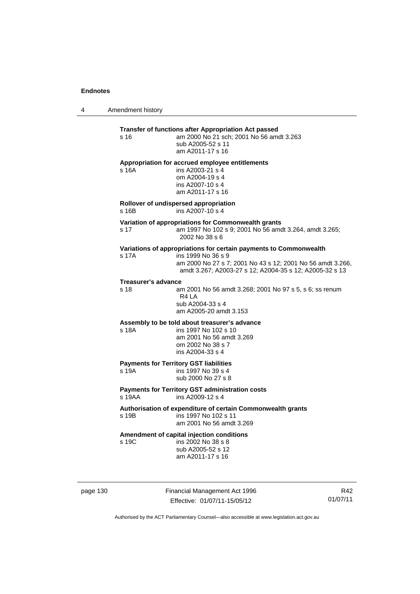4 Amendment history

| s <sub>16</sub>            | Transfer of functions after Appropriation Act passed<br>am 2000 No 21 sch; 2001 No 56 amdt 3.263<br>sub A2005-52 s 11<br>am A2011-17 s 16                                                                        |
|----------------------------|------------------------------------------------------------------------------------------------------------------------------------------------------------------------------------------------------------------|
| s <sub>16A</sub>           | Appropriation for accrued employee entitlements<br>ins A2003-21 s 4<br>om A2004-19 s 4<br>ins A2007-10 s 4<br>am A2011-17 s 16                                                                                   |
| s 16B                      | Rollover of undispersed appropriation<br>ins A2007-10 s 4                                                                                                                                                        |
| s 17                       | Variation of appropriations for Commonwealth grants<br>am 1997 No 102 s 9; 2001 No 56 amdt 3.264, amdt 3.265;<br>2002 No 38 s 6                                                                                  |
| s 17A                      | Variations of appropriations for certain payments to Commonwealth<br>ins 1999 No 36 s 9<br>am 2000 No 27 s 7; 2001 No 43 s 12; 2001 No 56 amdt 3.266,<br>amdt 3.267; A2003-27 s 12; A2004-35 s 12; A2005-32 s 13 |
| <b>Treasurer's advance</b> |                                                                                                                                                                                                                  |
| s 18                       | am 2001 No 56 amdt 3.268; 2001 No 97 s 5, s 6; ss renum<br>R4 LA<br>sub A2004-33 s 4<br>am A2005-20 amdt 3.153                                                                                                   |
|                            | Assembly to be told about treasurer's advance                                                                                                                                                                    |
| s 18A                      | ins 1997 No 102 s 10<br>am 2001 No 56 amdt 3.269<br>om 2002 No 38 s 7<br>ins A2004-33 s 4                                                                                                                        |
| s 19A                      | <b>Payments for Territory GST liabilities</b><br>ins 1997 No 39 s 4<br>sub 2000 No 27 s 8                                                                                                                        |
| s 19AA                     | <b>Payments for Territory GST administration costs</b><br>ins A2009-12 s 4                                                                                                                                       |
| s 19B                      | Authorisation of expenditure of certain Commonwealth grants<br>ins 1997 No 102 s 11<br>am 2001 No 56 amdt 3.269                                                                                                  |
| s 19C                      | Amendment of capital injection conditions<br>ins 2002 No 38 s 8<br>sub A2005-52 s 12<br>am A2011-17 s 16                                                                                                         |

page 130 Financial Management Act 1996 Effective: 01/07/11-15/05/12

R42 01/07/11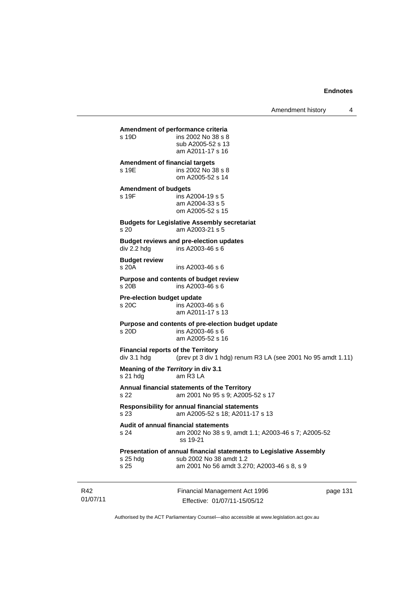Amendment history 4

Financial Management Act 1996 page 131 **Amendment of performance criteria**  ins 2002 No 38 s 8 sub A2005-52 s 13 am A2011-17 s 16 **Amendment of financial targets**  s 19E ins 2002 No 38 s 8 om A2005-52 s 14 **Amendment of budgets**  s 19F ins A2004-19 s 5 am A2004-33 s 5 om A2005-52 s 15 **Budgets for Legislative Assembly secretariat**  s 20 am A2003-21 s 5 **Budget reviews and pre-election updates**   $div 2.2$  hdg  $ins A2003-46 s 6$ **Budget review**   $ins A2003-46 s 6$ **Purpose and contents of budget review**  s 20B ins A2003-46 s 6 **Pre-election budget update**   $ins$  A2003-46 s 6 am A2011-17 s 13 **Purpose and contents of pre-election budget update**  s 20D ins A2003-46 s 6 am A2005-52 s 16 **Financial reports of the Territory**  div 3.1 hdg (prev pt 3 div 1 hdg) renum R3 LA (see 2001 No 95 amdt 1.11) **Meaning of** *the Territory* **in div 3.1**  s 21 hdg am R3 LA **Annual financial statements of the Territory**  s 22 am 2001 No 95 s 9; A2005-52 s 17 **Responsibility for annual financial statements**  s 23 am A2005-52 s 18; A2011-17 s 13 **Audit of annual financial statements**  s 24 am 2002 No 38 s 9, amdt 1.1; A2003-46 s 7; A2005-52 ss 19-21 **Presentation of annual financial statements to Legislative Assembly**  s 25 hdg sub 2002 No 38 amdt 1.2 am 2001 No 56 amdt 3.270; A2003-46 s 8, s 9

Authorised by the ACT Parliamentary Counsel—also accessible at www.legislation.act.gov.au

Effective: 01/07/11-15/05/12

R42 01/07/11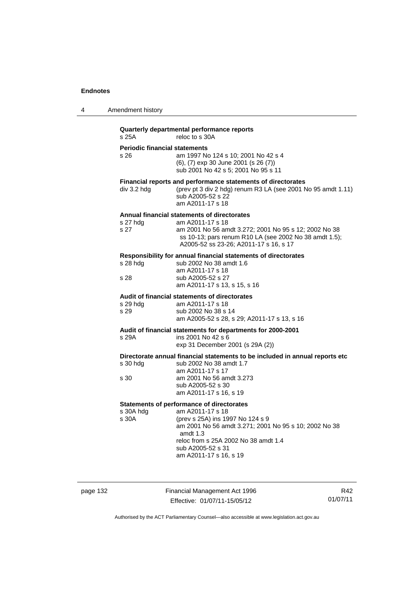| 4 | Amendment history |
|---|-------------------|
|---|-------------------|

# **Quarterly departmental performance reports**

reloc to s 30A

# **Periodic financial statements**<br>s 26 am 1997 No

| s 26. | am 1997 No 124 s 10; 2001 No 42 s 4          |
|-------|----------------------------------------------|
|       | $(6)$ , $(7)$ exp 30 June 2001 (s 26 $(7)$ ) |
|       | sub 2001 No 42 s 5: 2001 No 95 s 11          |

#### **Financial reports and performance statements of directorates**

div 3.2 hdg (prev pt 3 div 2 hdg) renum R3 LA (see 2001 No 95 amdt 1.11) sub A2005-52 s 22 am A2011-17 s 18

#### **Annual financial statements of directorates**

| s 27 hda | am A2011-17 s 18                                       |
|----------|--------------------------------------------------------|
| s 27     | am 2001 No 56 amdt 3.272; 2001 No 95 s 12; 2002 No 38  |
|          | ss 10-13; pars renum R10 LA (see 2002 No 38 amdt 1.5); |
|          | A2005-52 ss 23-26: A2011-17 s 16, s 17                 |
|          |                                                        |

#### **Responsibility for annual financial statements of directorates**

| s 28 hda | sub 2002 No 38 amdt 1.6      |
|----------|------------------------------|
|          | am A2011-17 s 18             |
| s 28     | sub A2005-52 s 27            |
|          | am A2011-17 s 13, s 15, s 16 |
|          |                              |

#### **Audit of financial statements of directorates**

| s 29 hda | am A2011-17 s 18                            |
|----------|---------------------------------------------|
| s 29     | sub 2002 No 38 s 14                         |
|          | am A2005-52 s 28, s 29; A2011-17 s 13, s 16 |

**Audit of financial statements for departments for 2000-2001** 

| s 29A | ins 2001 No 42 s 6               |
|-------|----------------------------------|
|       | exp 31 December 2001 (s 29A (2)) |

#### **Directorate annual financial statements to be included in annual reports etc**

| s 30 hdg | sub 2002 No 38 amdt 1.7  |
|----------|--------------------------|
|          | am A2011-17 s 17         |
| s 30     | am 2001 No 56 amdt 3.273 |
|          | sub A2005-52 s 30        |
|          | am A2011-17 s 16, s 19   |
|          |                          |

#### **Statements of performance of directorates**

s 30A hdg am A2011-17 s 18<br>s 30A (prev s 25A) ins 19 (prev s 25A) ins 1997 No 124 s 9 am 2001 No 56 amdt 3.271; 2001 No 95 s 10; 2002 No 38 amdt 1.3 reloc from s 25A 2002 No 38 amdt 1.4 sub A2005-52 s 31 am A2011-17 s 16, s 19

page 132 Financial Management Act 1996 Effective: 01/07/11-15/05/12

R42 01/07/11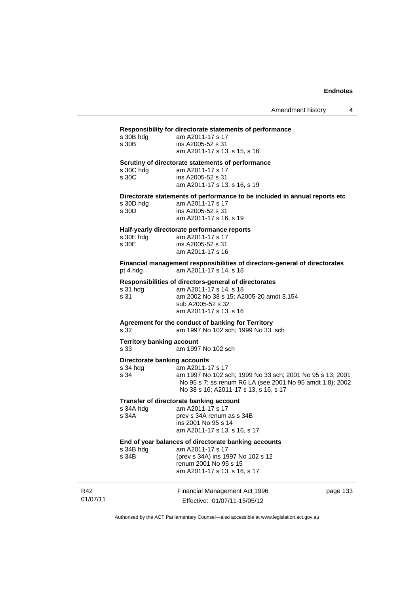#### **Responsibility for directorate statements of performance**

| s 30B hdg | am A2011-17 s 17             |
|-----------|------------------------------|
| s 30B     | ins A2005-52 s 31            |
|           | am A2011-17 s 13, s 15, s 16 |

#### **Scrutiny of directorate statements of performance**

| s 30C hdg | am A2011-17 s 17             |
|-----------|------------------------------|
| s 30C     | ins A2005-52 s 31            |
|           | am A2011-17 s 13, s 16, s 19 |

**Directorate statements of performance to be included in annual reports etc** 

| s 30D hdg | am A2011-17 s 17       |
|-----------|------------------------|
| s 30D     | ins A2005-52 s 31      |
|           | am A2011-17 s 16, s 19 |

#### **Half-yearly directorate performance reports**

| s 30E hdg | am A2011-17 s 17  |
|-----------|-------------------|
| s 30E     | ins A2005-52 s 31 |
|           | am A2011-17 s 16  |

**Financial management responsibilities of directors-general of directorates**  pt 4 hdg am A2011-17 s 14, s 18

#### **Responsibilities of directors-general of directorates**

| am A2011-17 s 14, s 18                  |
|-----------------------------------------|
| am 2002 No 38 s 15; A2005-20 amdt 3.154 |
| sub A2005-52 s 32                       |
| am A2011-17 s 13, s 16                  |
|                                         |

## **Agreement for the conduct of banking for Territory**

s 32 am 1997 No 102 sch; 1999 No 33 sch

#### **Territory banking account**

s 33 am 1997 No 102 sch

#### **Directorate banking accounts**

| s 34 hda | am A2011-17 s 17                                          |
|----------|-----------------------------------------------------------|
| s 34     | am 1997 No 102 sch; 1999 No 33 sch; 2001 No 95 s 13; 2001 |
|          | No 95 s 7; ss renum R6 LA (see 2001 No 95 amdt 1.8); 2002 |
|          | No 38 s 16: A2011-17 s 13, s 16, s 17                     |
|          |                                                           |

#### **Transfer of directorate banking account**

| s 34A hdg | am A2011-17 s 17             |
|-----------|------------------------------|
| s 34A     | prev s 34A renum as s 34B    |
|           | ins 2001 No 95 s 14          |
|           | am A2011-17 s 13, s 16, s 17 |
|           |                              |

#### **End of year balances of directorate banking accounts**

| s 34B hdg | am A2011-17 s 17                  |
|-----------|-----------------------------------|
| s 34B     | (prev s 34A) ins 1997 No 102 s 12 |
|           | renum 2001 No 95 s 15             |
|           | am A2011-17 s 13, s 16, s 17      |
|           |                                   |

| R42      | Financial Management Act 1996 | page 133 |
|----------|-------------------------------|----------|
| 01/07/11 | Effective: 01/07/11-15/05/12  |          |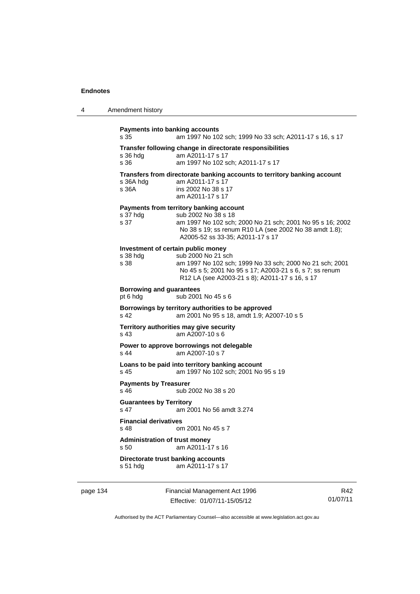| 4 | Amendment history                                                                                                                                                                                                                                     |
|---|-------------------------------------------------------------------------------------------------------------------------------------------------------------------------------------------------------------------------------------------------------|
|   | <b>Payments into banking accounts</b><br>am 1997 No 102 sch; 1999 No 33 sch; A2011-17 s 16, s 17<br>s 35                                                                                                                                              |
|   | Transfer following change in directorate responsibilities<br>am A2011-17 s 17<br>s 36 hdg<br>s 36<br>am 1997 No 102 sch; A2011-17 s 17                                                                                                                |
|   | Transfers from directorate banking accounts to territory banking account<br>s 36A hdg<br>am A2011-17 s 17<br>s 36A<br>ins 2002 No 38 s 17<br>am A2011-17 s 17                                                                                         |
|   | Payments from territory banking account<br>s 37 hdg<br>sub 2002 No 38 s 18<br>s 37<br>am 1997 No 102 sch; 2000 No 21 sch; 2001 No 95 s 16; 2002<br>No 38 s 19; ss renum R10 LA (see 2002 No 38 amdt 1.8);<br>A2005-52 ss 33-35; A2011-17 s 17         |
|   | Investment of certain public money<br>s 38 hdg<br>sub 2000 No 21 sch<br>s 38<br>am 1997 No 102 sch; 1999 No 33 sch; 2000 No 21 sch; 2001<br>No 45 s 5; 2001 No 95 s 17; A2003-21 s 6, s 7; ss renum<br>R12 LA (see A2003-21 s 8); A2011-17 s 16, s 17 |
|   | <b>Borrowing and guarantees</b><br>sub 2001 No 45 s 6<br>pt 6 hdg                                                                                                                                                                                     |
|   | Borrowings by territory authorities to be approved<br>s 42<br>am 2001 No 95 s 18, amdt 1.9; A2007-10 s 5                                                                                                                                              |
|   | Territory authorities may give security<br>am A2007-10 s 6<br>s 43                                                                                                                                                                                    |
|   | Power to approve borrowings not delegable<br>s 44<br>am A2007-10 s 7                                                                                                                                                                                  |
|   | Loans to be paid into territory banking account<br>am 1997 No 102 sch; 2001 No 95 s 19<br>s 45                                                                                                                                                        |
|   | <b>Payments by Treasurer</b><br>sub 2002 No 38 s 20<br>s 46                                                                                                                                                                                           |
|   | <b>Guarantees by Territory</b><br>s 47<br>am 2001 No 56 amdt 3.274                                                                                                                                                                                    |
|   | <b>Financial derivatives</b><br>om 2001 No 45 s 7<br>s 48                                                                                                                                                                                             |
|   | <b>Administration of trust money</b><br>am A2011-17 s 16<br>s 50                                                                                                                                                                                      |
|   | Directorate trust banking accounts<br>am A2011-17 s 17<br>s 51 hdg                                                                                                                                                                                    |

page 134 Financial Management Act 1996 Effective: 01/07/11-15/05/12

R42 01/07/11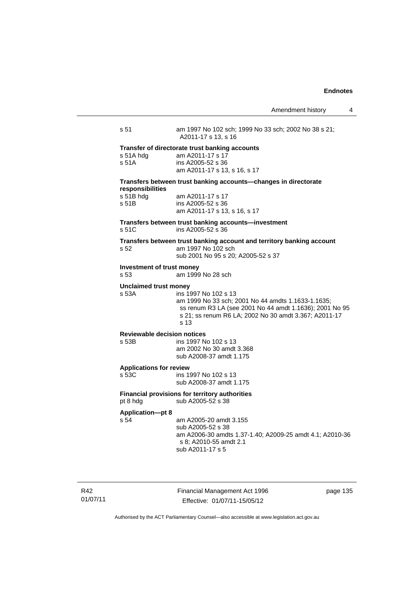Amendment history 4 s 51 am 1997 No 102 sch; 1999 No 33 sch; 2002 No 38 s 21; A2011-17 s 13, s 16 **Transfer of directorate trust banking accounts**  am A2011-17 s 17 s 51A ins A2005-52 s 36 am A2011-17 s 13, s 16, s 17 **Transfers between trust banking accounts—changes in directorate**  am A2011-17 s 17 s 51B ins A2005-52 s 36 am A2011-17 s 13, s 16, s 17 **Transfers between trust banking accounts—investment**  s 51C ins A2005-52 s 36

**Transfers between trust banking account and territory banking account**  s 52 am 1997 No 102 sch sub 2001 No 95 s 20; A2005-52 s 37

#### **Investment of trust money**

s 53 am 1999 No 28 sch

**Unclaimed trust money** 

**responsibilities** 

s 53A ins 1997 No 102 s 13 am 1999 No 33 sch; 2001 No 44 amdts 1.1633-1.1635; ss renum R3 LA (see 2001 No 44 amdt 1.1636); 2001 No 95 s 21; ss renum R6 LA; 2002 No 30 amdt 3.367; A2011-17 s 13

#### **Reviewable decision notices**

s 53B ins 1997 No 102 s 13 am 2002 No 30 amdt 3.368 sub A2008-37 amdt 1.175

# **Applications for review**

ins 1997 No 102 s 13 sub A2008-37 amdt 1.175

**Financial provisions for territory authorities**  pt 8 hdg sub A2005-52 s 38

# **Application—pt 8**

s 54 am A2005-20 amdt 3.155 sub A2005-52 s 38 am A2006-30 amdts 1.37-1.40; A2009-25 amdt 4.1; A2010-36 s 8; A2010-55 amdt 2.1 sub A2011-17 s 5

R42 01/07/11 Financial Management Act 1996 Effective: 01/07/11-15/05/12

page 135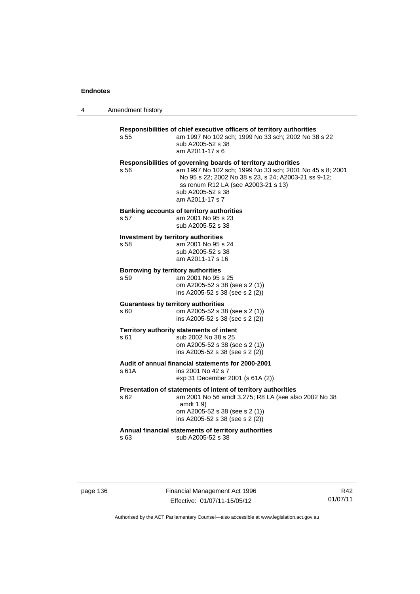4 Amendment history

|                                                    | sub A2005-52 s 38<br>am A2011-17 s 6                                                                                                                                                                                                                             |
|----------------------------------------------------|------------------------------------------------------------------------------------------------------------------------------------------------------------------------------------------------------------------------------------------------------------------|
| s 56                                               | Responsibilities of governing boards of territory authorities<br>am 1997 No 102 sch; 1999 No 33 sch; 2001 No 45 s 8; 2001<br>No 95 s 22; 2002 No 38 s 23, s 24; A2003-21 ss 9-12;<br>ss renum R12 LA (see A2003-21 s 13)<br>sub A2005-52 s 38<br>am A2011-17 s 7 |
| s 57                                               | <b>Banking accounts of territory authorities</b><br>am 2001 No 95 s 23<br>sub A2005-52 s 38                                                                                                                                                                      |
| Investment by territory authorities<br>s 58        | am 2001 No 95 s 24<br>sub A2005-52 s 38<br>am A2011-17 s 16                                                                                                                                                                                                      |
| Borrowing by territory authorities<br>s 59         | am 2001 No 95 s 25<br>om A2005-52 s 38 (see s 2 (1))<br>ins A2005-52 s 38 (see s 2 (2))                                                                                                                                                                          |
| <b>Guarantees by territory authorities</b><br>s 60 | om A2005-52 s 38 (see s 2 (1))<br>ins A2005-52 s 38 (see s 2 (2))                                                                                                                                                                                                |
| s 61                                               | Territory authority statements of intent<br>sub 2002 No 38 s 25<br>om A2005-52 s 38 (see s 2 (1))<br>ins A2005-52 s 38 (see s 2 (2))                                                                                                                             |
| s 61A                                              | Audit of annual financial statements for 2000-2001<br>ins 2001 No 42 s 7<br>exp 31 December 2001 (s 61A (2))                                                                                                                                                     |
| s 62                                               | Presentation of statements of intent of territory authorities<br>am 2001 No 56 amdt 3.275; R8 LA (see also 2002 No 38<br>amdt 1.9)<br>om A2005-52 s 38 (see s 2 (1))<br>ins A2005-52 s 38 (see s 2 (2))                                                          |
| s 63                                               | Annual financial statements of territory authorities<br>sub A2005-52 s 38                                                                                                                                                                                        |

page 136 Financial Management Act 1996 Effective: 01/07/11-15/05/12

R42 01/07/11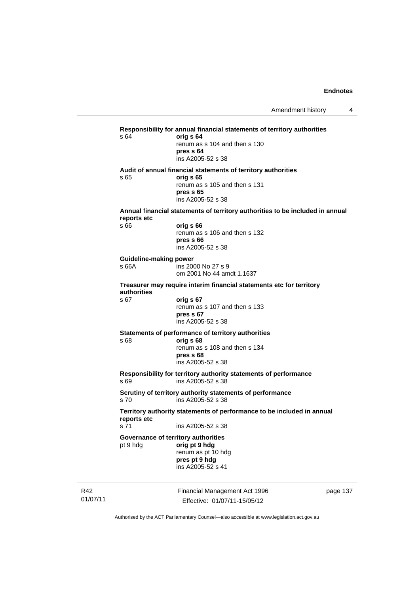**Responsibility for annual financial statements of territory authorities**  s 64 **orig s 64** renum as s 104 and then s 130 **pres s 64**  ins A2005-52 s 38 **Audit of annual financial statements of territory authorities**  s 65 **orig s 65**  renum as s 105 and then s 131 **pres s 65**  ins A2005-52 s 38 **Annual financial statements of territory authorities to be included in annual reports etc**  s 66 **orig s 66**  renum as s 106 and then s 132 **pres s 66**  ins A2005-52 s 38 **Guideline-making power**  s 66A ins 2000 No 27 s 9 om 2001 No 44 amdt 1.1637 **Treasurer may require interim financial statements etc for territory authorities** s 67 **orig s 67**  renum as s 107 and then s 133 **pres s 67**  ins A2005-52 s 38 **Statements of performance of territory authorities**  s 68 **orig s 68**  renum as s 108 and then s 134 **pres s 68**  ins A2005-52 s 38 **Responsibility for territory authority statements of performance**  s 69 ins A2005-52 s 38 **Scrutiny of territory authority statements of performance**  s 70 ins A2005-52 s 38 **Territory authority statements of performance to be included in annual reports etc**  s 71 ins A2005-52 s 38 **Governance of territory authorities**  pt 9 hdg **orig pt 9 hdg**  renum as pt 10 hdg **pres pt 9 hdg**  ins A2005-52 s 41

R42 01/07/11 Financial Management Act 1996 Effective: 01/07/11-15/05/12

page 137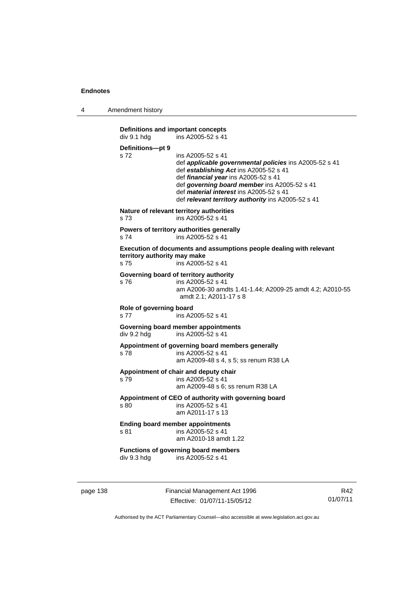4 Amendment history

```
Definitions and important concepts<br>div 9.1 hdg ins A2005-52 s 41
                 \overline{a} ins A2005-52 s 41
Definitions—pt 9 
s 72 ins A2005-52 s 41 
                  def applicable governmental policies ins A2005-52 s 41 
                  def establishing Act ins A2005-52 s 41 
                  def financial year ins A2005-52 s 41 
                  def governing board member ins A2005-52 s 41 
                  def material interest ins A2005-52 s 41 
                  def relevant territory authority ins A2005-52 s 41 
Nature of relevant territory authorities 
s 73 ins A2005-52 s 41 
Powers of territory authorities generally 
s 74 ins A2005-52 s 41
Execution of documents and assumptions people dealing with relevant 
territory authority may make 
s 75 ins A2005-52 s 41 
Governing board of territory authority 
s 76 ins A2005-52 s 41 
                  am A2006-30 amdts 1.41-1.44; A2009-25 amdt 4.2; A2010-55 
                  amdt 2.1; A2011-17 s 8 
Role of governing board 
s 77 ins A2005-52 s 41 
Governing board member appointments 
div 9.2 hdg ins A2005-52 s 41
Appointment of governing board members generally 
s 78 ins A2005-52 s 41 
                  am A2009-48 s 4, s 5; ss renum R38 LA 
Appointment of chair and deputy chair 
s 79 ins A2005-52 s 41 
                  am A2009-48 s 6; ss renum R38 LA 
Appointment of CEO of authority with governing board 
s 80 ins A2005-52 s 41 
                  am A2011-17 s 13 
Ending board member appointments 
s 81 ins A2005-52 s 41 
                  am A2010-18 amdt 1.22 
Functions of governing board members 
div 9.3 hdg ins A2005-52 s 41
```
page 138 Financial Management Act 1996 Effective: 01/07/11-15/05/12

R42 01/07/11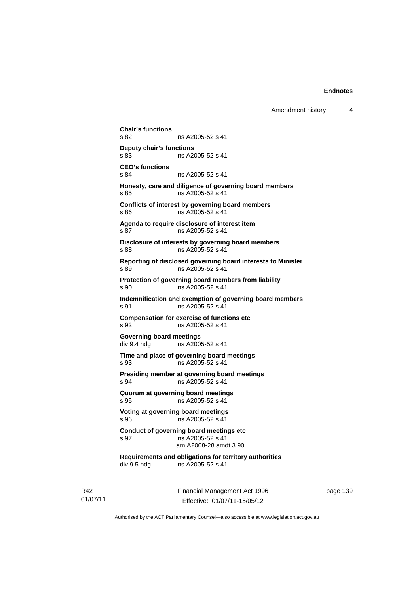Amendment history 4

**Chair's functions**  s 82 ins A2005-52 s 41 **Deputy chair's functions**  ins A2005-52 s 41 **CEO's functions**  s 84 ins A2005-52 s 41 **Honesty, care and diligence of governing board members**  s 85 ins A2005-52 s 41 **Conflicts of interest by governing board members**  s 86 ins A2005-52 s 41 **Agenda to require disclosure of interest item**  s 87 ins A2005-52 s 41 **Disclosure of interests by governing board members**  s 88 ins A2005-52 s 41 **Reporting of disclosed governing board interests to Minister**  s 89 ins A2005-52 s 41 **Protection of governing board members from liability**  s 90 ins A2005-52 s 41 **Indemnification and exemption of governing board members**  s 91 ins A2005-52 s 41 **Compensation for exercise of functions etc**  s 92 **ins A2005-52 s 41 Governing board meetings**  div 9.4 hdg ins A2005-52 s 41 **Time and place of governing board meetings**  s 93 ins A2005-52 s 41 **Presiding member at governing board meetings**  s 94 ins A2005-52 s 41 **Quorum at governing board meetings**  s 95 ins A2005-52 s 41 **Voting at governing board meetings**  s 96 ins A2005-52 s 41 **Conduct of governing board meetings etc**  s 97 ins A2005-52 s 41 am A2008-28 amdt 3.90 **Requirements and obligations for territory authorities**  div 9.5 hdg ins A2005-52 s 41

R42 01/07/11 Financial Management Act 1996 Effective: 01/07/11-15/05/12

page 139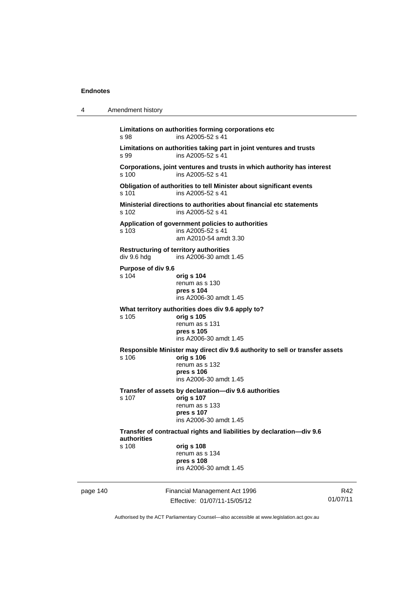| 4        | Amendment history                                                                    |                                                                                                                                                      |                 |  |
|----------|--------------------------------------------------------------------------------------|------------------------------------------------------------------------------------------------------------------------------------------------------|-----------------|--|
|          | s 98                                                                                 | Limitations on authorities forming corporations etc<br>ins A2005-52 s 41                                                                             |                 |  |
|          | s 99                                                                                 | Limitations on authorities taking part in joint ventures and trusts<br>ins A2005-52 s 41                                                             |                 |  |
|          | s 100                                                                                | Corporations, joint ventures and trusts in which authority has interest<br>ins A2005-52 s 41                                                         |                 |  |
|          | s 101                                                                                | Obligation of authorities to tell Minister about significant events<br>ins A2005-52 s 41                                                             |                 |  |
|          | s 102                                                                                | Ministerial directions to authorities about financial etc statements<br>ins A2005-52 s 41                                                            |                 |  |
|          | s 103                                                                                | Application of government policies to authorities<br>ins A2005-52 s 41<br>am A2010-54 amdt 3.30                                                      |                 |  |
|          | div 9.6 hdg                                                                          | <b>Restructuring of territory authorities</b><br>ins A2006-30 amdt 1.45                                                                              |                 |  |
|          | Purpose of div 9.6<br>$s$ 104                                                        | orig s 104<br>renum as s 130<br>pres s 104<br>ins A2006-30 amdt 1.45                                                                                 |                 |  |
|          | s 105                                                                                | What territory authorities does div 9.6 apply to?<br>orig s 105<br>renum as s 131<br>pres s 105<br>ins A2006-30 amdt 1.45                            |                 |  |
|          | s 106                                                                                | Responsible Minister may direct div 9.6 authority to sell or transfer assets<br>orig s 106<br>renum as s 132<br>pres s 106<br>ins A2006-30 amdt 1.45 |                 |  |
|          | s 107                                                                                | Transfer of assets by declaration-div 9.6 authorities<br>orig s 107<br>renum as s 133<br>pres s 107<br>ins A2006-30 amdt 1.45                        |                 |  |
|          | Transfer of contractual rights and liabilities by declaration-div 9.6<br>authorities |                                                                                                                                                      |                 |  |
|          | s 108                                                                                | orig s 108<br>renum as s 134<br>pres s 108<br>ins A2006-30 amdt 1.45                                                                                 |                 |  |
| page 140 |                                                                                      | Financial Management Act 1996<br>Effective: 01/07/11-15/05/12                                                                                        | R42<br>01/07/11 |  |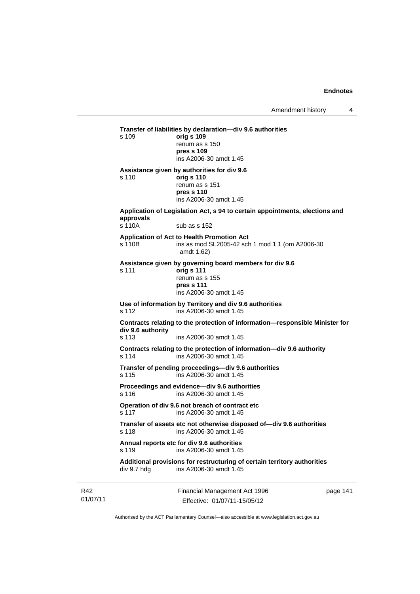Financial Management Act 1996 page 141 **Transfer of liabilities by declaration—div 9.6 authorities**  s 109 **orig s 109** renum as s 150 **pres s 109**  ins A2006-30 amdt 1.45 **Assistance given by authorities for div 9.6**  s 110 **orig s 110** renum as s 151 **pres s 110**  ins A2006-30 amdt 1.45 **Application of Legislation Act, s 94 to certain appointments, elections and approvals**  s 110A sub as s 152 **Application of Act to Health Promotion Act**  s 110B ins as mod SL2005-42 sch 1 mod 1.1 (om A2006-30 amdt 1.62) **Assistance given by governing board members for div 9.6**  s 111 **orig s 111** renum as s 155 **pres s 111**  ins A2006-30 amdt 1.45 **Use of information by Territory and div 9.6 authorities**  s 112 ins A2006-30 amdt 1.45 **Contracts relating to the protection of information—responsible Minister for div 9.6 authority**  ins A2006-30 amdt 1.45 **Contracts relating to the protection of information—div 9.6 authority**  s 114 ins A2006-30 amdt 1.45 **Transfer of pending proceedings—div 9.6 authorities**  s 115 ins A2006-30 amdt 1.45 **Proceedings and evidence—div 9.6 authorities**  s 116 ins A2006-30 amdt 1.45 **Operation of div 9.6 not breach of contract etc**  s 117 ins A2006-30 amdt 1.45 **Transfer of assets etc not otherwise disposed of—div 9.6 authorities**  s 118 ins A2006-30 amdt 1.45 **Annual reports etc for div 9.6 authorities**  s 119 ins A2006-30 amdt 1.45 **Additional provisions for restructuring of certain territory authorities**  div 9.7 hdg ins A2006-30 amdt 1.45

| R42      | Financial Management Act 1996 | page 141 |
|----------|-------------------------------|----------|
| 01/07/11 | Effective: 01/07/11-15/05/12  |          |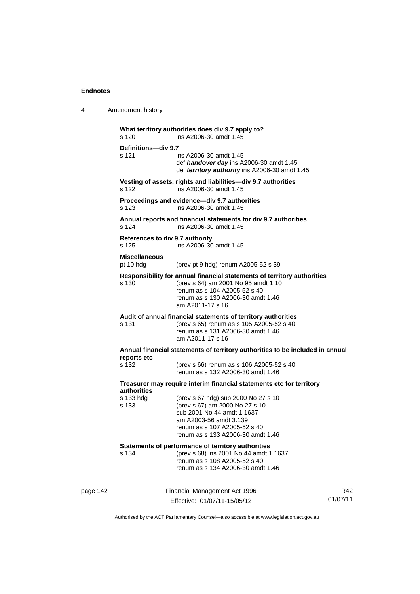4 Amendment history

|                                                                      | s 120                                    | What territory authorities does div 9.7 apply to?<br>ins A2006-30 amdt 1.45                                                                                                                             |                 |  |
|----------------------------------------------------------------------|------------------------------------------|---------------------------------------------------------------------------------------------------------------------------------------------------------------------------------------------------------|-----------------|--|
|                                                                      | Definitions-div 9.7                      |                                                                                                                                                                                                         |                 |  |
|                                                                      | s 121                                    | ins A2006-30 amdt 1.45<br>def handover day ins A2006-30 amdt 1.45<br>def territory authority ins A2006-30 amdt 1.45                                                                                     |                 |  |
|                                                                      | s 122                                    | Vesting of assets, rights and liabilities-div 9.7 authorities<br>ins A2006-30 amdt 1.45                                                                                                                 |                 |  |
|                                                                      | s 123                                    | Proceedings and evidence-div 9.7 authorities<br>ins A2006-30 amdt 1.45                                                                                                                                  |                 |  |
|                                                                      | s 124                                    | Annual reports and financial statements for div 9.7 authorities<br>ins A2006-30 amdt 1.45                                                                                                               |                 |  |
|                                                                      | References to div 9.7 authority<br>s 125 | ins A2006-30 amdt 1.45                                                                                                                                                                                  |                 |  |
|                                                                      | <b>Miscellaneous</b><br>pt 10 hdg        | (prev pt 9 hdg) renum A2005-52 s 39                                                                                                                                                                     |                 |  |
|                                                                      | s 130                                    | Responsibility for annual financial statements of territory authorities<br>(prev s 64) am 2001 No 95 amdt 1.10<br>renum as s 104 A2005-52 s 40<br>renum as s 130 A2006-30 amdt 1.46<br>am A2011-17 s 16 |                 |  |
|                                                                      | s 131                                    | Audit of annual financial statements of territory authorities<br>(prev s 65) renum as s 105 A2005-52 s 40<br>renum as s 131 A2006-30 amdt 1.46<br>am A2011-17 s 16                                      |                 |  |
|                                                                      |                                          | Annual financial statements of territory authorities to be included in annual                                                                                                                           |                 |  |
|                                                                      | reports etc<br>s 132                     | (prev s 66) renum as s 106 A2005-52 s 40<br>renum as s 132 A2006-30 amdt 1.46                                                                                                                           |                 |  |
| Treasurer may require interim financial statements etc for territory |                                          |                                                                                                                                                                                                         |                 |  |
|                                                                      | <b>authorities</b><br>s 133 hda<br>s 133 | (prev s 67 hdg) sub 2000 No 27 s 10<br>(prev s 67) am 2000 No 27 s 10<br>sub 2001 No 44 amdt 1.1637<br>am A2003-56 amdt 3.139<br>renum as s 107 A2005-52 s 40<br>renum as s 133 A2006-30 amdt 1.46      |                 |  |
|                                                                      | s 134                                    | Statements of performance of territory authorities<br>(prev s 68) ins 2001 No 44 amdt 1.1637<br>renum as s 108 A2005-52 s 40<br>renum as s 134 A2006-30 amdt 1.46                                       |                 |  |
| page 142                                                             |                                          | Financial Management Act 1996<br>Effective: 01/07/11-15/05/12                                                                                                                                           | R42<br>01/07/11 |  |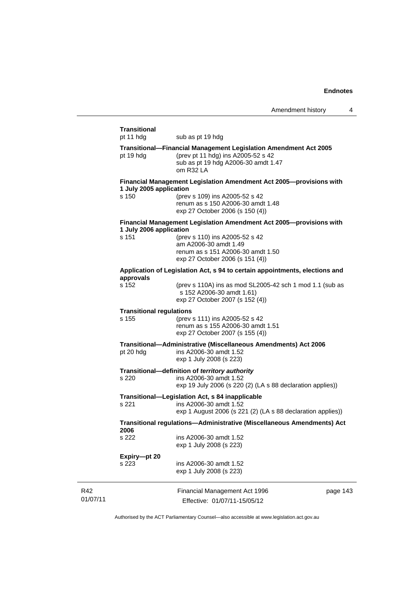$\overline{a}$ 

|                 | Transitional<br>pt 11 hdg                | sub as pt 19 hdg                                                                                                                                                                                       |          |
|-----------------|------------------------------------------|--------------------------------------------------------------------------------------------------------------------------------------------------------------------------------------------------------|----------|
|                 | pt 19 hdg                                | Transitional-Financial Management Legislation Amendment Act 2005<br>(prev pt 11 hdg) ins A2005-52 s 42<br>sub as pt 19 hdg A2006-30 amdt 1.47<br>om R32 LA                                             |          |
|                 | 1 July 2005 application<br>s 150         | Financial Management Legislation Amendment Act 2005-provisions with<br>(prev s 109) ins A2005-52 s 42<br>renum as s 150 A2006-30 amdt 1.48<br>exp 27 October 2006 (s 150 (4))                          |          |
|                 | 1 July 2006 application<br>s 151         | Financial Management Legislation Amendment Act 2005-provisions with<br>(prev s 110) ins A2005-52 s 42<br>am A2006-30 amdt 1.49<br>renum as s 151 A2006-30 amdt 1.50<br>exp 27 October 2006 (s 151 (4)) |          |
|                 | approvals                                | Application of Legislation Act, s 94 to certain appointments, elections and                                                                                                                            |          |
|                 | s 152                                    | (prev s 110A) ins as mod SL2005-42 sch 1 mod 1.1 (sub as<br>s 152 A2006-30 amdt 1.61)<br>exp 27 October 2007 (s 152 (4))                                                                               |          |
|                 | <b>Transitional regulations</b><br>s 155 | (prev s 111) ins A2005-52 s 42<br>renum as s 155 A2006-30 amdt 1.51<br>exp 27 October 2007 (s 155 (4))                                                                                                 |          |
|                 | pt 20 hdg                                | Transitional-Administrative (Miscellaneous Amendments) Act 2006<br>ins A2006-30 amdt 1.52<br>exp 1 July 2008 (s 223)                                                                                   |          |
|                 | s 220                                    | Transitional-definition of territory authority<br>ins A2006-30 amdt 1.52<br>exp 19 July 2006 (s 220 (2) (LA s 88 declaration applies))                                                                 |          |
|                 | s 221                                    | Transitional-Legislation Act, s 84 inapplicable<br>ins A2006-30 amdt 1.52<br>exp 1 August 2006 (s 221 (2) (LA s 88 declaration applies))                                                               |          |
|                 | 2006                                     | Transitional regulations—Administrative (Miscellaneous Amendments) Act                                                                                                                                 |          |
|                 | s 222                                    | ins A2006-30 amdt 1.52<br>exp 1 July 2008 (s 223)                                                                                                                                                      |          |
|                 | Expiry-pt 20<br>s 223                    | ins A2006-30 amdt 1.52<br>exp 1 July 2008 (s 223)                                                                                                                                                      |          |
| R42<br>01/07/11 |                                          | Financial Management Act 1996<br>Effective: 01/07/11-15/05/12                                                                                                                                          | page 143 |

Authorised by the ACT Parliamentary Counsel—also accessible at www.legislation.act.gov.au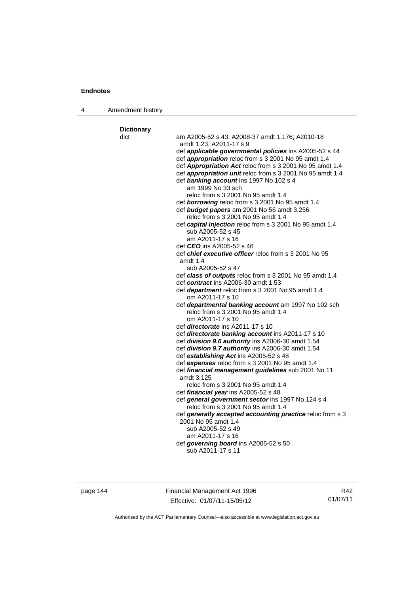4 Amendment history

| dict | am A2005-52 s 43; A2008-37 amdt 1.176; A2010-18<br>amdt 1.23; A2011-17 s 9               |
|------|------------------------------------------------------------------------------------------|
|      | def applicable governmental policies ins A2005-52 s 44                                   |
|      | def appropriation reloc from s 3 2001 No 95 amdt 1.4                                     |
|      | def Appropriation Act reloc from s 3 2001 No 95 amdt 1.4                                 |
|      | def <i>appropriation unit</i> reloc from s 3 2001 No 95 amdt 1.4                         |
|      | def banking account ins 1997 No 102 s 4                                                  |
|      | am 1999 No 33 sch                                                                        |
|      | reloc from s 3 2001 No 95 amdt 1.4                                                       |
|      | def borrowing reloc from s 3 2001 No 95 amdt 1.4                                         |
|      | def budget papers am 2001 No 56 amdt 3.256                                               |
|      | reloc from s 3 2001 No 95 amdt 1.4                                                       |
|      | def capital injection reloc from s 3 2001 No 95 amdt 1.4                                 |
|      | sub A2005-52 s 45                                                                        |
|      | am A2011-17 s 16                                                                         |
|      | def <b>CEO</b> ins A2005-52 s 46                                                         |
|      | def chief executive officer reloc from s 3 2001 No 95                                    |
|      | amdt $1.4$                                                                               |
|      | sub A2005-52 s 47                                                                        |
|      | def class of outputs reloc from s 3 2001 No 95 amdt 1.4                                  |
|      | def contract ins A2006-30 amdt 1.53<br>def department reloc from s 3 2001 No 95 amdt 1.4 |
|      | om A2011-17 s 10                                                                         |
|      | def departmental banking account am 1997 No 102 sch                                      |
|      | reloc from s 3 2001 No 95 amdt 1.4                                                       |
|      | om A2011-17 s 10                                                                         |
|      | def <i>directorate</i> ins A2011-17 s 10                                                 |
|      | def directorate banking account ins A2011-17 s 10                                        |
|      | def division 9.6 authority ins A2006-30 amdt 1.54                                        |
|      | def division 9.7 authority ins A2006-30 amdt 1.54                                        |
|      | def establishing Act ins A2005-52 s 48                                                   |
|      | def expenses reloc from s 3 2001 No 95 amdt 1.4                                          |
|      | def financial management guidelines sub 2001 No 11                                       |
|      | amdt 3.125                                                                               |
|      | reloc from s 3 2001 No 95 amdt 1.4                                                       |
|      | def financial year ins A2005-52 s 48                                                     |
|      | def general government sector ins 1997 No 124 s 4<br>reloc from s 3 2001 No 95 amdt 1.4  |
|      | def generally accepted accounting practice reloc from s 3                                |
|      | 2001 No 95 amdt 1.4                                                                      |
|      | sub A2005-52 s 49                                                                        |
|      | am A2011-17 s 16                                                                         |
|      | def governing board ins A2005-52 s 50                                                    |
|      | sub A2011-17 s 11                                                                        |

page 144 Financial Management Act 1996 Effective: 01/07/11-15/05/12

R42 01/07/11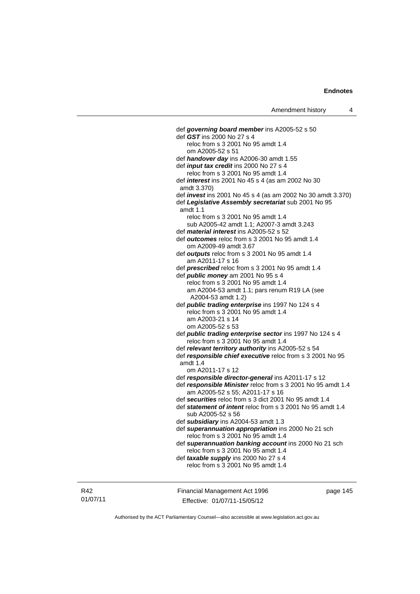def *governing board member* ins A2005-52 s 50 def *GST* ins 2000 No 27 s 4 reloc from s 3 2001 No 95 amdt 1.4 om A2005-52 s 51 def *handover day* ins A2006-30 amdt 1.55 def *input tax credit* ins 2000 No 27 s 4 reloc from s 3 2001 No 95 amdt 1.4 def *interest* ins 2001 No 45 s 4 (as am 2002 No 30 amdt 3.370) def *invest* ins 2001 No 45 s 4 (as am 2002 No 30 amdt 3.370) def *Legislative Assembly secretariat* sub 2001 No 95 amdt 1.1 reloc from s 3 2001 No 95 amdt 1.4 sub A2005-42 amdt 1.1; A2007-3 amdt 3.243 def *material interest* ins A2005-52 s 52 def *outcomes* reloc from s 3 2001 No 95 amdt 1.4 om A2009-49 amdt 3.67 def *outputs* reloc from s 3 2001 No 95 amdt 1.4 am A2011-17 s 16 def *prescribed* reloc from s 3 2001 No 95 amdt 1.4 def *public money* am 2001 No 95 s 4 reloc from s 3 2001 No 95 amdt 1.4 am A2004-53 amdt 1.1; pars renum R19 LA (see A2004-53 amdt 1.2) def *public trading enterprise* ins 1997 No 124 s 4 reloc from s 3 2001 No 95 amdt 1.4 am A2003-21 s 14 om A2005-52 s 53 def *public trading enterprise sector* ins 1997 No 124 s 4 reloc from s 3 2001 No 95 amdt 1.4 def *relevant territory authority* ins A2005-52 s 54 def *responsible chief executive* reloc from s 3 2001 No 95 amdt 1.4 om A2011-17 s 12 def *responsible director-general* ins A2011-17 s 12 def *responsible Minister* reloc from s 3 2001 No 95 amdt 1.4 am A2005-52 s 55; A2011-17 s 16 def *securities* reloc from s 3 dict 2001 No 95 amdt 1.4 def *statement of intent* reloc from s 3 2001 No 95 amdt 1.4 sub A2005-52 s 56 def *subsidiary* ins A2004-53 amdt 1.3 def *superannuation appropriation* ins 2000 No 21 sch reloc from s 3 2001 No 95 amdt 1.4 def *superannuation banking account* ins 2000 No 21 sch reloc from s 3 2001 No 95 amdt 1.4 def *taxable supply* ins 2000 No 27 s 4 reloc from s 3 2001 No 95 amdt 1.4

R42 01/07/11 Financial Management Act 1996 Effective: 01/07/11-15/05/12

page 145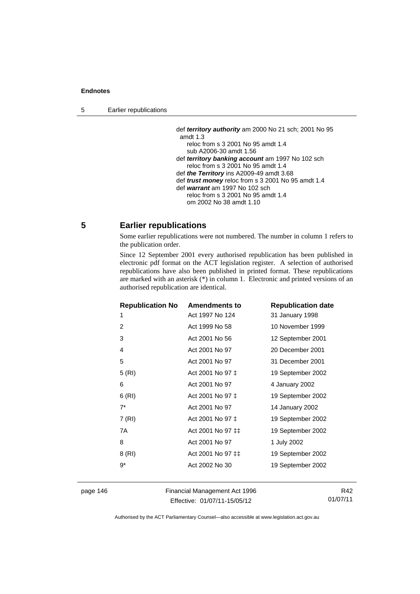5 Earlier republications

 def *territory authority* am 2000 No 21 sch; 2001 No 95 amdt 1.3 reloc from s 3 2001 No 95 amdt 1.4 sub A2006-30 amdt 1.56 def *territory banking account* am 1997 No 102 sch reloc from s 3 2001 No 95 amdt 1.4 def *the Territory* ins A2009-49 amdt 3.68 def *trust money* reloc from s 3 2001 No 95 amdt 1.4 def *warrant* am 1997 No 102 sch reloc from s 3 2001 No 95 amdt 1.4 om 2002 No 38 amdt 1.10

# **5 Earlier republications**

Some earlier republications were not numbered. The number in column 1 refers to the publication order.

Since 12 September 2001 every authorised republication has been published in electronic pdf format on the ACT legislation register. A selection of authorised republications have also been published in printed format. These republications are marked with an asterisk (\*) in column 1. Electronic and printed versions of an authorised republication are identical.

| <b>Republication No</b> | <b>Amendments to</b> | <b>Republication date</b> |
|-------------------------|----------------------|---------------------------|
| 1                       | Act 1997 No 124      | 31 January 1998           |
| 2                       | Act 1999 No 58       | 10 November 1999          |
| 3                       | Act 2001 No 56       | 12 September 2001         |
| 4                       | Act 2001 No 97       | 20 December 2001          |
| 5                       | Act 2001 No 97       | 31 December 2001          |
| 5(RI)                   | Act 2001 No 97 ‡     | 19 September 2002         |
| 6                       | Act 2001 No 97       | 4 January 2002            |
| 6(RI)                   | Act 2001 No 97 ‡     | 19 September 2002         |
| $7^*$                   | Act 2001 No 97       | 14 January 2002           |
| 7 (RI)                  | Act 2001 No 97 ‡     | 19 September 2002         |
| 7A                      | Act 2001 No 97 ‡‡    | 19 September 2002         |
| 8                       | Act 2001 No 97       | 1 July 2002               |
| 8 (RI)                  | Act 2001 No 97 ‡‡    | 19 September 2002         |
| $9*$                    | Act 2002 No 30       | 19 September 2002         |
|                         |                      |                           |

page 146 Financial Management Act 1996 Effective: 01/07/11-15/05/12

R42 01/07/11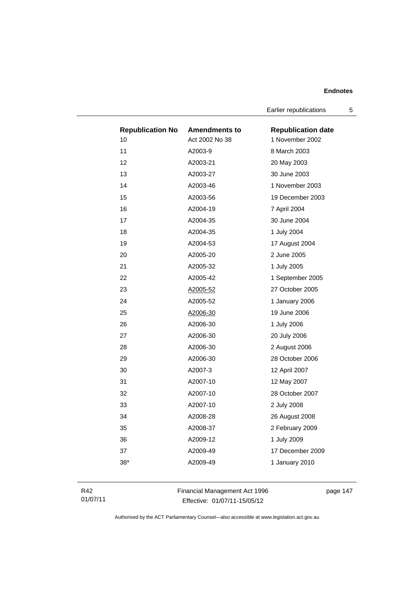Earlier republications 5

| <b>Republication No</b> | <b>Amendments to</b> | <b>Republication date</b> |
|-------------------------|----------------------|---------------------------|
| 10                      | Act 2002 No 38       | 1 November 2002           |
| 11                      | A2003-9              | 8 March 2003              |
| 12                      | A2003-21             | 20 May 2003               |
| 13                      | A2003-27             | 30 June 2003              |
| 14                      | A2003-46             | 1 November 2003           |
| 15                      | A2003-56             | 19 December 2003          |
| 16                      | A2004-19             | 7 April 2004              |
| 17                      | A2004-35             | 30 June 2004              |
| 18                      | A2004-35             | 1 July 2004               |
| 19                      | A2004-53             | 17 August 2004            |
| 20                      | A2005-20             | 2 June 2005               |
| 21                      | A2005-32             | 1 July 2005               |
| 22                      | A2005-42             | 1 September 2005          |
| 23                      | A2005-52             | 27 October 2005           |
| 24                      | A2005-52             | 1 January 2006            |
| 25                      | A2006-30             | 19 June 2006              |
| 26                      | A2006-30             | 1 July 2006               |
| 27                      | A2006-30             | 20 July 2006              |
| 28                      | A2006-30             | 2 August 2006             |
| 29                      | A2006-30             | 28 October 2006           |
| 30                      | A2007-3              | 12 April 2007             |
| 31                      | A2007-10             | 12 May 2007               |
| 32                      | A2007-10             | 28 October 2007           |
| 33                      | A2007-10             | 2 July 2008               |
| 34                      | A2008-28             | 26 August 2008            |
| 35                      | A2008-37             | 2 February 2009           |
| 36                      | A2009-12             | 1 July 2009               |
| 37                      | A2009-49             | 17 December 2009          |
| 38*                     | A2009-49             | 1 January 2010            |
|                         |                      |                           |

R42 01/07/11 Financial Management Act 1996 Effective: 01/07/11-15/05/12

page 147